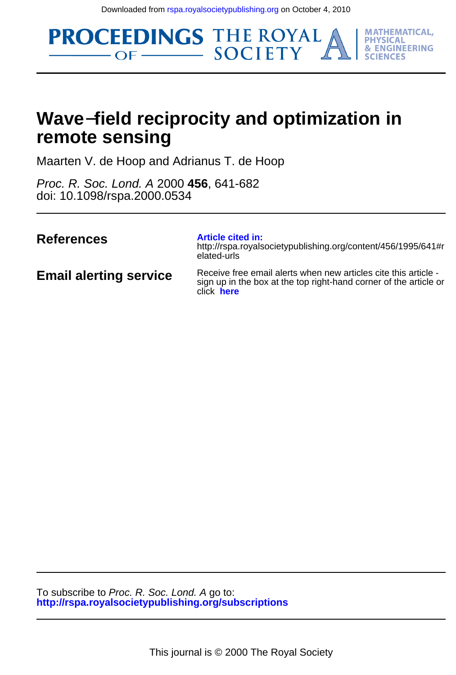

### **remote sensing Wave**−**field reciprocity and optimization in**

Maarten V. de Hoop and Adrianus T. de Hoop

doi: 10.1098/rspa.2000.0534 Proc. R. Soc. Lond. A 2000 **456**, 641-682

### **[Article cited in:](http://rspa.royalsocietypublishing.org/content/456/1995/641#related-urls)**

elated-urls http://rspa.royalsocietypublishing.org/content/456/1995/641#r

**Email alerting service**

click **[here](http://rspa.royalsocietypublishing.org/cgi/alerts/ctalert?alertType=citedby&addAlert=cited_by&saveAlert=no&cited_by_criteria_resid=royprsa;456/1995/641&return_type=article&return_url=http://rspa.royalsocietypublishing.org/content/456/1995/641.full.pdf)** sign up in the box at the top right-hand corner of the article or Receive free email alerts when new articles cite this article -

**<http://rspa.royalsocietypublishing.org/subscriptions>** To subscribe to Proc. R. Soc. Lond. A go to: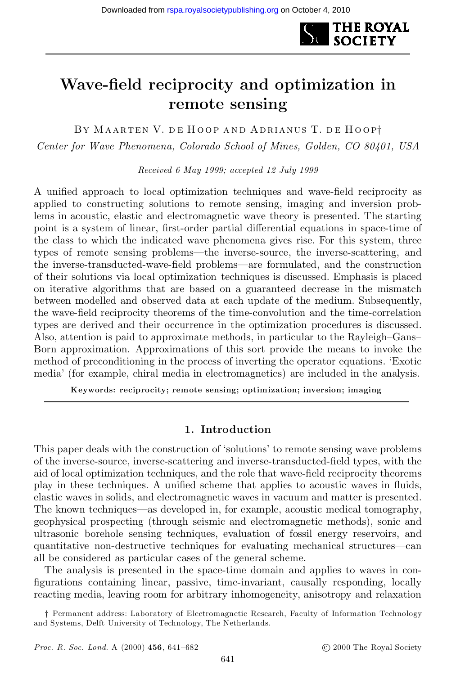

# Wave-¯eld reciprocity and optimization in  $\begin{array}{c} \text{riprocity and optim} \ \text{remote sensing} \end{array}$ **Femote sensing**<br>By MAARTEN V. DE HOOP AND ADRIANUS T. DE HOOPT

*Center for Wave Phenomena, Colorado School of Mines, Golden, CO 80401, USA*

*Received 6 May 1999; accepted 12 July 1999*

Received 6 May 1999; accepted 12 July 1999<br>A unified approach to local optimization techniques and wave-field reciprocity as<br>applied to constructing solutions to remote sensing imaging and inversion prob-A unified approach to local optimization techniques and wave-field reciprocity as<br>applied to constructing solutions to remote sensing, imaging and inversion prob-<br>lems in acoustic elastic and electromagnetic wave theory is A unified approach to local optimization techniques and wave-field reciprocity as<br>applied to constructing solutions to remote sensing, imaging and inversion prob-<br>lems in acoustic, elastic and electromagnetic wave theory i applied to constructing solutions to remote sensing, imaging and inversion problems in acoustic, elastic and electromagnetic wave theory is presented. The starting point is a system of linear, first-order partial different lems in acoustic, elastic and electromagnetic wave theory is presented. The starting<br>point is a system of linear, first-order partial differential equations in space-time of<br>the class to which the indicated wave phenomena point is a system of linear, first-order partial differential equations in space-time of<br>the class to which the indicated wave phenomena gives rise. For this system, three<br>types of remote sensing problems—the inverse-sourc the class to which the indicated wave phenomena gives rise. For this system, three<br>types of remote sensing problems—the inverse-source, the inverse-scattering, and<br>the inverse-transducted-wave-field problems—are formulated types of remote sensing problems—the inverse-source, the inverse-scattering, and<br>the inverse-transducted-wave-field problems—are formulated, and the construction<br>of their solutions via local optimization techniques is disc the inverse-transducted-wave-field problems—are formulated, and the construction<br>of their solutions via local optimization techniques is discussed. Emphasis is placed<br>on iterative algorithms that are based on a guaranteed of their solutions via local optimization techniques is discussed. Emphasis is placed<br>on iterative algorithms that are based on a guaranteed decrease in the mismatch<br>between modelled and observed data at each update of the on iterative algorithms that are based on a guaranteed decrease in the mismatch<br>between modelled and observed data at each update of the medium. Subsequently,<br>the wave-field reciprocity theorems of the time-convolution and between modelled and observed data at each update of the medium. Subsequently,<br>the wave-field reciprocity theorems of the time-convolution and the time-correlation<br>types are derived and their occurrence in the optimization the wave-field reciprocity theorems of the time-convolution and the time-correlation<br>types are derived and their occurrence in the optimization procedures is discussed.<br>Also, attention is paid to approximate methods, in pa types are derived and their occurrence in the optimization procedures is discussed.<br>Also, attention is paid to approximate methods, in particular to the Rayleigh–Gans–Born approximation. Approximations of this sort provide Also, attention is paid to approximate methods, in particular to the Rayleigh–Gans–<br>Born approximation. Approximations of this sort provide the means to invoke the<br>method of preconditioning in the process of inverting the Born approximation. Approximations of this sort provide the means to invoke the method of preconditioning in the process of inverting the operator equations. 'Exotic media' (for example, chiral media in electromagnetics) a media' (for example, chiral media in electromagnetics) are included in the analysis.<br>Keywords: reciprocity; remote sensing; optimization; inversion; imaging

### 1. Introduction

1. Introduction<br>This paper deals with the construction of 'solutions' to remote sensing wave problems<br>of the inverse-source inverse-scattering and inverse-transducted-field types, with the This paper deals with the construction of 'solutions' to remote sensing wave problems<br>of the inverse-source, inverse-scattering and inverse-transducted-field types, with the<br>aid of local optimization techniques, and the ro This paper deals with the construction of 'solutions' to remote sensing wave problems<br>of the inverse-source, inverse-scattering and inverse-transducted-field types, with the<br>aid of local optimization techniques, and the ro of the inverse-source, inverse-scattering and inverse-transducted-field types, with the aid of local optimization techniques, and the role that wave-field reciprocity theorems play in these techniques. A unified scheme tha aid of local optimization techniques, and the role that wave-field reciprocity theorems<br>play in these techniques. A unified scheme that applies to acoustic waves in fluids,<br>elastic waves in solids, and electromagnetic wave play in these techniques. A unified scheme that applies to acoustic waves in fluids, elastic waves in solids, and electromagnetic waves in vacuum and matter is presented. The known techniques—as developed in, for example, elastic waves in solids, and electromagnetic waves in vacuum and matter is presented. The known techniques—as developed in, for example, acoustic medical tomography,<br>geophysical prospecting (through seismic and electromagnetic methods), sonic and<br>ultrasonic borehole sensing techniques, evaluation of fossil geophysical prospecting (through seismic and electromagnetic methods), sonic and<br>ultrasonic borehole sensing techniques, evaluation of fossil energy reservoirs, and<br>quantitative non-destructive techniques for evaluating me all be considered as particular cases of the general scheme.<br>The analysis is presented in the space-time domain and applies to waves in conquantitative non-destructive techniques for evaluating mechanical structures—can

all be considered as particular cases of the general scheme.<br>The analysis is presented in the space-time domain and applies to waves in configurations containing linear, passive, time-invariant, causally responding, locall The analysis is presented in the space-time domain and applies to waves in configurations containing linear, passive, time-invariant, causally responding, locally reacting media, leaving room for arbitrary inhomogeneity, a reacting media, leaving room for arbitrary inhomogeneity, anisotropy and relaxation<br>† Permanent address: Laboratory of Electromagnetic Research, Faculty of Information Technology

and Systems, Delft University of Technology, The Netherlands.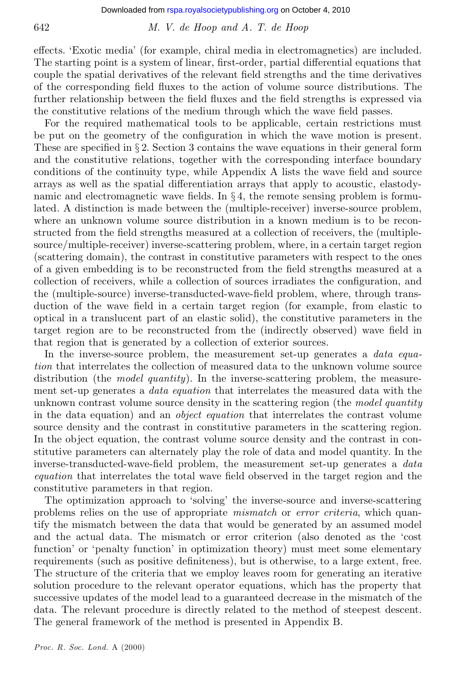642  $M.$  *V. de Hoop and A. T. de Hoop*<br>effects. 'Exotic media' (for example, chiral media in electromagnetics) are included. effects. 'Exotic media' (for example, chiral media in electromagnetics) are included.<br>The starting point is a system of linear, first-order, partial differential equations that<br>couple the spatial derivatives of the relevan effects. 'Exotic media' (for example, chiral media in electromagnetics) are included.<br>The starting point is a system of linear, first-order, partial differential equations that<br>couple the spatial derivatives of the relevan couple the spatial derivatives of the relevant field strengths and the time derivatives of the corresponding field fluxes to the action of volume source distributions. The further relationship between the field fluxes and the field strengths is expressed via the constitutive relations of the medium through wh further relationship between the field fluxes and the field strengths is expressed via

For the required mathematical tools to be applicable, certain restrictions must be put on the geometry of the configuration in which the wave motion is present. For the required mathematical tools to be applicable, certain restrictions must<br>be put on the geometry of the configuration in which the wave motion is present.<br>These are specified in  $\S 2$ . Section 3 contains the wave eq be put on the geometry of the configuration in which the wave motion is present.<br>These are specified in  $\S 2$ . Section 3 contains the wave equations in their general form<br>and the constitutive relations, together with the and the constitutive relations, together with the corresponding interface boundary conditions of the continuity type, while Appendix A lists the wave field and source and the constitutive relations, together with the corresponding interface boundary<br>conditions of the continuity type, while Appendix A lists the wave field and source<br>arrays as well as the spatial differentiation arrays t conditions of the continuity type, while Appendix A lists the wave field and source<br>arrays as well as the spatial differentiation arrays that apply to acoustic, elastody-<br>namic and electromagnetic wave fields. In  $\S 4$ , t arrays as well as the spatial differentiation arrays that apply to acoustic, elastody-<br>namic and electromagnetic wave fields. In  $\S 4$ , the remote sensing problem is formu-<br>lated. A distinction is made between the (multip namic and electromagnetic wave fields. In  $\S 4$ , the remote sensing problem is formu-<br>lated. A distinction is made between the (multiple-receiver) inverse-source problem,<br>where an unknown volume source distribution in a k where an unknown volume source distribution in a known medium is to be reconstructed from the field strengths measured at a collection of receivers, the (multiplewhere an unknown volume source distribution in a known medium is to be reconstructed from the field strengths measured at a collection of receivers, the (multiple-source/multiple-receiver) inverse-scattering problem, where structed from the field strengths measured at a collection of receivers, the (multiple-<br>source/multiple-receiver) inverse-scattering problem, where, in a certain target region<br>(scattering domain), the contrast in constitut source/multiple-receiver) inverse-scattering problem, where, in a certain target region (scattering domain), the contrast in constitutive parameters with respect to the ones of a given embedding is to be reconstructed from (scattering domain), the contrast in constitutive parameters with respect to the ones<br>of a given embedding is to be reconstructed from the field strengths measured at a<br>collection of receivers, while a collection of source of a given embedding is to be reconstructed from the field strengths measured at a collection of receivers, while a collection of sources irradiates the configuration, and the (multiple-source) inverse-transducted-wave-fie the (multiple-source) inverse-transducted-wave-field problem, where, through trans-<br>duction of the wave field in a certain target region (for example, from elastic to the (multiple-source) inverse-transducted-wave-field problem, where, through trans-<br>duction of the wave field in a certain target region (for example, from elastic to<br>optical in a translucent part of an elastic solid), the duction of the wave field in a certain target region (for example, from elastic to optical in a translucent part of an elastic solid), the constitutive parameters in the target region are to be reconstructed from the (indi optical in a translucent part of an elastic solid), the constitutive<br>target region are to be reconstructed from the (indirectly obser<br>that region that is generated by a collection of exterior sources.<br>In the inverse-source In the inverse-source problem, the indirectly observed) wave field in the inverse-source problem, the measurement set-up generates a *data equa-*<br>In the inverse-source problem, the measurement set-up generates a *data equa* 

*that region that is generated by a collection of exterior sources.*<br>In the inverse-source problem, the measurement set-up generates a *data equation* that interrelates the collection of measured data to the unknown volume In the inverse-source problem, the measurement set-up generates a *data equation* that interrelates the collection of measured data to the unknown volume source distribution (the *model quantity*). In the inverse-scatterin tion that interrelates the collection of measured data to the unknown volume source<br>distribution (the *model quantity*). In the inverse-scattering problem, the measure-<br>ment set-up generates a *data equation* that interrel distribution (the *model quantity*). In the inverse-scattering problem, the measure-<br>ment set-up generates a *data equation* that interrelates the measured data with the<br>unknown contrast volume source density in the scatte ment set-up generates a *data equation* that interrelates the measured data with the unknown contrast volume source density in the scattering region (the *model quantity* in the data equation) and an *object equation* that unknown contrast volume source density in the scattering region (the *model quantity* in the data equation) and an *object equation* that interrelates the contrast volume source density and the contrast in contrast volume in the data equation) and an *object equation* that interrelates the contrast volume source density and the contrast in constitutive parameters in the scattering region.<br>In the object equation, the contrast volume source source density and the contrast in constitutive parameters in the scattering region.<br>In the object equation, the contrast volume source density and the contrast in constitutive parameters can alternately play the role of d In the object equation, the contrast volume source density and the contrast in constitutive parameters can alternately play the role of data and model quantity. In the inverse-transducted-wave-field problem, the measuremen stitutive parameters can alternately play the role of data and model quantity. In the inverse-transducted-wave-field problem, the measurement set-up generates a *data* equation that interrelates the total wave field observ constitutive parameters in that region.<br>The optimization approach to 'solving' the inverse-source and inverse-scattering equation that interrelates the total wave field observed in the target region and the

problems relies on the use of appropriate *mismatch* or *error criteria*, which quan-The optimization approach to 'solving' the inverse-source and inverse-scattering<br>problems relies on the use of appropriate *mismatch* or *error criteria*, which quan-<br>tify the mismatch between the data that would be genera problems relies on the use of appropriate *mismatch* or *error criteria*, which quantify the mismatch between the data that would be generated by an assumed model and the actual data. The mismatch or error criterion (also tify the mismatch between the data that would be generated by an assumed model<br>and the actual data. The mismatch or error criterion (also denoted as the 'cost<br>function' or 'penalty function' in optimization theory) must me and the actual data. The mismatch or error criterion (also denoted as the 'cost<br>function' or 'penalty function' in optimization theory) must meet some elementary<br>requirements (such as positive definiteness), but is otherwi function' or 'penalty function' in optimization theory) must meet some elementary<br>requirements (such as positive definiteness), but is otherwise, to a large extent, free.<br>The structure of the criteria that we employ leaves requirements (such as positive definiteness), but is otherwise, to a large extent, free.<br>The structure of the criteria that we employ leaves room for generating an iterative<br>solution procedure to the relevant operator equa The structure of the criteria that we employ leaves room for generating an iterative<br>solution procedure to the relevant operator equations, which has the property that<br>successive updates of the model lead to a guaranteed d solution procedure to the relevant operator equations, which has the property that<br>successive updates of the model lead to a guaranteed decrease in the mismatch of the<br>data. The relevant procedure is directly related to th successive updates of the model lead to a guaranteed decrease in the mismatch of the data. The relevant procedure is directly related to the method of steepest descent. The general framework of the method is presented in A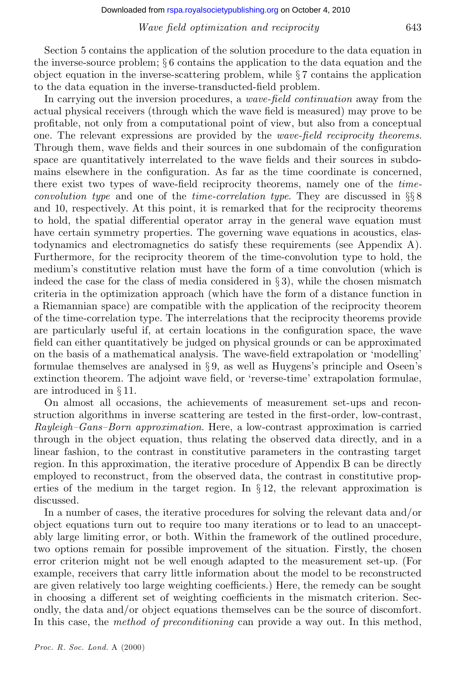*Wave field optimization and reciprocity* 643<br>Section 5 contains the application of the solution procedure to the data equation in Section 5 contains the application of the solution procedure to the data equation in the inverse-source problem;  $\S 6$  contains the application to the data equation and the object equation in the inverse-scattering proble Section 5 contains the application of the solution procedure to the data equation in the inverse-source problem;  $\S 6$  contains the application to the data equation and the object equation in the inverse-scattering proble the inverse-source problem;  $\S$ 6 contains the application to the data equation in the inverse-scattering problem, while  $\S$ 7 cont<br>to the data equation in the inverse-transducted-field problem.<br>In carrying out the inversio In the inverse-scattering problem, while  $\S 7$  contains the application<br>the data equation in the inverse-transducted-field problem.<br>In carrying out the inversion procedures, a *wave-field continuation* away from the<br>tual

to the data equation in the inverse-transducted-field problem.<br>In carrying out the inversion procedures, a *wave-field continuation* away from the actual physical receivers (through which the wave field is measured) may p profitable, not only from a computational point of view, but also from a conceptual actual physical receivers (through which the wave-field is measured) may prove to be<br>profitable, not only from a computational point of view, but also from a conceptual<br>one. The relevant expressions are provided by the *wa* one. The relevant expressions are provided by the *wave-field reciprocity theorems*.<br>Through them, wave fields and their sources in one subdomain of the configuration<br>space are quantitatively interrelated to the wave field Through them, wave fields and their sources in one subdomain of the configuration space are quantitatively interrelated to the wave fields and their sources in subdomains elsewhere in the configuration. As far as the time space are quantitatively interrelated to the wave fields and their sources in subdo-<br>mains elsewhere in the configuration. As far as the time coordinate is concerned,<br>there exist two types of wave-field reciprocity theorem mains elsewhere in the configuration. As far as the time coordinate is concerned, there exist two types of wave-field reciprocity theorems, namely one of the *time-convolution type* and one of the *time-correlation type*. there exist two types of wave-field reciprocity theorems, namely one of the *time-convolution type* and one of the *time-correlation type*. They are discussed in  $\S\S 8$  and 10, respectively. At this point, it is remarked and 10, respectively. At this point, it is remarked that for the reciprocity theorems to hold, the spatial differential operator array in the general wave equation must and 10, respectively. At this point, it is remarked that for the reciprocity theorems<br>to hold, the spatial differential operator array in the general wave equation must<br>have certain symmetry properties. The governing wave to hold, the spatial differential operator array in the general wave equation must<br>have certain symmetry properties. The governing wave equations in acoustics, elas-<br>todynamics and electromagnetics do satisfy these require have certain symmetry properties. The governing wave equations in acoustics, elastodynamics and electromagnetics do satisfy these requirements (see Appendix A).<br>Furthermore, for the reciprocity theorem of the time-convolut todynamics and electromagnetics do satisfy these requirements (see Appendix A).<br>Furthermore, for the reciprocity theorem of the time-convolution type to hold, the<br>medium's constitutive relation must have the form of a tim Furthermore, for the reciprocity theorem of the time-convolution type to hold, the medium's constitutive relation must have the form of a time convolution (which is indeed the case for the class of media considered in  $\S$ medium's constitutive relation must have the form of a time convolution (which is<br>indeed the case for the class of media considered in  $\S 3$ ), while the chosen mismatch<br>criteria in the optimization approach (which have th indeed the case for the class of media considered in  $\S 3$ ), while the chosen mismatch<br>criteria in the optimization approach (which have the form of a distance function in<br>a Riemannian space) are compatible with the appli criteria in the optimization approach (which have the form of a distance function in<br>a Riemannian space) are compatible with the application of the reciprocity theorems<br>of the time-correlation type. The interrelations that of the time-correlation type. The interrelations that the reciprocity theorems provide are particularly useful if, at certain locations in the configuration space, the wave of the time-correlation type. The interrelations that the reciprocity theorems provide<br>are particularly useful if, at certain locations in the configuration space, the wave<br>field can either quantitatively be judged on phys are particularly useful if, at certain locations in the configuration space, the wave-<br>field can either quantitatively be judged on physical grounds or can be approximated<br>on the basis of a mathematical analysis. The wave field can either quantitatively be judged on physical grounds or can be approximated<br>on the basis of a mathematical analysis. The wave-field extrapolation or 'modelling'<br>formulae themselves are analysed in  $\S 9$ , as well on the basis of a mathematical analysis. The wave-field extrapolation or 'modelling' formulae themselves are analysed in  $\S 9$ , as well as Huygens's principle and Oseen's extinction theorem. The adjoint wave field, or 're formulae themselves are<br>extinction theorem. The<br>are introduced in  $\S 11$ .<br>On almost all occasio extinction theorem. The adjoint wave field, or 'reverse-time' extrapolation formulae, are introduced in  $\S 11$ .<br>On almost all occasions, the achievements of measurement set-ups and recon-

are introduced in  $\S 11$ .<br>On almost all occasions, the achievements of measurement set-ups and reconstruction algorithms in inverse scattering are tested in the first-order, low-contrast,<br>Rauleigh-Gans-Born annoximation. On almost all occasions, the achievements of measurement set-ups and reconstruction algorithms in inverse scattering are tested in the first-order, low-contrast, *Rayleigh-Gans-Born approximation*. Here, a low-contrast app struction algorithms in inverse scattering are tested in the first-order, low-contrast, Rayleigh-Gans-Born approximation. Here, a low-contrast approximation is carried through in the object equation, thus relating the obse Rayleigh-Gans-Born approximation. Here, a low-contrast approximation is carried through in the object equation, thus relating the observed data directly, and in a linear fashion, to the contrast in constitutive parameters through in the object equation, thus relating the observed data directly, and in a linear fashion, to the contrast in constitutive parameters in the contrasting target region. In this approximation, the iterative procedure linear fashion, to the contrast in constitutive parameters in the contrasting target<br>region. In this approximation, the iterative procedure of Appendix B can be directly<br>employed to reconstruct, from the observed data, th region. In this approximation, the iterative procedure of Appendix B can be directly employed to reconstruct, from the observed data, the contrast in constitutive properties of the medium in the target region. In  $\S 12$ , discussed. In a number of cases, the iterative procedures for solving the relevant data and/or In a number of cases, the iterative procedures for solving the relevant data and/or

discussed.<br>In a number of cases, the iterative procedures for solving the relevant data and/or<br>object equations turn out to require too many iterations or to lead to an unaccept-<br>ably large limiting error, or both. Within In a number of cases, the iterative procedures for solving the relevant data and/or object equations turn out to require too many iterations or to lead to an unacceptably large limiting error, or both. Within the framewor object equations turn out to require too many iterations or to lead to an unaccept-<br>ably large limiting error, or both. Within the framework of the outlined procedure,<br>two options remain for possible improvement of the sit ably large limiting error, or both. Within the framework of the outlined procedure,<br>two options remain for possible improvement of the situation. Firstly, the chosen<br>error criterion might not be well enough adapted to the two options remain for possible improvement of the situation. Firstly, the chosen<br>error criterion might not be well enough adapted to the measurement set-up. (For<br>example, receivers that carry little information about the error criterion might not be well enough adapted to the measurement set-up. (For example, receivers that carry little information about the model to be reconstructed are given relatively too large weighting coefficients.) example, receivers that carry little information about the model to be reconstructed<br>are given relatively too large weighting coefficients.) Here, the remedy can be sought<br>in choosing a different set of weighting coefficie are given relatively too large weighting coefficients.) Here, the remedy can be sought<br>in choosing a different set of weighting coefficients in the mismatch criterion. Secondly, the data and/or object equations themselves in choosing a different set of weighting coefficients in the mismatch criterion. Sec-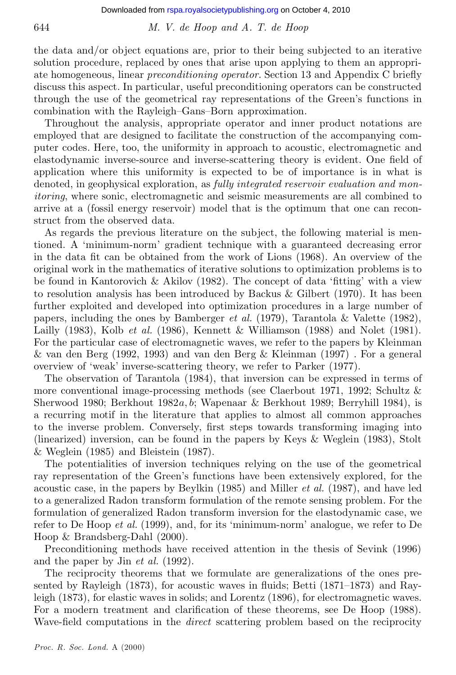644  $M. V. de Hoop and A. T. de Hoop$ <br>the data and/or object equations are, prior to their being subjected to an iterative solution procedure, replaced by ones that arise upon applying to them an approprithe data and/or object equations are, prior to their being subjected to an iterative<br>solution procedure, replaced by ones that arise upon applying to them an appropri-<br>ate homogeneous, linear *preconditioning operator*. Se solution procedure, replaced by ones that arise upon applying to them an appropri-<br>ate homogeneous, linear *preconditioning operator*. Section 13 and Appendix C briefly<br>discuss this aspect. In particular, useful preconditi ate homogeneous, linear *preconditioning operator*. Section 13 and Appendix C briefly discuss this aspect. In particular, useful preconditioning operators can be constructed through the use of the geometrical ray represent discuss this aspect. In particular, useful preconditioning operators can be constructed through the use of the geometrical ray representations of the Green's functions in combination with the Rayleigh–Gans–Born approximati

Throughout the analysis, appropriate operator and inner product notations are combination with the Rayleigh–Gans–Born approximation.<br>Throughout the analysis, appropriate operator and inner product notations are<br>employed that are designed to facilitate the construction of the accompanying com-<br>puter Throughout the analysis, appropriate operator and inner product notations are<br>employed that are designed to facilitate the construction of the accompanying com-<br>puter codes. Here, too, the uniformity in approach to acousti employed that are designed to facilitate the construction of the accompanying com-<br>puter codes. Here, too, the uniformity in approach to acoustic, electromagnetic and<br>elastodynamic inverse-source and inverse-scattering the puter codes. Here, too, the uniformity in approach to acoustic, electromagnetic and<br>elastodynamic inverse-source and inverse-scattering theory is evident. One field of<br>application where this uniformity is expected to be of elastodynamic inverse-source and inverse-scattering theory is evident. One field of application where this uniformity is expected to be of importance is in what is denoted, in geophysical exploration, as *fully integrated* application where this uniformity is expected to be of importance is in what is denoted, in geophysical exploration, as *fully integrated reservoir evaluation and mon-itoring*, where sonic, electromagnetic and seismic me denoted, in geophysical exploration, as *fully integrated reservoir evaluation and mon-*<br>*itoring*, where sonic, electromagnetic and seismic measurements are all combined to<br>arrive at a (fossil energy reservoir) model that itoring, where sonic, electromagnerive at a (fossil energy reservor<br>struct from the observed data.<br>As regards the previous litera rive at a (fossil energy reservoir) model that is the optimum that one can recon-<br>uct from the observed data.<br>As regards the previous literature on the subject, the following material is men-<br>and A 'minimum-norm' gradient

struct from the observed data.<br>As regards the previous literature on the subject, the following material is mentioned. A 'minimum-norm' gradient technique with a guaranteed decreasing error<br>in the data fit can be obtained tioned. A 'minimum-norm' gradient technique with a guaranteed decreasing error in the data fit can be obtained from the work of Lions (1968). An overview of the tioned. A 'minimum-norm' gradient technique with a guaranteed decreasing error<br>in the data fit can be obtained from the work of Lions (1968). An overview of the<br>original work in the mathematics of iterative solutions to o in the data fit can be obtained from the work of Lions (1968). An overview of the original work in the mathematics of iterative solutions to optimization problems is to be found in Kantorovich & Akilov (1982). The concept original work in the mathematics of iterative solutions to optimization problems is to<br>be found in Kantorovich & Akilov (1982). The concept of data 'fitting' with a view<br>to resolution analysis has been introduced by Backu be found in Kantorovich & Akilov (1982). The concept of data 'fitting' with a view<br>to resolution analysis has been introduced by Backus & Gilbert (1970). It has been<br>further exploited and developed into optimization proce to resolution analysis has been introduced by Backus & Gilbert (1970). It has been<br>further exploited and developed into optimization procedures in a large number of<br>papers, including the ones by Bamberger *et al.* (1979), further exploited and developed into optimization procedures in a large number of papers, including the ones by Bamberger *et al.* (1979), Tarantola & Valette (1982), Lailly (1983), Kolb *et al.* (1986), Kennett & Williams papers, including the ones by Bamberger *et al.* (1979), Tarantola & Valette (1982), Lailly (1983), Kolb *et al.* (1986), Kennett & Williamson (1988) and Nolet (1981).<br>For the particular case of electromagnetic waves, we Lailly (1983), Kolb *et al.* (1986), Kennett & Williamson (1988) and Nolet (1981).<br>For the particular case of electromagnetic waves, we refer to the papers by Kleinman & van den Berg (1992, 1993) and van den Berg & Kleinm For the particular case of electromagnetic waves, we refer to the papers by Kleinman  $\&$  van den Berg (1992, 1993) and van den Berg  $\&$  Kleinman (1997). For a general overview of 'weak' inverse-scattering theory, we ref

The observation of Tarantola (1984), that inversion can be expressed in terms of more conventional image-processing methods (see Claerbout 1971, 1992; Schultz & Sherwood 1980; Berkhout 1982a, b; Wapenaar & Berkhout 1989; Berryhill 1984), is a recurring motif in the literature that applies to almost all common approaches Sherwood 1980; Berkhout 1982a, b; Wapenaar & Berkhout 1989; Berryhill 1984), is<br>a recurring motif in the literature that applies to almost all common approaches<br>to the inverse problem. Conversely, first steps towards tran a recurring motif in the literature that applies to almost all common approaches<br>to the inverse problem. Conversely, first steps towards transforming imaging into<br>(linearized) inversion, can be found in the papers by Keys to the inverse problem. Conversely, first<br>(linearized) inversion, can be found in th<br>& Weglein (1985) and Bleistein (1987).<br>The potentialities of inversion technic nearized) inversion, can be found in the papers by Keys & Weglein (1983), Stolt<br>Weglein (1985) and Bleistein (1987).<br>The potentialities of inversion techniques relying on the use of the geometrical<br>v representation of the

& Weglein (1985) and Bleistein (1987).<br>The potentialities of inversion techniques relying on the use of the geometrical<br>ray representation of the Green's functions have been extensively explored, for the<br>acoustic case in The potentialities of inversion techniques relying on the use of the geometrical<br>ray representation of the Green's functions have been extensively explored, for the<br>acoustic case, in the papers by Beylkin (1985) and Miller ray representation of the Green's functions have been extensively explored, for the acoustic case, in the papers by Beylkin (1985) and Miller *et al.* (1987), and have led to a generalized Radon transform formulation of t acoustic case, in the papers by Beylkin (1985) and Miller *et al.* (1987), and have led<br>to a generalized Radon transform formulation of the remote sensing problem. For the<br>formulation of generalized Radon transform invers to a generalized Radon transform formulation of the remote sensing problem. For the formulation of generalized Radon transform inversion for the elastodynamic case, we refer to De Hoop *et al.* (1999), and, for its 'minim formulation of generalized Radon trefer to De Hoop *et al.* (1999), and,<br>Hoop & Brandsberg-Dahl (2000).<br>Preconditioning methods have re For to De Hoop *et al.* (1999), and, for its 'minimum-norm' analogue, we refer to De<br>pop & Brandsberg-Dahl (2000).<br>Preconditioning methods have received attention in the thesis of Sevink (1996)<br>d the paper by Jin *et al.* 

Hoop & Brandsberg-Dahl (2000).<br>Preconditioning methods have received attention in the thesis of Sevink (1996) and the paper by Jin *et al.* (1992).

The reciprocity theorems that we formulate are generalizations of the ones preand the paper by Jin *et al.* (1992).<br>The reciprocity theorems that we formulate are generalizations of the ones presented by Rayleigh (1873), for acoustic waves in fluids; Betti (1871–1873) and Rayleigh (1873) for elasti The reciprocity theorems that we formulate are generalizations of the ones pre-<br>sented by Rayleigh (1873), for acoustic waves in fluids; Betti (1871–1873) and Ray-<br>leigh (1873), for elastic waves in solids; and Lorentz (18 sented by Rayleigh (1873), for acoustic waves in fluids; Betti (1871–1873) and Rayleigh (1873), for elastic waves in solids; and Lorentz (1896), for electromagnetic waves.<br>For a modern treatment and clarification of these leigh (1873), for elastic waves in solids; and Lorentz (1896), for electromagnetic waves.<br>For a modern treatment and clarification of these theorems, see De Hoop (1988).<br>Wave-field computations in the *direct* scattering p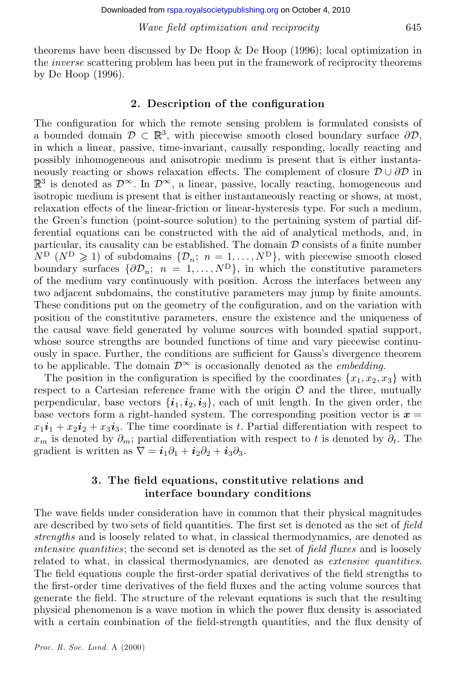Wave field optimization and reciprocity 645<br>theorems have been discussed by De Hoop & De Hoop (1996); local optimization in theorems have been discussed by De Hoop & De Hoop (1996); local optimization in the *inverse* scattering problem has been put in the framework of reciprocity theorems by De Hoop (1996). theorems have been d<br>the *inverse* scattering<br>by De Hoop (1996).

### 2. Description of the configuration

The configuration for which the remote sensing problem is formulated consists of **2. Description of the comiguration**<br>The configuration for which the remote sensing problem is formulated consists of<br>a bounded domain  $\mathcal{D} \subset \mathbb{R}^3$ , with piecewise smooth closed boundary surface  $\partial \mathcal{D}$ ,<br>in whi The configuration for which the remote sensing problem is formulated consists of<br>a bounded domain  $\mathcal{D} \subset \mathbb{R}^3$ , with piecewise smooth closed boundary surface  $\partial \mathcal{D}$ ,<br>in which a linear, passive, time-invariant, c a bounded domain  $\mathcal{D} \subset \mathbb{R}^3$ , with piecewise smooth closed boundary surface  $\partial \mathcal{D}$ ,<br>in which a linear, passive, time-invariant, causally responding, locally reacting and<br>possibly inhomogeneous and anisotropic m in which a linear, passive, time-invariant, causally responding, locally reacting and possibly inhomogeneous and anisotropic medium is present that is either instantaneously reacting or shows relaxation effects. The compl  $3$  is sibly inhomogeneous and anisotropic medium is present that is either instanta-<br>usly reacting or shows relaxation effects. The complement of closure  $\mathcal{D} \cup \partial \mathcal{D}$  in<br>is denoted as  $\mathcal{D}^{\infty}$ . In  $\mathcal{D}^{\infty}$ , a li neously reacting or shows relaxation effects. The complement of closure  $\mathcal{D} \cup \partial \mathcal{D}$  in  $\mathbb{R}^3$  is denoted as  $\mathcal{D}^{\infty}$ . In  $\mathcal{D}^{\infty}$ , a linear, passive, locally reacting, homogeneous and isotropic medium  $\mathbb{R}^3$  is denoted as  $\mathcal{D}^{\infty}$ . In  $\mathcal{D}^{\infty}$ , a linear, passive, locally reacting, homogeneous and isotropic medium is present that is either instantaneously reacting or shows, at most, relaxation effects of t isotropic medium is present that is either instantaneously reacting or shows, at most, relaxation effects of the linear-friction or linear-hysteresis type. For such a medium, the Green's function (point-source solution) to relaxation effects of the linear-friction or linear-hysteresis type. For such a medium,<br>the Green's function (point-source solution) to the pertaining system of partial dif-<br>ferential equations can be constructed with the the Green's function (point-source solution) to the pertaining system of partial dif-<br>ferential equations can be constructed with the aid of analytical methods, and, in<br>particular, its causality can be established. The do ferential equations can be constructed with the aid of analytical methods, and, in particular, its causality can be established. The domain  $D$  consists of a finite number  $N^D$   $(N^D \ge 1)$  of subdomains  $\{\mathcal{D}_n; n = 1, ..., N^$ particular, its causality can be established. The domain  $D$  consists of a finite number  $N^D$  ( $N^D \geq 1$ ) of subdomains  $\{D_n; n = 1, ..., N^D\}$ , with piecewise smooth closed boundary surfaces  $\{\partial D_n; n = 1, ..., N^D\}$ , in which th  $N^D$  ( $N^D \geq 1$ ) of subdomains  $\{\mathcal{D}_n; n = 1, ..., N^D\}$ , with piecewise smooth closed<br>boundary surfaces  $\{\partial \mathcal{D}_n; n = 1, ..., N^D\}$ , in which the constitutive parameters<br>of the medium vary continuously with position. Across boundary surfaces  $\{\partial \mathcal{D}_n; n = 1, ..., N^D\}$ , in which the constitutive parameters of the medium vary continuously with position. Across the interfaces between any two adjacent subdomains, the constitutive parameters may ju of the medium vary continuously with position. Across the interfaces between any two adjacent subdomains, the constitutive parameters may jump by finite amounts. These conditions put on the geometry of the configuration, a two adjacent subdomains, the constitutive parameters may jump by finite amounts.<br>These conditions put on the geometry of the configuration, and on the variation with<br>position of the constitutive parameters, ensure the exis These conditions put on the geometry of the configuration, and on the variation with<br>position of the constitutive parameters, ensure the existence and the uniqueness of<br>the causal wave field generated by volume sources wit position of the constitutive parameters, ensure the existence and the uniqueness of<br>the causal wave field generated by volume sources with bounded spatial support,<br>whose source strengths are bounded functions of time and v the causal wave field generated by volume sources with bounded spatial support,<br>whose source strengths are bounded functions of time and vary piecewise continu-<br>ously in space. Further, the conditions are sufficient for G whose source strengths are bounded functions of time and vary piecewise continuously in space. Further, the conditions are sufficient for Gauss's divergence theorem to be applicable. The domain  $\mathcal{D}^{\infty}$  is occasional

to be applicable. The domain  $\mathcal{D}^{\infty}$  is occasionally denoted as the *embedding*.<br>The position in the configuration is specified by the coordinates  $\{x_1, x_2, x_3\}$  with respect to a Cartesian reference frame with t The position in the configuration is specified by the coordinates  $\{x_1, x_2, x_3\}$  with respect to a Cartesian reference frame with the origin  $\mathcal O$  and the three, mutually perpendicular, base vectors  $\{i_1, i_2, i_3\}$ , respect to a Cartesian reference frame with the origin  $\mathcal O$  and the three, mutually perpendicular, base vectors  $\{i_1, i_2, i_3\}$ , each of unit length. In the given order, the base vectors form a right-handed system. Th perpendicular, base vectors  $\{i_1, i_2, i_3\}$ , each of unit length. In the given order, the base vectors form a right-handed system. The corresponding position vector is  $x = x_1 i_1 + x_2 i_2 + x_3 i_3$ . The time coordinate is t. base vectors form a right-handed system. The corresponding position vector is  $x = x_1 i_1 + x_2 i_2 + x_3 i_3$ . The time coordinate is t. Partial differentiation with respect to  $x_m$  is denoted by  $\partial_n$ ; partial differentiation w  $x_1 i_1 + x_2 i_2 + x_3 i_3$ . The time coordinate is t. P.<br>  $x_m$  is denoted by  $\partial_m$ ; partial differentiation wit<br>
gradient is written as  $\nabla = i_1 \partial_1 + i_2 \partial_2 + i_3 \partial_3$ .

# The as  $v = i_1 o_1 + i_2 o_2 + i_3 o_3$ .<br>
3. The field equations, constitutive relations and<br>
interface boundary conditions ld equations, constitutive relatio<br>interface boundary conditions

interface boundary conditions<br>The wave fields under consideration have in common that their physical magnitudes The wave fields under consideration have in common that their physical magnitudes<br>are described by two sets of field quantities. The first set is denoted as the set of *field*<br>*strenaths* and is loosely related to what, in The wave fields under consideration have in common that their physical magnitudes are described by two sets of field quantities. The first set is denoted as the set of *field strengths* and is loosely related to what, in *are* described by two sets of field quantities. The first set is denoted as the set of *field strengths* and is loosely related to what, in classical thermodynamics, are denoted as *intensive quantities*; the second set strengths and is loosely related to what, in classical thermodynamics, are denoted as *intensive quantities*; the second set is denoted as the set of *field fluxes* and is loosely related to what, in classical thermodynami related to what, in classical thermodynamics, are denoted as *extensive quantities*.<br>The field equations couple the first-order spatial derivatives of the field strengths to<br>the first-order time derivatives of the field fl The field equations couple the first-order spatial derivatives of the field strengths to<br>the first-order time derivatives of the field fluxes and the acting volume sources that<br>generate the field. The structure of the rele the first-order time derivatives of the field fluxes and the acting volume sources that<br>generate the field. The structure of the relevant equations is such that the resulting<br>physical phenomenon is a wave motion in which t generate the field. The structure of the relevant equations is such that the resulting<br>physical phenomenon is a wave motion in which the power flux density is associated<br>with a certain combination of the field-strength qua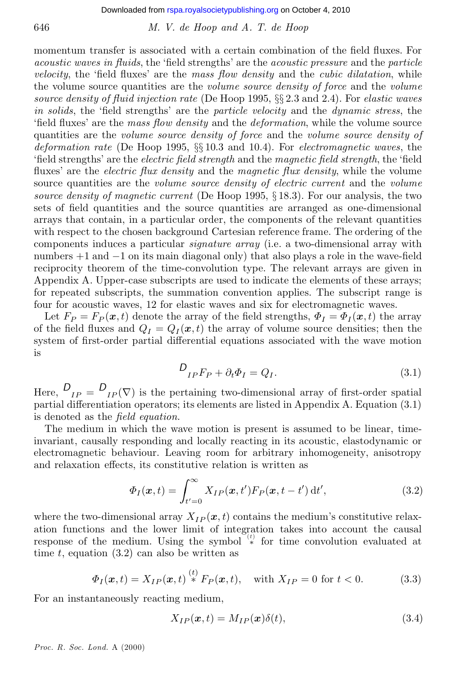646  $M.$  *V. de Hoop and A. T. de Hoop* momentum transfer is associated with a certain combination of the field fluxes. For momentum transfer is associated with a certain combination of the field fluxes. For *acoustic waves in fluids*, the 'field strengths' are the *acoustic pressure* and the *particle velocitu*, the 'field fluxes' are the *m* momentum transfer is associated with a certain combination of the field fluxes. For *acoustic waves in fluids*, the 'field strengths' are the *acoustic pressure* and the *particle velocity*, the 'field fluxes' are the *m* acoustic waves in fluids, the 'field strengths' are the *acoustic pressure* and the *particle*<br>velocity, the 'field fluxes' are the *mass flow density* and the *cubic dilatation*, while<br>the volume source quantities are the *velocity*, the 'field fluxes' are the *mass flow density* and the *cubic dilatation*, while the volume source quantities are the *volume source density of force* and the *volume* source density of *fluid injection rate* ( the volume source quantities are the *volume source density of force* and the *volume*<br>source density of fluid injection rate (De Hoop 1995, §§ 2.3 and 2.4). For elastic waves<br>in solids, the 'field strengths' are the *part* source density of fluid injection rate (De Hoop 1995,  $\S\S 2.3$  and 2.4). For elastic waves<br>in solids, the 'field strengths' are the *particle velocity* and the *dynamic stress*, the<br>'field fluxes' are the *mass flow densi* in solids, the 'field strengths' are the *particle velocity* and the *dynamic stress*, the 'field fluxes' are the *mass flow density* and the *deformation*, while the volume source quantities are the *volume source density deformation, while the volume source* quantities are the *volume source density of force* and the *volume source density of deformation rate* (De Hoop 1995, §§10.3 and 10.4). For *electromagnetic waves*, the *field stre* quantities are the *volume source density of force* and the *volume source density of*<br>deformation rate (De Hoop 1995, §§ 10.3 and 10.4). For *electromagnetic waves*, the<br>'field strengths' are the *electric field strength* deformation rate (De Hoop 1995, §§ 10.3 and 10.4). For *electromagnetic waves*, the 'field strengths' are the *electric field strength* and the *magnetic field strength*, the 'field fluxes' are the *electric flux density* field strengths' are the *electric field strength* and the *magnetic field strength*, the 'field' fluxes' are the *electric flux density* and the *magnetic flux density*, while the volume<br>source quantities are the *volume source density of electric current* and the *volume*<br>*source density of magnetic current* (De Hoop source quantities are the *volume source density of electric current* and the *volume* source density of magnetic current (De Hoop 1995, § 18.3). For our analysis, the two sets of field quantities and the source quantitie sets of field quantities and the source quantities are arranged as one-dimensional arrays that contain, in a particular order, the components of the relevant quantities with respect to the chosen background Cartesian refer sets of field quantities and the source quantities are arranged as one-dimensional arrays that contain, in a particular order, the components of the relevant quantities with respect to the chosen background Cartesian refe arrays that contain, in a particular order, the components of the relevant quantities<br>with respect to the chosen background Cartesian reference frame. The ordering of the<br>components induces a particular *signature array* components induces a particular *signature array* (i.e. a two-dimensional array with numbers  $+1$  and  $-1$  on its main diagonal only) that also plays a role in the wave-field reciprocity theorem of the time-convolution ty numbers  $+1$  and  $-1$  on its main diagonal only) that also plays a role in the wave-field numbers  $+1$  and  $-1$  on its main diagonal only) that also plays a role in the wave-field<br>reciprocity theorem of the time-convolution type. The relevant arrays are given in<br>Appendix A. Upper-case subscripts are used to in reciprocity theorem of the time-convolution type. The relevant arrays are given in Appendix A. Upper-case subscripts are used to indicate the elements of these arrays; for repeated subscripts, the summation convention appl Appendix A. Upper-case subscripts are used to indicate the elements of these arrafor repeated subscripts, the summation convention applies. The subscript rang four for acoustic waves, 12 for elastic waves and six for elec for repeated subscripts, the summation convention applies. The subscript range is four for acoustic waves, 12 for elastic waves and six for electromagnetic waves. Let  $F_P = F_P(\mathbf{x}, t)$  denote the array of the field strengths

four for acoustic waves, 12 for elastic waves and six for electromagnetic waves.<br>Let  $F_P = F_P(\mathbf{x}, t)$  denote the array of the field strengths,  $\Phi_I = \Phi_I(\mathbf{x}, t)$  the array of the field fluxes and  $Q_I = Q_I(\mathbf{x}, t)$  the array of v Let  $F_P = F_P(\mathbf{x}, t)$  denote the array of the field strengths,  $\Phi_I = \Phi_I(\mathbf{x}, t)$  the array of the field fluxes and  $Q_I = Q_I(\mathbf{x}, t)$  the array of volume source densities; then the system of first-order partial differential equat is

$$
D_{IP}F_P + \partial_t \Phi_I = Q_I. \tag{3.1}
$$

Here,  $D_{IP} = D_{IP}(\nabla$  $D_{IP}F_P + \partial_t \Phi_I = Q_I.$  (3.1)<br>  $_{IP}(\nabla)$  is the pertaining two-dimensional array of first-order spatial<br>
iation operators: its elements are listed in Appendix A. Equation (3.1) Here,  $D_{IP} = D_{IP}(\nabla)$  is the pertaining two-dimensional array of first-order spatial<br>partial differentiation operators; its elements are listed in Appendix A. Equation (3.1)<br>is denoted as the field equation. Here,  $\mathcal{D}_{IP} = \mathcal{D}_{IP}(\nabla)$  is the pertaining two-dimensional array of first-order spatial<br>partial differentiation operators; its elements are listed in Appendix A. Equation (3.1)<br>is denoted as the *field equation*.<br>Th

is denoted as the *field equation*.<br>The medium in which the wave motion is present is assumed to be linear, time-<br>invariant, causally responding and locally reacting in its acoustic, elastodynamic or<br>electromagnetic behavi The medium in which the wave motion is present is assumed to be linear, time-<br>invariant, causally responding and locally reacting in its acoustic, elastodynamic or<br>electromagnetic behaviour. Leaving room for arbitrary inho invariant, causally responding and locally reacting in its acouselectromagnetic behaviour. Leaving room for arbitrary inhound relaxation effects, its constitutive relation is written as

s, its constitutive relation is written as  
\n
$$
\Phi_I(\mathbf{x}, t) = \int_{t'=0}^{\infty} X_{IP}(\mathbf{x}, t') F_P(\mathbf{x}, t - t') dt',
$$
\n(3.2)

where the two-dimensional array  $X_{IP}(\mathbf{x}, t)$  contains the medium's constitutive relaxation functions and the lower limit of integration takes into account the causal where the two-dimensional array  $X_{IP}(\mathbf{x}, t)$  contains the medium's constitutive relax-<br>ation functions and the lower limit of integration takes into account the causal<br>response of the medium. Using the symbol  $\stackrel{(t)}{\ast}$ ation functions and the lower limit of integries<br>propose of the medium. Using the symbol  $(3.2)$  can also be written as time  $t$ , equation  $(3.2)$  can also be written as

tion (3.2) can also be written as  
\n
$$
\Phi_I(\boldsymbol{x}, t) = X_{IP}(\boldsymbol{x}, t) \stackrel{(t)}{*}{} F_P(\boldsymbol{x}, t), \text{ with } X_{IP} = 0 \text{ for } t < 0.
$$
\n(3.3)

For an instantaneously reacting medium,

ng medium,  
\n
$$
X_{IP}(\boldsymbol{x},t) = M_{IP}(\boldsymbol{x})\delta(t),
$$
\n(3.4)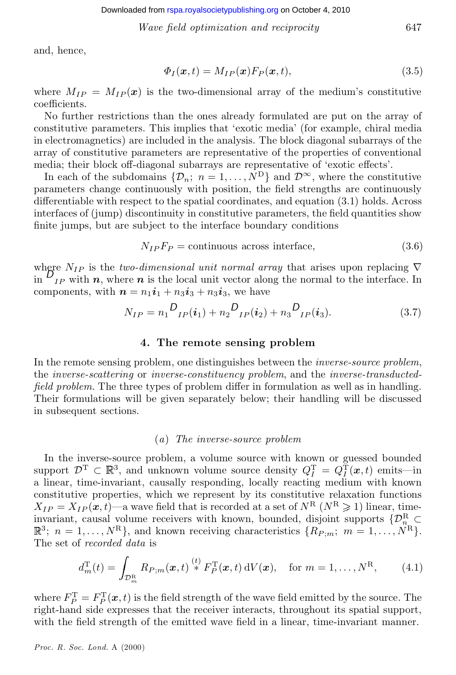Downloaded from rspa.royalsocietypublishing.org on October 4, 2010

*Wave*field optimization and reciprocity 647

and, hence,

$$
\Phi_I(\boldsymbol{x},t) = M_{IP}(\boldsymbol{x}) F_P(\boldsymbol{x},t),
$$
\n(3.5)

 $\Phi_I(\mathbf{x}, t) = M_{IP}(\mathbf{x}) F_P(\mathbf{x}, t),$ (3.5)<br>
where  $M_{IP} = M_{IP}(\mathbf{x})$  is the two-dimensional array of the medium's constitutive<br>
coefficients. where  $M_{IP}$  = coefficients.<br>No further net  $M_{IP} = M_{IP}(\boldsymbol{x})$  is the two-dimensional array of the medium's constitutive efficients.<br>No further restrictions than the ones already formulated are put on the array of nstitutive parameters. This implies that 'exotic

coefficients.<br>No further restrictions than the ones already formulated are put on the array of constitutive parameters. This implies that 'exotic media' (for example, chiral media in electromagnetics) are included in the a No further restrictions than the ones already formulated are put on the array of constitutive parameters. This implies that 'exotic media' (for example, chiral media in electromagnetics) are included in the analysis. The b constitutive parameters. This implies that 'exotic media' (for example, chiral media<br>in electromagnetics) are included in the analysis. The block diagonal subarrays of the<br>array of constitutive parameters are representativ array of constitutive parameters are representative of the properties of conventional media; their block off-diagonal subarrays are representative of 'exotic effects'. ray of constitutive parameters are representative of the properties of conventional<br>edia; their block off-diagonal subarrays are representative of 'exotic effects'.<br>In each of the subdomains  $\{D_n; n = 1, ..., N^D\}$  and  $D^{\infty}$ 

media; their block off-diagonal subarrays are representative of 'exotic effects'.<br>In each of the subdomains  $\{\mathcal{D}_n; n = 1, ..., N^D\}$  and  $\mathcal{D}^{\infty}$ , where the constitutive<br>parameters change continuously with position, th In each of the subdomains  $\{\mathcal{D}_n; n = 1, ..., N^D\}$  and  $\mathcal{D}^{\infty}$ , where the constitutive<br>parameters change continuously with position, the field strengths are continuously<br>differentiable with respect to the spatial coor parameters change continuously with position, the field strengths are continuously differentiable with respect to the spatial coordinates, and equation (3.1) holds. Across interfaces of (jump) discontinuity in constitutive differentiable with respect to the spatial coordinates, and equation  $(3.1)$  holds. Across interfaces of  $(jump)$  discontinuity in constitutive parameters, the field quantities show finite jumps, but are subject to the interface boundary conditions

$$
N_{IP}F_P = \text{continuous across interface},\tag{3.6}
$$

 $N_{IP}F_P = \text{continuous across interface},$  (3.6)<br>where  $N_{IP}$  is the *two-dimensional unit normal array* that arises upon replacing  $\nabla$ <br>in  $P_{IP}$  with **n**, where **n** is the local unit vector along the normal to the interface. In where  $N_{IP}$  is the *two-dimensional unit normal array*<br>
in  $D_{IP}$  with  $n$ , where  $n$  is the local unit vector along to<br>
components, with  $n = n_1 i_1 + n_3 i_3 + n_3 i_3$ , we have The  $N_{IP}$  is the *two-dimensional unit normal array* that arises upon replacing  $\nabla_{IP}$  with  $n$ , where  $n$  is the local unit vector along the normal to the interface. In popents, with  $n = n_1 i_1 + n_2 i_2 + n_3 i_3$ , we have

$$
\mathbf{u} = n_1 \mathbf{i}_1 + n_3 \mathbf{i}_3 + n_3 \mathbf{i}_3, \text{ we have}
$$
  

$$
N_{IP} = n_1 \frac{D_{IP}(\mathbf{i}_1) + n_2 D_{IP}(\mathbf{i}_2) + n_3 D_{IP}(\mathbf{i}_3). \tag{3.7}
$$

### 4. The remote sensing problem

In the remote sensing problem, one distinguishes between the *inverse-source problem*, the *inverse-scattering* or *inverse-constituency problem*, and the *inverse-transducted-* In the remote sensing problem, one distinguishes between the *inverse-source problem*, the *inverse-scattering* or *inverse-constituency problem*, and the *inverse-transducted-field problem*. The three types of problem dif the *inverse-scattering* or *inverse-constituency problem*, and the *inverse-transducted-*<br>*field problem*. The three types of problem differ in formulation as well as in handling.<br>Their formulations will be given separate Their formulations will be given separately below; their handling will be discussed in subsequent sections.

### (*a*) *The inverse-source problem*

In the inverse-source problem, a volume source with known or guessed bounded support  $\mathcal{D}^{\mathrm{T}} \subset \mathbb{R}^3$ , a ource problem, a volume source with known or guessed bounded<br>, and unknown volume source density  $Q_I^T = Q_I^T(x,t)$  emits—in<br>griant causally responding locally reacting medium with known In the inverse-source problem, a volume source with known or guessed bounded<br>support  $\mathcal{D}^T \subset \mathbb{R}^3$ , and unknown volume source density  $Q_I^T = Q_I^T(\boldsymbol{x}, t)$  emits—in<br>a linear, time-invariant, causally responding, local support  $\mathcal{D}^T \subset \mathbb{R}^3$ , and unknown volume source density  $Q_I^T = Q_I^T(\boldsymbol{x}, t)$  emits—in<br>a linear, time-invariant, causally responding, locally reacting medium with known<br>constitutive properties, which we represent by a linear, time-invariant, causally responding, locally reacting medium with known<br>constitutive properties, which we represent by its constitutive relaxation functions<br> $X_{IP} = X_{IP}(x, t)$ —a wave field that is recorded at a set constitutive properties, which we represent by its constitutive relaxation functions  $X_{IP} = X_{IP}(x, t)$ —a wave field that is recorded at a set of  $N^R (N^R \ge 1)$  linear, time-<br>invariant, causal volume receivers with known, bo invariant, causal volume receivers with known, bounded, disjoint supports  $\{\mathcal{D}_n^R\subset$  $3.7$  $X_{IP} = X_{IP}(\boldsymbol{x}, t)$ —a wave field that is recorded at a set of  $N^R$  ( $N^R \ge 1$ ) linear, time-<br>invariant, causal volume receivers with known, bounded, disjoint supports  $\{D_n^R \subset \mathbb{R}^3; n = 1, ..., N^R\}$ , and known receiving ch The set of *recorded data* is

f recorded data is  
\n
$$
d_m^{\mathrm{T}}(t) = \int_{\mathcal{D}_m^{\mathrm{R}}} R_{P;m}(\boldsymbol{x},t) \stackrel{(t)}{*} F_P^{\mathrm{T}}(\boldsymbol{x},t) \, \mathrm{d}V(\boldsymbol{x}), \quad \text{for } m = 1,\dots,N^{\mathrm{R}}, \qquad (4.1)
$$

 $u_m(t) = \int_{\mathcal{D}_m^R} h P_{m}(x, t) * P_{P}(x, t) dV(x),$  for  $m = 1, ..., N$ , (4.1)<br>where  $F_P^T = F_P^T(x, t)$  is the field strength of the wave field emitted by the source. The<br>right-hand side expresses that the receiver interacts throughout its where  $F_P^T = F_P^T(\boldsymbol{x}, t)$  is the field strength of the wave field emitted by the source. The right-hand side expresses that the receiver interacts, throughout its spatial support, with the field strength of the emitted wav where  $F_P^{\mathrm{T}} = F_P^{\mathrm{T}}(\boldsymbol{x}, t)$  is the field strength of the wave field emitted by the source. The right-hand side expresses that the receiver interacts, throughout its spatial support, with the field strength of the emitt with the field strength of the emitted wave field in a linear, time-invariant manner.<br>*Proc. R. Soc. Lond.* A (2000)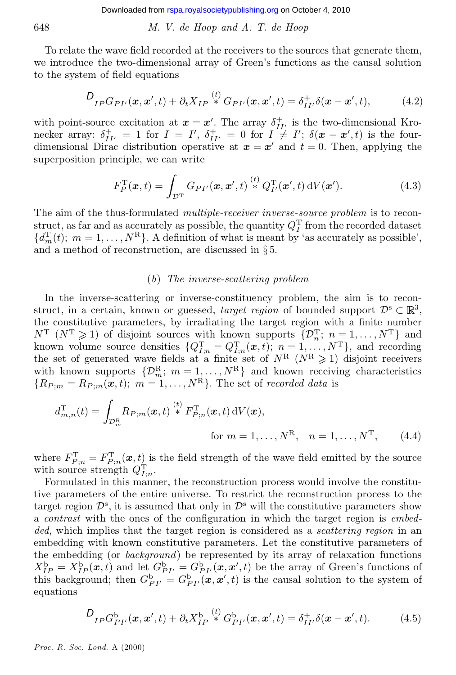648  $M.$  *V. de Hoop and A. T. de Hoop*<br>To relate the wave field recorded at the receivers to the sources that generate them, To relate the wave field recorded at the receivers to the sources that generate them, we introduce the two-dimensional array of Green's functions as the causal solution to the system of field equations To relate the wave field recorded<br>we introduce the two-dimensional<br>to the system of field equations

em of held equations  
\n
$$
D_{IP}G_{PI'}(\boldsymbol{x}, \boldsymbol{x}', t) + \partial_t X_{IP} \stackrel{(t)}{*} {^c} G_{PI'}(\boldsymbol{x}, \boldsymbol{x}', t) = \delta_{II'}^+ \delta(\boldsymbol{x} - \boldsymbol{x}', t), \tag{4.2}
$$

 $D_{IP}G_{PI'}(x, x', t) + \partial_t X_{IP} \stackrel{(t)}{*}{} G_{PI'}(x, x', t) = \delta_{II'}^+ \delta(x - x', t),$  (4.2)<br>with point-source excitation at  $x = x'$ . The array  $\delta_{II'}^+$  is the two-dimensional Kro-<br>necker array:  $\delta_{II'}^+ = 1$  for  $I = I'$ ,  $\delta_{II'}^+ = 0$  for  $I \neq I'$ ; with point-source excitation at  $x = x$ <br>necker array:  $\delta_{II'}^+ = 1$  for  $I = I'$ ,  $\delta$ <br>dimensional Dirac distribution opera ',  $\delta^+_{II'}$  = <sup>1</sup><br>
I'. The array  $\delta_{II'}^+$  is th<br>  $I_{II'}^+ = 0$  for  $I \neq I'$ ;  $\delta$ <br>
tive at  $x = x'$  and  $t =$  $\delta(\boldsymbol{x}-\boldsymbol{x}',t)$  : imensional Kro-<br> $\langle t, t \rangle$  is the four-<br>en applying the with point-source excitation at  $x = x'$ . The array  $\delta_{II'}^+$  is the two-dimensional Kronecker array:  $\delta_{II'}^+ = 1$  for  $I = I'$ ,  $\delta_{II'}^+ = 0$  for  $I \neq I'$ ;  $\delta(x - x', t)$  is the four-dimensional Dirac distribution operative at  $x$ necker array:  $\delta_{II'}^+ = 1$  for  $I = I', \delta_{II'}^+$ <br>dimensional Dirac distribution operativ<br>superposition principle, we can write superposition principle, we can write

nciple, we can write  
\n
$$
F_P^{\mathrm{T}}(\boldsymbol{x},t) = \int_{\mathcal{D}^{\mathrm{T}}} G_{PI'}(\boldsymbol{x},\boldsymbol{x}',t) \stackrel{(t)}{*} Q_{I'}^{\mathrm{T}}(\boldsymbol{x}',t) \, \mathrm{d}V(\boldsymbol{x}'). \tag{4.3}
$$

The aim of the thus-formulated *multiple-receiver inverse-source problem* is to recon-The aim of the thus-formulated *multiple-receiver inverse-source problem* is to reconstruct, as far and as accurately as possible, the quantity  $Q_I^T$  from the recorded dataset  $\{d^T(t) \cdot m = 1 \}$   $N^R$ . A definition of wha The aim of the thus-formulated *multiple-receiver inverse-source problem* is to reconstruct, as far and as accurately as possible, the quantity  $Q_I^T$  from the recorded dataset  $\{d_m^T(t); m = 1, ..., N^R\}$ . A definition of what struct, as far and as accurately as possible, the quantity  $\{d_m^{\mathrm{T}}(t); m = 1, ..., N^{\mathrm{R}}\}$ . A definition of what is meant and a method of reconstruction, are discussed in §5. and a method of reconstruction, are discussed in § 5.<br>(*b*) *The inverse-scattering problem* 

In the inverse-scattering or inverse-constituency problem, the aim is to recon-(a) The inverse-scattering problem, the aim is to reconstruct, in a certain, known or guessed, *target region* of bounded support  $\mathcal{D}^s \subset \mathbb{R}^3$ , the constitutive parameters by irradiating the target region with a f In the inverse-scattering or inverse-constituency problem, the aim is to reconstruct, in a certain, known or guessed, *target region* of bounded support  $\mathcal{D}^s \subset \mathbb{R}^3$ , the constitutive parameters, by irradiating th struct, in a certain, known or guessed, *target region* of bounded support  $\mathcal{D}^s \subset \mathbb{R}^3$ , the constitutive parameters, by irradiating the target region with a finite number  $N^T$   $(N^T \geq 1)$  of disjoint sources wit the constitutive parameters, by irradiating the target region with a finite number  $N^T$  ( $N^T \ge 1$ ) of disjoint sources with known supports  $\{\mathcal{D}_n^T; n = 1, ..., N^T\}$  and known volume source densities  $\{Q_{1,n}^T = Q_{1,n}^T(\boldsymbol$  $N^T$   $(N^T \geq 1)$  of disjoint sources with known supports  $\{\mathcal{D}_n^T; n = 1, ..., N^T\}$  and<br>known volume source densities  $\{Q_{I,n}^T = Q_{I,n}^T(\boldsymbol{x},t); n = 1, ..., N^T\}$ , and recording<br>the set of generated wave fields at a finite set of known volume source densities  $\{Q_{I,n}^{\mathrm{T}} = Q_{I,n}^{\mathrm{T}}(\boldsymbol{x},t); n = 1,\ldots,N^{\mathrm{T}}\}$ , and recording<br>the set of generated wave fields at a finite set of  $N^{\mathrm{R}}$  ( $N^{\mathrm{R}} \geq 1$ ) disjoint receivers<br>with known supports  $\{D_m^{\mathrm{R$ the set of generated wave fields at a finite set of  $N^R$  ( $N^R \ge 1$ ) di<br>with known supports  $\{D_m^R; m = 1, ..., N^R\}$  and known receiving<br> $\{R_{P,m} = R_{P,m}(x,t); m = 1, ..., N^R\}$ . The set of *recorded data* is

$$
H_{m,n}(t) = K_{P;m}(\boldsymbol{x},t); \quad m = 1,\ldots,N^{\text{IV}}.\text{ The set of recorded data is}
$$
\n
$$
d_{m,n}^{\text{T}}(t) = \int_{\mathcal{D}_m^{\text{R}}} R_{P;m}(\boldsymbol{x},t) \ast F_{P;n}^{\text{T}}(\boldsymbol{x},t) \, \mathrm{d}V(\boldsymbol{x}),
$$
\n
$$
\text{for } m = 1,\ldots,N^{\text{R}}, \quad n = 1,\ldots,N^{\text{T}},\tag{4.4}
$$

for  $m = 1, ..., N^R$ ,  $n = 1, ..., N^T$ , (4.4)<br>where  $F_{P,n}^T = F_{P,n}^T(\boldsymbol{x}, t)$  is the field strength of the wave field emitted by the source<br>with source strength  $O^T$ where  $F_{P,n}^{\mathrm{T}} = F_{P,n}^{\mathrm{T}}(\boldsymbol{x},t)$  is the source strength  $Q_{I,n}^{\mathrm{T}}$ .<br>Formulated in this manner with source strength  $Q_{I,n}^{\mathrm{T}}$ .<br>Formulated in this manner, the reconstruction process would involve the constituhere  $F_{P,n}^{\mathrm{T}} = F_{P,n}^{\mathrm{T}}(\boldsymbol{x},t)$  is the field strength of the wave field emitted by the source the source strength  $Q_{I,n}^{\mathrm{T}}$ .<br>Formulated in this manner, the reconstruction process would involve the constitu-<br>re-para

tive parameters of the entire universe. To restrict the reconstruction process to the Formulated in this manner, the reconstruction process would involve the constitu-<br>tive parameters of the entire universe. To restrict the reconstruction process to the<br>target region  $\mathcal{D}^s$ , it is assumed that only in tive parameters of the entire universe. To restrict the reconstruction process to the target region  $\mathcal{D}^s$ , it is assumed that only in  $\mathcal{D}^s$  will the constitutive parameters show a *contrast* with the ones of the target region  $\mathcal{D}^s$ , it is assumed that only in  $\mathcal{D}^s$  will the constitutive parameters show<br>a *contrast* with the ones of the configuration in which the target region is *embed-*<br>ded, which implies that the targ a contrast with the ones of the configuration in which the target region is *embed-*<br>ded, which implies that the target region is considered as a *scattering region* in an<br>embedding with known constitutive parameters. Let ded, which implies that the target region is considered as a *scattering region* in an embedding with known constitutive parameters. Let the constitutive parameters of the embedding (or *background*) be represented by its the embedding (or *background*) be represented by its array of relaxation functions  $X_{IP}^{\text{b}} = X_{IP}^{\text{b}}(\boldsymbol{x}, t)$  and let  $G_{PI'}^{\text{b}} = G_{PI'}^{\text{b}}(\boldsymbol{x}, \boldsymbol{x}', t)$  be the array of Green's functions of this background; then  $G_{$ equations

$$
D_{IP}G_{PI}^{b}(x, x', t) + \partial_{t} X_{IP}^{b} \stackrel{(t)}{*} {G}_{PI}^{b}(x, x', t) = \delta_{II'}^{+} \delta(x - x', t). \tag{4.5}
$$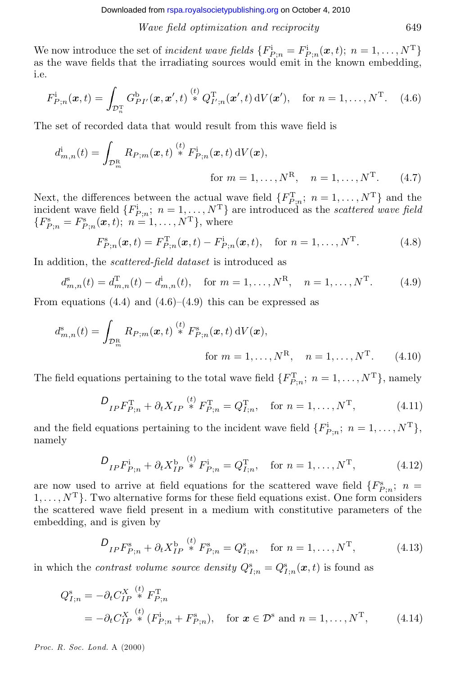Wave field optimization and recipty<br>We now introduce the set of *incident wave fields*  $\{F_{P,n}^i\}$  as the wave fields that the irradiating sources would en reciprocity<br>  $\ddot{P}_{P;n} = F_{P;n}^{\text{i}}(\boldsymbol{x},t); n = 1,\ldots,N^{\text{T}}$ <br>
Id emit in the known embedding We now introduce the set of *incident wave fields*  $\{F_{P,n}^i = F_{P,n}^i(\boldsymbol{x},t); n = 1,..., N^T\}$  as the wave fields that the irradiating sources would emit in the known embedding, i.e. i.e.

i.e.  
\n
$$
F_{P;n}^{i}(\boldsymbol{x},t) = \int_{\mathcal{D}_{n}^{T}} G_{PI}^{b}(\boldsymbol{x},\boldsymbol{x}',t) \stackrel{(t)}{\ast} Q_{I';n}^{T}(\boldsymbol{x}',t) dV(\boldsymbol{x}'), \text{ for } n = 1,\ldots,N^{T}. \quad (4.6)
$$
\nThe set of recorded data that would result from this wave field is

set of recorded data that would result from this wave field is  
\n
$$
d_{m,n}^{i}(t) = \int_{\mathcal{D}_{m}^{R}} R_{P;m}(\boldsymbol{x},t) * F_{P;n}^{i}(\boldsymbol{x},t) dV(\boldsymbol{x}),
$$
\nfor  $m = 1, ..., N^{R}, n = 1, ..., N^{T}$ . (4.7)

 $\text{For } m = 1, \ldots, N^{\text{R}},$ <br>Next, the differences between the actual wave field  $\{F_{P,n}^{\text{T}}\}$ ;<br>incident wave field  $\{F_{n}^{\text{L}} : n = 1 \ldots N^{\text{T}}\}$  are introduced as <sup>R</sup>,  $n = 1, ..., N^{\text{T}}$ . (4.7)<br>  $P_{P,n}^{\text{T}}$ ;  $n = 1, ..., N^{\text{T}}$  and the<br>
ed as the *scattered wave field* Next, the differences betw<br>incident wave field  $\{F_{P,n}^i; \}$ <br> $\{F_{\infty}^s = F_{\infty}^s$   $(x, t)$   $n = 1$ Next, the differences between the actual wave field  $\{F_{P;n}^{\text{T}}; n = 1, ..., N^{\text{T}}\}$  and the incident wave field  $\{F_{P;n}^{\text{i}}; n = 1, ..., N^{\text{T}}\}$  are introduced as the *scattered wave field*  $\{F_{P;n}^{\text{s}} = F_{P;n}^{\text{s}}(\boldsymbol{x},t); n = 1,$ 

$$
\{F_{P;n}^s = F_{P;n}^s(\boldsymbol{x},t); n = 1,\ldots,N^{\mathrm{T}}\}, \text{ where}
$$
\n
$$
F_{P;n}^s(\boldsymbol{x},t) = F_{P;n}^{\mathrm{T}}(\boldsymbol{x},t) - F_{P;n}^{\mathrm{i}}(\boldsymbol{x},t), \text{ for } n = 1,\ldots,N^{\mathrm{T}}.
$$
\n
$$
\text{In addition, the scattered-field dataset is introduced as}
$$
\n
$$
T_{P;n}^s(\boldsymbol{x},t) = T_{P;n}^s(\boldsymbol{x},t) - T_{P;n}^{\mathrm{i}}(\boldsymbol{x},t), \text{ for } n = 1,\ldots,N^{\mathrm{T}}.
$$
\n
$$
(4.8)
$$

In addition, the scattered-field dataset is introduced as  
\n
$$
d_{m,n}^{\rm s}(t) = d_{m,n}^{\rm T}(t) - d_{m,n}^{\rm i}(t), \text{ for } m = 1, ..., N^{\rm R}, n = 1, ..., N^{\rm T}.
$$
\n(4.9)  
\nFrom equations (4.4) and (4.6)–(4.9) this can be expressed as

From equations (4.4) and (4.9)–(4.9) this can be expressed as  
\n
$$
d_{m,n}^s(t) = \int_{\mathcal{D}_m^R} R_{P;m}(x,t) \stackrel{(t)}{\ast} F_{P;n}^s(x,t) dV(x),
$$
\nfor  $m = 1, ..., N^R$ ,  $n = 1, ..., N^T$ . (4.10)  
\nThe field equations pertaining to the total wave field  $\{F_{P;n}^T; n = 1, ..., N^T\}$ , namely

$$
D_{IP}F_{P;n}^{\mathrm{T}} + \partial_t X_{IP} \stackrel{(t)}{*} F_{P;n}^{\mathrm{T}} = Q_{I;n}^{\mathrm{T}}, \quad \text{for } n = 1, \dots, N^{\mathrm{T}}, \tag{4.11}
$$

 $D_{IP}F_{P;n}^{\mathrm{T}} + \partial_t X_{IP} \overset{(t)}{*} F_{P;n}^{\mathrm{T}} = Q_{I;n}^{\mathrm{T}}, \quad \text{for } n = 1, ..., N$ <br>and the field equations pertaining to the incident wave field  $\{F_{P;n}^{\mathrm{i}};$ <br>namely  $\sum_{P;n}^i; n$  $D_{IP}F_{P;n}^{\mathrm{T}} + \partial_t X_{IP} \overset{(t)}{*} F_{P;n}^{\mathrm{T}} = Q_{I;n}^{\mathrm{T}}, \text{ for } n = 1, ..., N^{\mathrm{T}},$  (4.11)<br>and the field equations pertaining to the incident wave field  $\{F_{P;n}^i; n = 1, ..., N^{\mathrm{T}}\},$ <br>namely

$$
D_{IP}F_{P;n}^{i} + \partial_{t}X_{IP}^{b} \stackrel{(t)}{F}_{P;n}^{i} = Q_{I;n}^{T}, \quad \text{for } n = 1, ..., N^{T},
$$
 (4.12)

 $D_{IP}F_{P,n}^{i} + \partial_t X_{IP}^{b} \stackrel{(t)}{\downarrow} F_{P,n}^{i} = Q_{I,n}^{T}$ , for  $n = 1, ..., N^{T}$ , (4.12)<br>are now used to arrive at field equations for the scattered wave field  $\{F_{P,n}^{s}; n =$ <br> $N^{T}\}$  Two alternative forms for these field equations are now used to arrive at field equations for the scattered wave field  $\{F_{P,n}^s; n = 1, ..., N^T\}$ . Two alternative forms for these field equations exist. One form considers the scattered wave field present in a medium with c are now used to arrive at field equations for the scattered wave field  $\{F_{P,n}^s; n = 1, ..., N^T\}$ . Two alternative forms for these field equations exist. One form considers the scattered wave field present in a medium with c the scattered wave field present in a medium with constitutive parameters of the embedding, and is given by

embedding, and is given by  
\n
$$
D_{IP}F_{P;n}^s + \partial_t X_{IP}^{b} \stackrel{(t)}{*}{} F_{P;n}^s = Q_{I;n}^s, \text{ for } n = 1, ..., N^T,
$$
\n(4.13)

\nin which the *contrast volume source density*  $Q_{I;n}^s = Q_{I;n}^s(\boldsymbol{x}, t)$  is found as

$$
Q_{I;n}^s = -\partial_t C_{IP}^X \stackrel{(t)}{*} F_{P;n}^T
$$
  
=  $-\partial_t C_{IP}^X \stackrel{(t)}{*} (F_{P;n}^i + F_{P;n}^s), \text{ for } \mathbf{x} \in \mathcal{D}^s \text{ and } n = 1, ..., N^T,$  (4.14)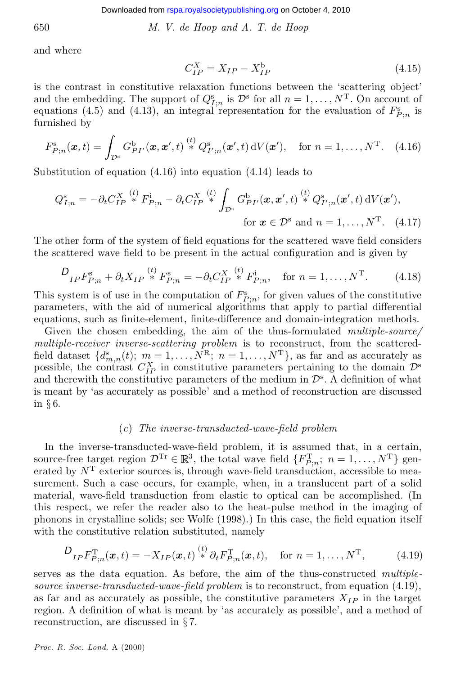$650$  and where

$$
C_{IP}^X = X_{IP} - X_{IP}^{\mathrm{b}} \tag{4.15}
$$

is the contrast in constitutive relaxation functions between the 'scattering object' is the contrast in constitutive relaxation functions between the 'scattering object'<br>and the embedding. The support of  $Q_{I,n}^s$  is  $\mathcal{D}^s$  for all  $n = 1, ..., N^T$ . On account of<br>equations (4.5) and (4.13), an integral rep is the contrast in constitutive relaxation functions between the 'scattering object<br>and the embedding. The support of  $Q_{I,n}^s$  is  $\mathcal{D}^s$  for all  $n = 1, ..., N^T$ . On account  $\alpha$ <br>equations (4.5) and (4.13), an integral re  $P_{;n}$  is and the embedd<br>equations  $(4.5)$ <br>furnished by

furnished by  
\n
$$
F_{P;n}^s(\boldsymbol{x},t) = \int_{\mathcal{D}^s} G_{PI}^b(\boldsymbol{x},\boldsymbol{x}',t) \stackrel{(t)}{*}{{*}} Q_{I';n}^s(\boldsymbol{x}',t) dV(\boldsymbol{x}'), \text{ for } n = 1,\ldots,N^{\mathrm{T}}. \tag{4.16}
$$
\nSubstitution of equation (4.16) into equation (4.14) leads to

tittution of equation (4.16) into equation (4.14) leads to  
\n
$$
Q_{I;n}^s = -\partial_t C_{IP}^X * F_{P;n}^i - \partial_t C_{IP}^X * \int_{\mathcal{D}^s} G_{PI}^b(x, x', t) \stackrel{(t)}{*}{} Q_{I';n}^s(x', t) dV(x'),
$$
\nfor  $x \in \mathcal{D}^s$  and  $n = 1, ..., N^T$ . (4.17)

The other form of the system of field equations for the scattered wave field considers<br>the scattered wave field to be present in the actual configuration and is given by The other form of the system of field equations for the scattered wave field considers<br>the scattered wave field to be present in the actual configuration and is given by the scattered wave field to be present in the actual configuration and is given by

$$
D_{IP}F_{P;n}^{s} + \partial_{t}X_{IP} \stackrel{(t)}{*}{}_{P,n}^{s} = -\partial_{t}C_{IP}^{X} \stackrel{(t)}{*}{}_{P,n}^{i}, \quad \text{for } n = 1, ..., N^{\mathrm{T}}.
$$
 (4.18)  
This system is of use in the computation of  $F_{P,n}^{s}$ , for given values of the constitutive parameters, with the aid of numerical algorithms that apply to partial differential

This system is of use in the computation of  $F_{P,n}^s$ , for given values of the constitutive<br>parameters, with the aid of numerical algorithms that apply to partial differential<br>equations, such as finite-element, finite-dif This system is of use in the computation of  $F_{P,n}^s$ , for given values of the constitutive<br>parameters, with the aid of numerical algorithms that apply to partial differential<br>equations, such as finite-element, finite-dif parameters, with the aid of numerical algorithms that apply to partial differential equations, such as finite-element, finite-difference and domain-integration methods.<br>Given the chosen embedding, the aim of the thus-formu

equations, such as finite-element, finite-difference and domain-integration methods.<br>Given the chosen embedding, the aim of the thus-formulated *multiple-source/*<br>multiple-receiver inverse-scattering problem is to reconst Given the chosen embedding, the aim of the thus-formulated *multiple-source/*<br>multiple-receiver inverse-scattering problem is to reconstruct, from the scattered-<br>field dataset  $\{d_{m,n}^s(t); m = 1, ..., N^R; n = 1, ..., N^T\}$ , as far an multiple-receiver inverse-scattering problem is to reconstruct, from the scattered-<br>field dataset  $\{d_{m,n}^s(t); m = 1, \ldots, N^R; n = 1, \ldots, N^T\}$ , as far and as accurately as<br>possible, the contrast  $C_{IP}^X$  in constitutive param possible, the contrast  $C_{IP}^X$  in constitutive parameters pertaining to the domain  $\mathcal{D}^s$  and therewith the constitutive parameters of the medium in  $\mathcal{D}^s$ . A definition of what is meant by 'as accurately as poss in  $\S 6$ .

### $(c)$  *The inverse-transducted-wave-field problem*

In the inverse-transducted-wave-field problem, it is assumed that, in a certain, In the inverse-transducted-wave-<br>source-free target region  $\mathcal{D}^{Tr} \in \mathbb{R}^3$ ,<br>erated by  $N^T$  exterior sources is the  $3 + 1$ field problem, it is assume<br>the total wave field  $\{F_{P,n}^{\text{T}};\$ solution<br>
umed that, in a certain,<br>  $T_{P,n}^{\text{T}}$ ;  $n = 1, ..., N^{\text{T}}$  gen-<br>
uction accessible to mea-In the inverse-transducted-wave-field problem, it is assumed that, in a certain,<br>source-free target region  $\mathcal{D}^{Tr} \in \mathbb{R}^3$ , the total wave-field  $\{F_{P,n}^T; n = 1, ..., N^T\}$  gen-<br>erated by  $N^T$  exterior sources is, thro source-free target region  $\mathcal{D}^{Tr} \in \mathbb{R}^3$ , the total wave field  $\{F_{P,n}^T; n = 1, ..., N^T\}$  generated by  $N^T$  exterior sources is, through wave-field transduction, accessible to measurement. Such a case occurs, for exa erated by  $N<sup>T</sup>$  exterior sources is, through wave-field transduction, accessible to measurement. Such a case occurs, for example, when, in a translucent part of a solid material, wave-field transduction from elastic t surement. Such a case occurs, for example, when, in a translucent part of a solid material, wave-field transduction from elastic to optical can be accomplished. (In this respect, we refer the reader also to the heat-pulse material, wave-field transduction from elastic to optical can be accomplished. (In this respect, we refer the reader also to the heat-pulse method in the imaging of phonons in crystalline solids; see Wolfe (1998).) In this this respect, we refer the reader also to the heat-pu<br>phonons in crystalline solids; see Wolfe (1998).) In thi<br>with the constitutive relation substituted, namely with the constitutive relation substituted, namely

he constitutive relation substituted, namely  
\n
$$
D_{IP}F_{P,n}^{\mathrm{T}}(\boldsymbol{x},t) = -X_{IP}(\boldsymbol{x},t) \stackrel{(t)}{*} \partial_t F_{P,n}^{\mathrm{T}}(\boldsymbol{x},t), \text{ for } n = 1,\dots,N^{\mathrm{T}}, \qquad (4.19)
$$

serves as the data equation. As before, the aim of the thus-constructed *multiplesource inverse-transducted-wave-field problem* is to reconstruct, from equation (4.19), serves as the data equation. As before, the aim of the thus-constructed multiple-<br>source inverse-transducted-wave-field problem is to reconstruct, from equation (4.19),<br>as far and as accurately as possible, the constituti source inverse-transducted-wave-field problem is to reconstruct, from equation (4.19), as far and as accurately as possible, the constitutive parameters  $X_{IP}$  in the target region. A definition of what is meant by 'as ac % as far and as accurately as possible, region. A definition of what is meant reconstruction, are discussed in  $\S 7$ . *Proc. R. Soc. Lond.* A (2000) *Proc. R. Soc. Lond.* A (2000)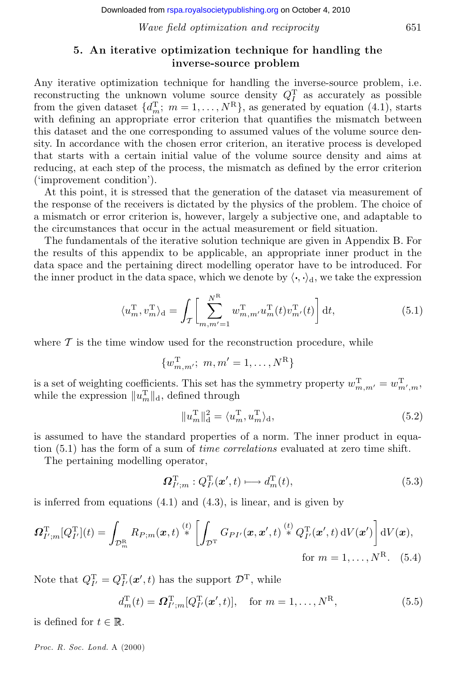# Wave field optimization and reciprocity<br>5. An iterative optimization technique for handling the<br>inverse-source problem ptimization technique for han<br>inverse-source problem

inverse-source problem<br>Any iterative optimization technique for handling the inverse-source problem, i.e. Any iterative optimization technique for handling the inverse-source problem, i.e.<br>reconstructing the unknown volume source density  $Q_I^T$  as accurately as possible<br>from the given dataset  $\{d^T \cdot m = 1 \}$   $N^R$  as generate Any iterative optimization technique for handling the inverse-source problem, i.e.<br>reconstructing the unknown volume source density  $Q_I^T$  as accurately as possible<br>from the given dataset  $\{d_m^T; m = 1, ..., N^R\}$ , as generate reconstructing the unknown volume source density  $Q_I^T$  as accurately as possible<br>from the given dataset  $\{d_m^T; m = 1, ..., N^R\}$ , as generated by equation (4.1), starts<br>with defining an appropriate error criterion that quant from the given dataset  $\{d_m^{\Gamma}; m = 1, ..., N^R\}$ , as generated by equation (4.1), starts<br>with defining an appropriate error criterion that quantifies the mismatch between<br>this dataset and the one corresponding to assumed valu with defining an appropriate error criterion that quantifies the mismatch between<br>this dataset and the one corresponding to assumed values of the volume source den-<br>sity. In accordance with the chosen error criterion, an i this dataset and the one corresponding to assumed values of the volume source density. In accordance with the chosen error criterion, an iterative process is developed that starts with a certain initial value of the volume sity. In accordance with the chosen error criterion, an iterative process is developed that starts with a certain initial value of the volume source density and aims at reducing, at each step of the process, the mismatch a reducing, at each step of the process, the mismatch as defined by the error criterion ('improvement condition'). ducing, at each step of the process, the mismatch as defined by the error criterion<br>mprovement condition').<br>At this point, it is stressed that the generation of the dataset via measurement of<br>e response of the receivers is

('improvement condition').<br>At this point, it is stressed that the generation of the dataset via measurement of<br>the response of the receivers is dictated by the physics of the problem. The choice of<br>a mismatch or error cri At this point, it is stressed that the generation of the dataset via measurement of the response of the receivers is dictated by the physics of the problem. The choice of a mismatch or error criterion is, however, largely the response of the receivers is dictated by the physics of the problem. The choice of a mismatch or error criterion is, however, largely a subjective one, and adaptable to the circumstances that occur in the actual measur

The fundamentals of the iterative solution technique are given in Appendix B. For the results of this appendix to be applicable, an appropriate inner product in the The fundamentals of the iterative solution technique are given in Appendix B. For<br>the results of this appendix to be applicable, an appropriate inner product in the<br>data space and the pertaining direct modelling operator the results of this appendix to be applicable, an appropriate inner product in the data space and the pertaining direct modelling operator have to be introduced. For the inner product in the data space, which we denote by

$$
\langle u_m^{\mathrm{T}}, v_m^{\mathrm{T}} \rangle_{\mathrm{d}} = \int_{\mathcal{T}} \left[ \sum_{m,m'=1}^{N^{\mathrm{R}}} w_{m,m'}^{\mathrm{T}} u_m^{\mathrm{T}}(t) v_{m'}^{\mathrm{T}}(t) \right] \mathrm{d}t,\tag{5.1}
$$
  
where  $\mathcal{T}$  is the time window used for the reconstruction procedure, while

v used for the reconstruction pro
$$
\{w_{m,m'}^{\mathrm{T}}; m, m' = 1, \ldots, N^{\mathrm{R}}\}
$$

 ${w_{m,m'}^{\mathrm{T}}; m,m'=1,\ldots,N^{\mathrm{R}}\}$ <br>is a set of weighting coefficients. This set has the symmetry property  $w_{m,m'}^{\mathrm{T}}$ <br>while the expression  $||u^{\mathrm{T}}||$ , defined through is a set of weighting coefficients. This set has the symmetry property  $w_{m,m'}^{\mathrm{T}} = w_{m',m}^{\mathrm{T}},$ <br>while the expression  $||u_m^{\mathrm{T}}||_{\mathrm{d}}$ , defined through

$$
\|u_m^{\mathrm{T}}\|_{\mathrm{d}}^2 = \langle u_m^{\mathrm{T}}, u_m^{\mathrm{T}} \rangle_{\mathrm{d}},\tag{5.2}
$$

 $||u_m^{\mathrm{T}}||_d^2 = \langle u_m^{\mathrm{T}}, u_m^{\mathrm{T}} \rangle_d,$ <br>is assumed to have the standard properties of a norm. The inner product in equa-<br>tion (5.1) has the form of a sum of *time correlations* evaluated at zero time shift.  $||u_m||_d = \langle u_m, u_m/d \rangle$ <br>is assumed to have the standard properties of a norm. The inner product in equa-<br>tion (5.1) has the form of a sum of *time correlations* evaluated at zero time shift.<br>The pertaining modelling operator assumed to have the standard prope<br>on  $(5.1)$  has the form of a sum of  $time$ <br>The pertaining modelling operator,

sum of *time correlations* evaluated at zero time sinc.  
\n
$$
\Omega_{I';m}^{\mathrm{T}}: Q_{I'}^{\mathrm{T}}(\boldsymbol{x}',t) \longmapsto d_{m}^{\mathrm{T}}(t), \tag{5.3}
$$

is inferred from equations (4.1) and (4.3), is linear, and is given by

$$
\Omega_{I',m}^{\mathrm{T}}[Q_{I'}^{\mathrm{T}}](t) = \int_{\mathcal{D}_{m}^{\mathrm{R}}} R_{P;m}(x,t) \stackrel{(t)}{\ast} \left[ \int_{\mathcal{D}^{\mathrm{T}}} G_{PI'}(x,x',t) \stackrel{(t)}{\ast} Q_{I'}^{\mathrm{T}}(x',t) \, \mathrm{d}V(x') \right] \mathrm{d}V(x),
$$
\n
$$
\text{for } m = 1, \ldots, N^{\mathrm{R}}. \quad (5.4)
$$

Note that  $Q_{I'}^{\mathrm{T}} = Q_{I'}^{\mathrm{T}}(\boldsymbol{x}', t)$  l  $',t)$  has the support  $\mathcal{D}^{\rm T},$  while

$$
d_{I'}^{\mathrm{T}}(\mathbf{x}',t) \text{ has the support } \mathcal{D}^{\mathrm{T}}, \text{ while}
$$
  

$$
d_m^{\mathrm{T}}(t) = \mathbf{\Omega}_{I';m}^{\mathrm{T}}[Q_{I'}^{\mathrm{T}}(\mathbf{x}',t)], \text{ for } m = 1,\dots,N^{\mathrm{R}},
$$
 (5.5)

is defined for  $t \in \mathbb{R}$ .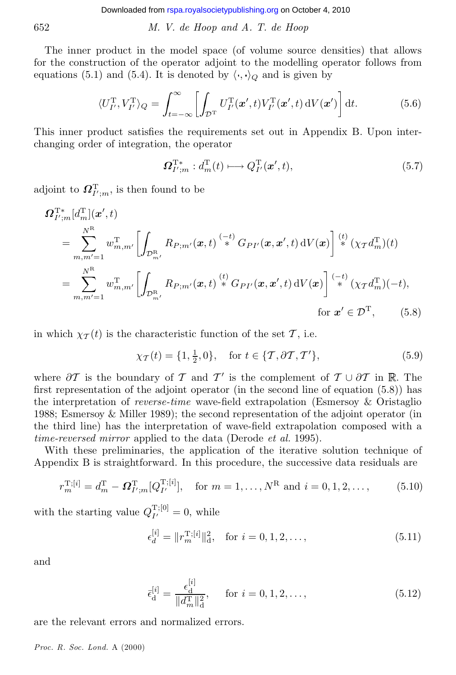2 M. V. de Hoop and A. T. de Hoop<br>The inner product in the model space (of volume source densities) that allows<br>the construction of the operator adjoint to the modelling operator follows from The inner product in the model space (of volume source densities) that allows<br>for the construction of the operator adjoint to the modelling operator follows from<br>equations (5.1) and (5.4) It is denoted by  $\langle \cdot, \cdot \rangle_{\Omega}$  The inner product in the model space (of volume source densit<br>for the construction of the operator adjoint to the modelling operat<br>equations (5.1) and (5.4). It is denoted by  $\langle \cdot, \cdot \rangle_Q$  and is given by

$$
\langle U_{I'}^{\mathrm{T}}, V_{I'}^{\mathrm{T}} \rangle_Q = \int_{t=-\infty}^{\infty} \left[ \int_{\mathcal{D}^{\mathrm{T}}} U_{I'}^{\mathrm{T}}(\boldsymbol{x}', t) V_{I'}^{\mathrm{T}}(\boldsymbol{x}', t) \, \mathrm{d}V(\boldsymbol{x}') \right] \mathrm{d}t. \tag{5.6}
$$

 $(U_{I'}, V_{I'})Q = \int_{t=-\infty} \left[ \int_{\mathcal{D}^{\mathrm{T}}} U_{I'}(x, t) V_{I'}(x, t) dV(x) \right] dt.$  (5.0)<br>This inner product satisfies the requirements set out in Appendix B. Upon inter-<br>changing order of integration, the operator This inner product satisfies the requirements<br>changing order of integration, the operator changing order of integration, the operator

on, the operator  
\n
$$
\Omega_{I',m}^{\mathcal{T}*}:d_m^{\mathcal{T}}(t) \longmapsto Q_{I'}^{\mathcal{T}}(\boldsymbol{x}',t),
$$
\n(5.7)

 $\boldsymbol{\Omega}_{I';m}^{\mathrm{T}*}: d_{m}^{\mathrm{T}}(t)$ <br>adjoint to  $\boldsymbol{\Omega}_{I';m}^{\mathrm{T}}$ , is then found to be

adjoint to 
$$
\Omega_{I';m}^{\mathrm{T}}[d_m^{\mathrm{T}}](x',t)
$$
  
\n
$$
= \sum_{m,m'=1}^{N^{\mathrm{R}}} w_{m,m'}^{\mathrm{T}} \left[ \int_{\mathcal{D}_{m'}^{\mathrm{R}}} R_{P;m'}(x,t)^{(-t)} G_{PI'}(x,x',t) dV(x) \right]^{(t)} (\chi_{\mathcal{T}} d_m^{\mathrm{T}})(t)
$$
\n
$$
= \sum_{m,m'=1}^{N^{\mathrm{R}}} w_{m,m'}^{\mathrm{T}} \left[ \int_{\mathcal{D}_{m'}^{\mathrm{R}}} R_{P;m'}(x,t)^{(t)} G_{PI'}(x,x',t) dV(x) \right]^{(-t)} (\chi_{\mathcal{T}} d_m^{\mathrm{T}})(-t),
$$
\nfor  $x' \in \mathcal{D}^{\mathrm{T}}$ , (5.8)  
\nin which  $\chi_{\mathcal{T}}(t)$  is the characteristic function of the set  $\mathcal{T}$ , i.e.

characteristic function of the set 
$$
\mathcal{T}
$$
, i.e.  
\n
$$
\chi_{\mathcal{T}}(t) = \{1, \frac{1}{2}, 0\}, \quad \text{for } t \in \{\mathcal{T}, \partial \mathcal{T}, \mathcal{T}'\},
$$
\n(5.9)

 $\chi_{\mathcal{T}}(t) = \{1, \frac{1}{2}, 0\}, \text{ for } t \in \{\mathcal{T}, \partial \mathcal{T}, \mathcal{T}'\},$  (5.9)<br>where  $\partial \mathcal{T}$  is the boundary of  $\mathcal{T}$  and  $\mathcal{T}'$  is the complement of  $\mathcal{T} \cup \partial \mathcal{T}$  in  $\mathbb{R}$ . The<br>first representation of the adjoint operator (i where  $\partial \mathcal{T}$  is the boundary of  $\mathcal{T}$  and  $\mathcal{T}'$  is the complement of  $\mathcal{T} \cup \partial \mathcal{T}$  in  $\mathbb{R}$ . The first representation of the adjoint operator (in the second line of equation (5.8)) has the interpretation of first representation of the adjoint operator (in the second line of equation (5.8)) has the interpretation of *reverse-time* wave-field extrapolation (Esmersoy & Oristaglio 1988; Esmersoy & Miller 1989); the second representation of the adjoint operator (in the third line) has the interpretation of wave-fiel the interpretation of *reverse-time* wave-field extrapolation (Esmersoy & Oristaglio 1988; Esmersoy & Miller 1989); the second representation of the adjoint operator (in the third line) has the interpretation of wave-fiel 1988; Esmersoy & Miller 1989); the second representation of the the third line) has the interpretation of wave-field extrapolation *time-reversed mirror* applied to the data (Derode *et al.* 1995). With these preliminaries Equivalently the interpretation of wave-field extrapolation composed with a<br> *ne-reversed mirror* applied to the data (Derode *et al.* 1995).<br>
With these preliminaries, the application of the iterative solution technique

time-reversed mirror applied to the data (Derode *et al.* 1995).<br>With these preliminaries, the application of the iterative solution technique of Appendix B is straightforward. In this procedure, the successive data resid Appendix  $\hat{B}$  is straightforward. In this procedure, the successive data residuals are

$$
r_m^{\mathrm{T};[i]} = d_m^{\mathrm{T}} - \Omega_{I',m}^{\mathrm{T}}[Q_{I'}^{\mathrm{T};[i]}], \quad \text{for } m = 1, \dots, N^{\mathrm{R}} \text{ and } i = 0, 1, 2, \dots,
$$
 (5.10)  
the starting value  $Q_{I'}^{\mathrm{T};[0]} = 0$ , while

 $r_m^{1;[t]} = d_m^1 - \Omega_{I';m}^1 [Q_{I'}^{1;[t]}]$ <br>with the starting value  $Q_{I'}^{T;[0]}$  =  $T;[0]$ 

$$
Q_{I'}^{1;[0]} = 0, \text{ while}
$$
  
\n
$$
\epsilon_d^{[i]} = ||r_m^{T;[i]}||_d^2, \text{ for } i = 0, 1, 2, ...,
$$
\n(5.11)

and

$$
\bar{\epsilon}_{\rm d}^{[i]} = \frac{\epsilon_{\rm d}^{[i]}}{\|d_m^{\rm T}\|_{\rm d}^2}, \quad \text{for } i = 0, 1, 2, \dots,
$$
 (5.12)

are the relevant errors and normalized errors.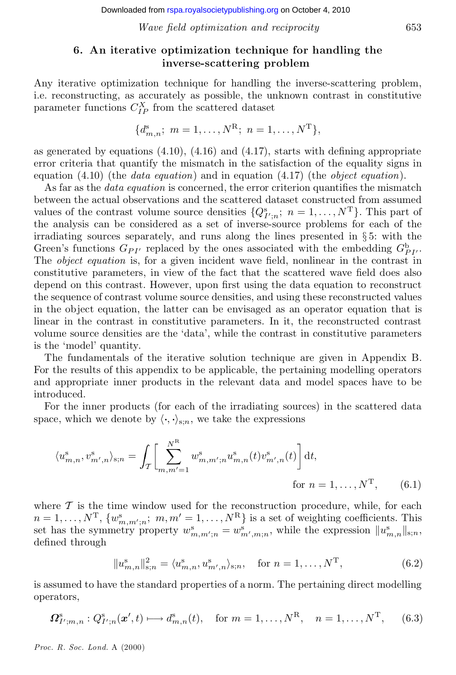# Wave field optimization and reciprocity<br>6. An iterative optimization technique for handling the<br>inverse-scattering problem optimization technique for handl<br>inverse-scattering problem

inverse-scattering problem<br>Any iterative optimization technique for handling the inverse-scattering problem, i.e. reconstructing, as accurately as possible, the unknown contrast in constitutive Any iterative optimization technique for handling the i.e. reconstructing, as accurately as possible, the unkn parameter functions  $C_{IP}^X$  from the scattered dataset , from the scattered dataset<br>  $\sum_{m,n}^{s}$ ;  $m = 1, ..., N^R$ ;  $n = 1, ..., N^T$ },

$$
\{d_{m,n}^{\rm s};\; m=1,\ldots,N^{\rm R};\; n=1,\ldots,N^{\rm T}\},\;
$$

as generated by equations  $(4.10)$ ,  $(4.16)$  and  $(4.17)$ , starts with defining appropriate as generated by equations (4.10), (4.16) and (4.17), starts with defining appropriate<br>error criteria that quantify the mismatch in the satisfaction of the equality signs in<br>equation (4.10) (the *data equation*) and in equ as generated by equations  $(4.10)$ ,  $(4.16)$  and  $(4.17)$ , starts with defining appropriate error criteria that quantify the mismatch in the satisfaction of the equality signs is equation  $(4.10)$  (the *data equation*) an Fracture is that quantify the mismatch in the satisfaction of the equality signs in uation  $(4.10)$  (the *data equation*) and in equation  $(4.17)$  (the *object equation*).<br>As far as the *data equation* is concerned, the e

equation (4.10) (the *data equation*) and in equation (4.17) (the *object equation*).<br>As far as the *data equation* is concerned, the error criterion quantifies the mismatch<br>between the actual observations and the scatter As far as the *data equation* is concerned, the error criterion quantifies the mismatch<br>between the actual observations and the scattered dataset constructed from assumed<br>values of the contrast volume source densities  $\{$ between the actual observations and the scattered dataset constructed from assumed<br>values of the contrast volume source densities  $\{Q_{I',n}^s; n = 1, ..., N^T\}$ . This part of<br>the analysis can be considered as a set of inverse-s values of the contrast volume source densities  $\{Q_{I',n}^s; n = 1,\ldots,N^T\}$ . This part of<br>the analysis can be considered as a set of inverse-source problems for each of the<br>irradiating sources separately, and runs along the the analysis can be considered as a set of inverse-source problems for each of irradiating sources separately, and runs along the lines presented in §5: with Green's functions  $G_{PI}$  replaced by the ones associated with t irradiating sources separately, and runs along the lines presented in §5: with the Green's functions  $G_{PI'}$  replaced by the ones associated with the embedding  $G_{PI'}^{\text{b}}$ . The *object equation* is, for a given incident w Green's functions  $G_{PI'}$  replaced by the ones associated with the embedding  $G_{PI'}^b$ .<br>The *object equation* is, for a given incident wave field, nonlinear in the contrast in constitutive parameters, in view of the fact th The *object equation* is, for a given incident wave field, nonlinear in the contrast in constitutive parameters, in view of the fact that the scattered wave field does also depend on this contrast. However, upon first usin constitutive parameters, in view of the fact that the scattered wave field does also<br>depend on this contrast. However, upon first using the data equation to reconstruct<br>the sequence of contrast volume source densities, and depend on this contrast. However, upon first using the data equation to reconstruct<br>the sequence of contrast volume source densities, and using these reconstructed values<br>in the object equation, the latter can be envisaged the sequence of contrast volume source densities, and using these reconstructed values<br>in the object equation, the latter can be envisaged as an operator equation that is<br>linear in the contrast in constitutive parameters. in the object equation, the latter can be envisaged as an operator equation that is linear in the contrast in constitutive parameters. In it, the reconstructed contrast volume source densities are the 'data', while the con linear in the contrast in<br>volume source densities a<br>is the 'model' quantity.<br>The fundamentals of t lume source densities are the 'data', while the contrast in constitutive parameters<br>the 'model' quantity.<br>The fundamentals of the iterative solution technique are given in Appendix B.<br>or the results of this appendix to be

is the 'model' quantity.<br>The fundamentals of the iterative solution technique are given in Appendix B.<br>For the results of this appendix to be applicable, the pertaining modelling operators<br>and appropriate inner products in The fundamentals of the iterative solution technique are given in Appendix B.<br>For the results of this appendix to be applicable, the pertaining modelling operators<br>and appropriate inner products in the relevant data and mo introduced. and appropriate inner products in the relevant data and model spaces have to be introduced.<br>For the inner products (for each of the irradiating sources) in the scattered data

space, which we denote by  $\langle \cdot, \cdot \rangle_{s:n}$ , we take the expressions

$$
\langle u_{m,n}^{\rm s}, v_{m',n}^{\rm s}\rangle_{\rm s;n} = \int_{\mathcal{T}} \left[ \sum_{m,m'=1}^{N^{\rm R}} w_{m,m';n}^{\rm s} u_{m,n}^{\rm s}(t) v_{m',n}^{\rm s}(t) \right] dt,
$$
  
for  $n = 1, ..., N^{\rm T}$ , (6.1)

for  $n = 1, ..., N^T$ , (6.1)<br>where T is the time window used for the reconstruction procedure, while, for each<br> $n = 1$   $N^T \{w^s, ..., m, m' = 1 \}$   $N^R$  is a set of weighting coefficients. This where T is the time window used for the reconstruction procedure, while, for each  $n = 1, \ldots, N^{\text{T}}$ ,  $\{w_{m,m';n}^{\text{s}}; m, m' = 1, \ldots, N^{\text{R}}\}$  is a set of weighting coefficients. This set has the symmetry property  $w^{\text{s}}$  where T is the time window used for the reconstruction procedure, while, for  $\epsilon$   $n = 1, \ldots, N^{\mathrm{T}}$ ,  $\{w_{m,m';n}^{\mathrm{s}}; m, m' = 1, \ldots, N^{\mathrm{R}}\}$  is a set of weighting coefficients. I<br>set has the symmetry property  $w_{m,m';n}^{\mathrm{s}}$  $n = 1, \ldots, N^{\mathrm{T}}, \{w_{m,m';n}^{\mathrm{s}}; m, m' = 1, \ldots, N^{\mathrm{R}}\}$  is a set of weighting coefficients. This set has the symmetry property  $w_{m,m';n}^{\mathrm{s}} = w_{m',m;n}^{\mathrm{s}}$ , while the expression  $||u_{m,n}^{\mathrm{s}}||_{\mathrm{s};n}$ , defined through

defined through  
\n
$$
||u_{m,n}^{s}||_{s;n}^{2} = \langle u_{m,n}^{s}, u_{m',n}^{s}\rangle_{s;n}, \text{ for } n = 1, ..., N^{T},
$$
\nis assumed to have the standard properties of a norm. The pertaining direct modelling

operators,  $\psi', t) \longmapsto d^{\mathrm{s}}_{m,n}(t)$ 

rators,  
\n
$$
\Omega^s_{I';m,n}: Q^s_{I';n}(\boldsymbol{x}',t) \longmapsto d^s_{m,n}(t), \text{ for } m = 1,\dots,N^R, n = 1,\dots,N^T, (6.3)
$$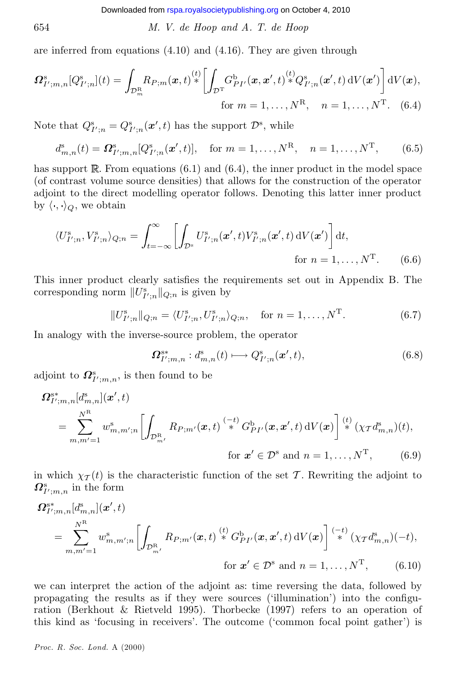654  $M.$  *V. de Hoop and A. T. de Hoop*<br>are inferred from equations (4.10) and (4.16). They are given through

$$
\Omega_{I',m,n}^{\mathbf{s}}[Q_{I',n}^{\mathbf{s}}](t) = \int_{\mathcal{D}_m^{\mathbf{R}}} R_{P;m}(\boldsymbol{x},t)^{(t)} \left[ \int_{\mathcal{D}^{\mathbf{T}}} G_{PI'}^{\mathbf{b}}(\boldsymbol{x},\boldsymbol{x}',t)^{(t)}_* Q_{I',n}^{\mathbf{s}}(\boldsymbol{x}',t) \, dV(\boldsymbol{x}') \right] dV(\boldsymbol{x}),
$$
\n
$$
\text{for } m = 1,\ldots,N^{\mathbf{R}}, \quad n = 1,\ldots,N^{\mathbf{T}}. \tag{6.4}
$$
\n
$$
\text{Note that } Q_{I',n}^{\mathbf{s}} = Q_{I',n}^{\mathbf{s}}(\boldsymbol{x}',t) \text{ has the support } \mathcal{D}^{\mathbf{s}}, \text{ while}
$$

Note that 
$$
Q_{I',n}^s = Q_{I',n}^s(\mathbf{x}',t)
$$
 has the support  $\mathcal{D}^s$ , while  
\n
$$
d_{m,n}^s(t) = \Omega_{I';m,n}^s[Q_{I';n}^s(\mathbf{x}',t)], \text{ for } m = 1,\ldots,N^R, \quad n = 1,\ldots,N^T, \qquad (6.5)
$$
\nhas support R. From equations (6.1) and (6.4), the inner product in the model space (of contrast volume source densities) that allows for the construction of the operator

that the support  $\mathbb{R}$ . From equations (6.1) and (6.4), the inner product in the model space<br>(of contrast volume source densities) that allows for the construction of the operator<br>adjoint to the direct modelling operat has support  $\mathbb{R}$ . From equations (6.1) and (6.4), the inner product in the model space (of contrast volume source densities) that allows for the construction of the operator adjoint to the direct modelling operator fo (of contrast volume sour<br>adjoint to the direct mo<br>by  $\langle \cdot, \cdot \rangle_Q$ , we obtain

$$
\langle U_{I';n}^{\rm s}, V_{I';n}^{\rm s} \rangle_{Q;n} = \int_{t=-\infty}^{\infty} \left[ \int_{\mathcal{D}^{\rm s}} U_{I';n}^{\rm s}(\boldsymbol{x}',t) V_{I';n}^{\rm s}(\boldsymbol{x}',t) \, \mathrm{d}V(\boldsymbol{x}') \right] \mathrm{d}t,
$$
\n
$$
\text{for } n = 1, \dots, N^{\rm T}.\tag{6.6}
$$

This inner product clearly satisfies the requirements set out in Appendix B. The<br>corresponding norm  $||I|^s$ .  $||\circ||_2$  is given by This inner product clearly satisfies the r<br>corresponding norm  $||U^s_{I';n}||_{Q;n}$  is given b<br> $||U^s_{I';n}||_{Q;n} = \langle U^s_{I';n}, U^s_{I';n} \rangle$ rly satisfies the requin<br>  $\lim_{n \to \infty} ||_{Q;n}$  is given by

corresponding norm 
$$
||U^s_{I';n}||_{Q;n}
$$
 is given by  
\n
$$
||U^s_{I';n}||_{Q;n} = \langle U^s_{I';n}, U^s_{I';n} \rangle_{Q;n}, \text{ for } n = 1, ..., N^{\mathrm{T}}.
$$
\nIn analogy with the inverse-source problem, the operator

see-source problem, the operator

\n
$$
\Omega_{I',m,n}^{s*} : d_{m,n}^s(t) \longmapsto Q_{I',n}^{s}(x',t),\tag{6.8}
$$

 $\pmb{\Omega}^{\mathrm{s*}}_{I';m,n}: d_{m,n}^\mathrm{s}(t)$  adjoint to  $\pmb{\Omega}^{\mathrm{s}}_{I';m,n},$  is then found to be

 <sup>s</sup> ¤<sup>I</sup> <sup>0</sup> ;m;n[d <sup>s</sup>m;n](*x* 0; t) = N <sup>R</sup> m;m<sup>0</sup> = 1 w sm;m<sup>0</sup> ;n <sup>D</sup> <sup>R</sup>m<sup>0</sup> <sup>R</sup><sup>P</sup> ;m<sup>0</sup>(*x*; t) (¡t) ¤ <sup>G</sup> P I0(*x*;*<sup>x</sup>* <sup>0</sup>; t) d<sup>V</sup> (*x*) (t)¤ (À<sup>T</sup> <sup>d</sup> sm;n)(t); for *x* <sup>0</sup> 2 D<sup>s</sup> and <sup>n</sup> = 1; : : : ; N <sup>T</sup>; (6.9)

in which  $\chi_{\mathcal{T}}(t)$  is the characteristic function of the set T. Rewriting the adjoint to  $Q^s$  in the form which  $\chi_T(t)$  is the cha<br>  $\chi_{m,n}$  in the form

$$
\mathbf{\Omega}_{I',m,n}^{\mathbf{s}} \text{ in the form}
$$
\n
$$
\mathbf{\Omega}_{I',m,n}^{\mathbf{s}} \text{ in the form}
$$
\n
$$
\mathbf{\Omega}_{I',m,n}^{\mathbf{s}^*} [d_{m,n}^{\mathbf{s}}](\mathbf{x}',t)
$$
\n
$$
= \sum_{m,m'=1}^{N^{\text{R}}} w_{m,m';n}^{\mathbf{s}} \left[ \int_{\mathcal{D}_{m'}^{\text{R}}} R_{P;m'}(\mathbf{x},t) \ast G_{PI}^{\mathbf{b}}(\mathbf{x},\mathbf{x}',t) \, dV(\mathbf{x}) \right] \stackrel{(-t)}{\ast} (\chi_{T} d_{m,n}^{\mathbf{s}})(-t),
$$
\nfor  $\mathbf{x}' \in \mathcal{D}^{\mathbf{s}}$  and  $n = 1, ..., N^{\text{T}}$ , (6.10)

we can interpret the action of the adjoint as: time reversing the data, followed by propagating the results as if they were sources ('illumination') into the configuwe can interpret the action of the adjoint as: time reversing the data, followed by<br>propagating the results as if they were sources ('illumination') into the configuration (Berkhout & Rietveld 1995). Thorbecke (1997) refe propagating the results as if they were sources ('illumination') into the configuration (Berkhout & Rietveld 1995). Thorbecke (1997) refers to an operation of this kind as 'focusing in receivers'. The outcome ('common foc this kind as 'focusing in receivers'. The outcome ('common focal point gather') is *Proc. R. Soc. Lond.* A (2000)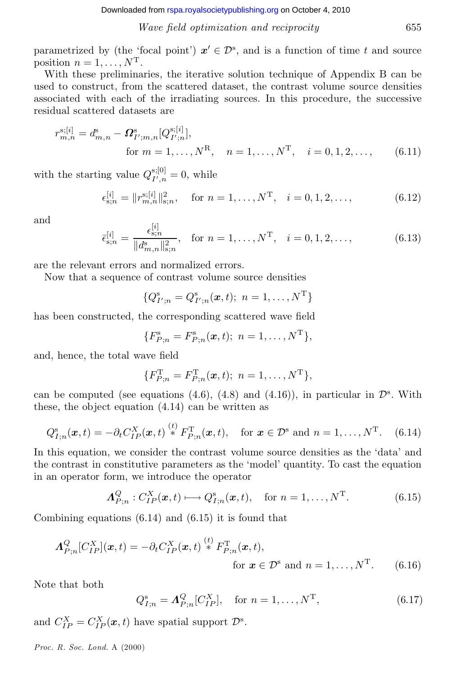*Wave field optimization and reciprocity* 655<br>
parametrized by (the 'focal point')  $x' \in \mathcal{D}^s$ , and is a function of time t and source<br>
position  $n = 1$   $N^T$ parametrized by (the 'focal point')  $x' \in \mathcal{D}^s$ , and is a function of time t and source position  $n = 1, ..., N^T$ .<br>With these preliminaries, the iterative solution technique of Appendix B can be used to construct, from the

position  $n = 1, ..., N^T$ .<br>With these preliminaries, the iterative solution technique of Appendix B can be used to construct, from the scattered dataset, the contrast volume source densities With these preliminaries, the iterative solution technique of Appendix B can be used to construct, from the scattered dataset, the contrast volume source densities associated with each of the irradiating sources. In this p used to construct, from the scatt<br>associated with each of the irrad<br>residual scattered datasets are residual scattered datasets are

$$
\text{[ual scattered datasets are} \\
 r_{m,n}^{s,[i]} = d_{m,n}^s - \mathbf{\Omega}_{I';m,n}^s [Q_{I';n}^{s,[i]}], \\
 \text{for } m = 1, \dots, N^R, \quad n = 1, \dots, N^T, \quad i = 0, 1, 2, \dots, \tag{6.11}
$$

for  $m = 1, ..., N^R$ , *n*<br>with the starting value  $Q_{I',n}^{s,[0]} = 0$ , while

ing value 
$$
Q_{I',n}^{s;[0]} = 0
$$
, while  
\n
$$
\epsilon_{s;n}^{[i]} = ||r_{m,n}^{s;[i]}||_{s;n}^2, \quad \text{for } n = 1, \dots, N^{\mathrm{T}}, \quad i = 0, 1, 2, \dots,
$$
\n(6.12)

and

$$
\bar{\epsilon}_{s;n}^{[i]} = \frac{\epsilon_{s;n}^{[i]}}{\|d_{m,n}^{s}\|_{s;n}^{2}}, \quad \text{for } n = 1, \dots, N^{\mathrm{T}}, \quad i = 0, 1, 2, \dots,
$$
 (6.13)

are the relevant errors and normalized errors.

 $\ddot{\phantom{1}}$ 

 $\lim_{n \to \infty}$  is:*n*<br>e the relevant errors and normalized errors.<br>Now that a sequence of contrast volume source densities

Now that a sequence of contrast volume source densities  
\n
$$
\{Q_{I',n}^s = Q_{I';n}^s(\boldsymbol{x},t); n = 1,\ldots,N^{\mathrm{T}}\}
$$
\nhas been constructed, the corresponding scattered wave field

the corresponding scattered wave field  
\n
$$
\{F_{P;n}^{\rm s}=F_{P;n}^{\rm s}(\boldsymbol{x},t);\ n=1,\ldots,N^{\rm T}\},
$$

and, hence, the total wave field

$$
\text{we field} \\
\{F_{P;n}^{\mathrm{T}} = F_{P;n}^{\mathrm{T}}(\bm{x},t); \ n = 1,\dots,N^{\mathrm{T}}\},
$$

 ${F_{P,n}^{\mathrm{T}} = F_{P,n}^{\mathrm{T}}(\boldsymbol{x},t); n = 1,\ldots,N^{\mathrm{T}}},$ <br>can be computed (see equations (4.6), (4.8) and (4.16)), in particular in  $\mathcal{D}^{\mathrm{s}}$ . With<br>these the object equation (4.14) can be written as can be computed (see equations (4.6), (4.8) and (4.1<br>these, the object equation (4.14) can be written as

See, the object equation (4.14) can be written as

\n
$$
Q_{I,n}^s(\boldsymbol{x},t) = -\partial_t C_{IP}^X(\boldsymbol{x},t) \stackrel{(t)}{*} F_{P,n}^T(\boldsymbol{x},t), \quad \text{for } \boldsymbol{x} \in \mathcal{D}^s \text{ and } n = 1,\dots,N^\mathrm{T}. \tag{6.14}
$$

In this equation, we consider the contrast volume source densities as the `data' and In this equation, we consider the contrast volume source densities as the 'data' and<br>the contrast in constitutive parameters as the 'model' quantity. To cast the equation<br>in an operator form, we introduce the operator In this equation, we consider the contrast volume<br>the contrast in constitutive parameters as the 'mo<br>in an operator form, we introduce the operator in an operator form, we introduce the operator

in an operator form, we introduce the operator  
\n
$$
\Lambda_{P;n}^Q: C_{IP}^X(\boldsymbol{x}, t) \longmapsto Q_{I;n}^s(\boldsymbol{x}, t), \text{ for } n = 1, ..., N^T.
$$
\n(6.15)  
\nCombining equations (6.14) and (6.15) it is found that

obning equations (6.14) and (6.15) It is found that

\n
$$
\Lambda_{P;n}^{Q}[C_{IP}^{X}](x,t) = -\partial_{t}C_{IP}^{X}(x,t) * F_{P;n}^{T}(x,t),
$$
\nfor  $x \in \mathcal{D}^{s}$  and  $n = 1, ..., N^{T}$ .

\n(6.16)

Note that both

$$
Q_{I;n}^s = \Lambda_{P;n}^Q[C_{IP}^X], \text{ for } n = 1, ..., N^T,
$$
 (6.17)

 $Q_{I;n}^s = \Lambda_{P;n}^Q[C_{IP}^X]$ , for *n*<br>and  $C_{IP}^X = C_{IP}^X(\boldsymbol{x}, t)$  have spatial support  $\mathcal{D}^s$ .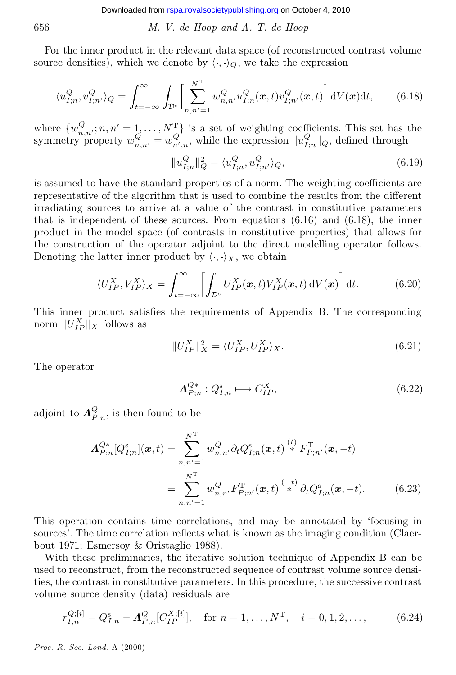$M.$  *V. de Hoop and A. T. de Hoop*<br>For the inner product in the relevant data space (of reconstructed contrast volume source densities), which we denote by  $\langle \cdot, \cdot \rangle_Q$ , we take the expression

$$
\langle u_{I,n}^Q, v_{I,n'}^Q \rangle_Q = \int_{t=-\infty}^{\infty} \int_{\mathcal{D}^s} \left[ \sum_{n,n'=1}^{N^T} w_{n,n'}^Q u_{I,n}^Q(\boldsymbol{x},t) v_{I,n'}^Q(\boldsymbol{x},t) \right] dV(\boldsymbol{x}) dt, \qquad (6.18)
$$

where  $\{w_{n,n'}^Q; n\}$ n;n<sup>0</sup> ; n; n<sup>0</sup> = 1; : : : ; N <sup>T</sup><sup>g</sup> is a set of weighting coe¯ cients. This set has the where  $\{w_{n,n'}^Q; n,n'=1,\ldots$ <br>symmetry property  $w_{n,n'}^Q$  $\{Q_{n,n'}=w_{n',n}^Q\}$  is a set of weighting coefficients. This set has the  $Q_{n,n'}=w_{n',n}^Q$ , while the expression  $||u_{I,n}^Q||_Q$ , defined through

$$
w_{n',n}^Q
$$
, while the expression  $||u_{I;n}^Q||_Q$ , defined through  

$$
||u_{I;n}^Q||_Q^2 = \langle u_{I;n}^Q, u_{I;n'}^Q \rangle_Q,
$$
 (6.19)

 $||u_{I;n}^{Q}||_{Q}^{2} = \langle u_{I;n}^{Q}, u_{I;n'}^{Q} \rangle_{Q},$  (6.19)<br>is assumed to have the standard properties of a norm. The weighting coefficients are<br>representative of the algorithm that is used to combine the results from the different is assumed to have the standard properties of a norm. The weighting coefficients are<br>representative of the algorithm that is used to combine the results from the different<br>irradiating sources to arrive at a value of the c irradiating sources to arrive at a value of the contrast in constitutive parameters representative of the algorithm that is used to combine the results from the different<br>irradiating sources to arrive at a value of the contrast in constitutive parameters<br>that is independent of these sources. From equatio irradiating sources to arrive at a value of the contrast in constitutive parameters<br>that is independent of these sources. From equations  $(6.16)$  and  $(6.18)$ , the inner<br>product in the model space (of contrasts in constit that is independent of these sources. From equations (6.16) and (6.18), the inner product in the model space (of contrasts in constitutive properties) that allows for the construction of the operator adjoint to the direct product in the model space (of contrasts in constitutive p<br>the construction of the operator adjoint to the direct me<br>Denoting the latter inner product by  $\langle \cdot, \cdot \rangle_X$ , we obtain

latter inner product by 
$$
\langle \cdot, \cdot \rangle_X
$$
, we obtain  
\n
$$
\langle U_{IP}^X, V_{IP}^X \rangle_X = \int_{t=-\infty}^{\infty} \left[ \int_{\mathcal{D}^s} U_{IP}^X(\boldsymbol{x}, t) V_{IP}^X(\boldsymbol{x}, t) \, dV(\boldsymbol{x}) \right] dt.
$$
\n(6.20)

This inner product satisfies the requirements of Appendix B. The corresponding norm  $||U_{IP}^X||_X$ : er product satisfies  $\frac{X}{IP} \Vert_X$  follows as

$$
||U_{IP}^X||_X^2 = \langle U_{IP}^X, U_{IP}^X \rangle_X.
$$
 (6.21)

The operator

$$
\Lambda_{P;n}^{Q*}: Q_{I;n}^s \longmapsto C_{IP}^X,\tag{6.22}
$$

adjoint to  $A_{P,n}^Q$ , is  $A_{P;n}^{Q^*}:$   $\mathcal{A}_{P;n}^{Q}$  :  $\mathcal{C}_{P;n}$ , is then found to be

$$
\Lambda_{P;n}^{Q*}[Q_{I;n}^s](\boldsymbol{x},t) = \sum_{n,n'=1}^{N^{\mathrm{T}}} w_{n,n'}^Q \partial_t Q_{I;n}^s(\boldsymbol{x},t) \stackrel{(t)}{\ast} F_{P;n'}^{\mathrm{T}}(\boldsymbol{x},-t)
$$

$$
= \sum_{n,n'=1}^{N^{\mathrm{T}}} w_{n,n'}^Q F_{P;n'}^{\mathrm{T}}(\boldsymbol{x},t) \stackrel{(-t)}{\ast} \partial_t Q_{I;n}^s(\boldsymbol{x},-t). \tag{6.23}
$$

This operation contains time correlations, and may be annotated by 'focusing in<br>sources' The time correlation reflects what is known as the imaging condition (Claer-This operation contains time correlations, and may be annotated by 'focusing in sources'. The time correlation reflects what is known as the imaging condition (Claer-<br>bout 1971: Esmersov & Oristaglio 1988) This operation contains time correlations,<br>sources'. The time correlation reflects what<br>bout 1971; Esmersoy & Oristaglio 1988).<br>With these preliminaries the iterative s sources'. The time correlation reflects what is known as the imaging condition (Claer-<br>bout 1971; Esmersoy & Oristaglio 1988).<br>With these preliminaries, the iterative solution technique of Appendix B can be

bout 1971; Esmersoy & Oristaglio 1988).<br>With these preliminaries, the iterative solution technique of Appendix B can be<br>used to reconstruct, from the reconstructed sequence of contrast volume source densi-<br>ties the contras With these preliminaries, the iterative solution technique of Appendix B can be used to reconstruct, from the reconstructed sequence of contrast volume source densities, the contrast in constitutive parameters. In this pro used to reconstruct, from the reconstructed set<br>ties, the contrast in constitutive parameters. In<br>volume source density (data) residuals are

e source density (data) residuals are  
\n
$$
r_{I,n}^{Q;[i]} = Q_{I;n}^s - \Lambda_{P;n}^Q [C_{IP}^{X;[i]}],
$$
 for  $n = 1, ..., N^T$ ,  $i = 0, 1, 2, ...,$  (6.24)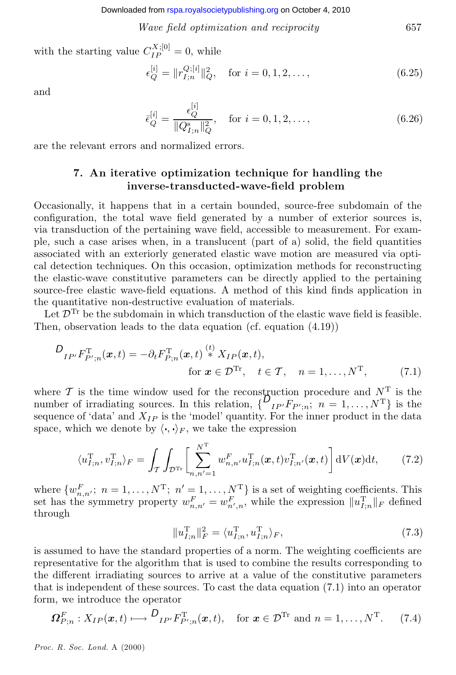Wave fit<br>with the starting value  $C_{IP}^{X;[0]}$  $X;[0]$   $\_$ ave field optimizations  $\begin{aligned} \n\frac{dX:[0]}{dX} &= 0, \text{ while} \n\end{aligned}$ 

$$
C_{IP}^{X;[0]} = 0, \text{ while}
$$
  
\n
$$
\epsilon_Q^{[i]} = ||r_{I;n}^{Q;[i]}||_Q^2, \text{ for } i = 0, 1, 2, ...,
$$
\n(6.25)

and

$$
\bar{\epsilon}_Q^{[i]} = \frac{\epsilon_Q^{[i]}}{\|Q_{I;n}^s\|_Q^2}, \quad \text{for } i = 0, 1, 2, \dots,
$$
\n(6.26)

are the relevant errors and normalized errors.

# % elevant errors and normalized errors.<br>7. An iterative optimization technique for handling the<br>inverse-transducted-wave-field problem rative optimization technique for handling th<br>inverse-transducted-wave-field problem

inverse-transducted-wave-field problem<br>Occasionally, it happens that in a certain bounded, source-free subdomain of the<br>configuration, the total wave field generated by a number of exterior sources is configuration, the total wave field generated by a number of exterior sources is, wis transduction of the pertaining wave field accessible to measurement. For exam-Occasionally, it happens that in a certain bounded, source-free subdomain of the configuration, the total wave field generated by a number of exterior sources is, via transduction of the pertaining wave field, accessible t configuration, the total wave field generated by a number of exterior sources is, via transduction of the pertaining wave field, accessible to measurement. For example, such a case arises when, in a translucent (part of a via transduction of the pertaining wave field, accessible to measurement. For example, such a case arises when, in a translucent (part of a) solid, the field quantities associated with an exteriorly generated elastic wave ple, such a case arises when, in a translucent (part of a) solid, the field quantities associated with an exteriorly generated elastic wave motion are measured via optical detection techniques. On this occasion, optimizati cal detection techniques. On this occasion, optimization methods for reconstructing the elastic-wave constitutive parameters can be directly applied to the pertaining source-free elastic wave-field equations. A method of this kind finds application in the quantitative non-destructive evaluation of materials. urce-free elastic wave-field equations. A method of this kind finds application in<br>equantitative non-destructive evaluation of materials.<br>Let  $\mathcal{D}^{\text{Tr}}$  be the subdomain in which transduction of the elastic wave field

the quantitative non-destructive evaluation of materials.<br>Let  $\mathcal{D}^{Tr}$  be the subdomain in which transduction of the elastic wave<br>Then, observation leads to the data equation (cf. equation (4.19))

n, observation leads to the data equation (cf. equation (4.19))  
\n
$$
D_{IP'}F_{P';n}^{\mathrm{T}}(\boldsymbol{x},t) = -\partial_t F_{P;n}^{\mathrm{T}}(\boldsymbol{x},t) \stackrel{(t)}{*} X_{IP}(\boldsymbol{x},t),
$$
\nfor  $\boldsymbol{x} \in \mathcal{D}^{\mathrm{Tr}}, \quad t \in \mathcal{T}, \quad n = 1, ..., N^{\mathrm{T}},$ \n(7.1)

 $\text{for } \mathbf{x} \in \mathcal{D}^{\text{Tr}}, \quad t \in \mathcal{T}, \quad n = 1, \dots, N^{\text{T}}, \tag{7.1}$ <br>where  $\mathcal{T}$  is the time window used for the reconstruction procedure and  $N^{\text{T}}$  is the<br>number of irradiating sources. In this relation  $\{D_{L\text{D}}/F_{\text{D}}\}_{\$ where  $T$  is the time window used for the reconstruction procedure and  $N^T$  is the<br>number of irradiating sources. In this relation,  $\{D_{IP'}F_{P';n}; n = 1, ..., N^T\}$  is the<br>sequence of 'data' and  $X_{ID}$  is the 'model' quantity. where  $T$  is the time window used for the reconstruction procedure and  $N^T$  is the number of irradiating sources. In this relation,  $\{D_{IP'}F_{P';n}; n = 1, ..., N^T\}$  is the sequence of 'data' and  $X_{IP}$  is the 'model' quantity. number of irradiating sources. In this relation,  $\{C_{IP'}F_{P';n}$ ;<br>sequence of 'data' and  $X_{IP}$  is the 'model' quantity. For the in<br>space, which we denote by  $\langle \cdot, \cdot \rangle_F$ , we take the expression

$$
\langle u_{I;n}^{\mathrm{T}}, v_{I;n}^{\mathrm{T}} \rangle_F = \int_{\mathcal{T}} \int_{\mathcal{D}^{\mathrm{Tr}}} \left[ \sum_{n,n'=1}^{N^{\mathrm{T}}} w_{n,n'}^F u_{I;n}^{\mathrm{T}}(\boldsymbol{x},t) v_{I;n'}^{\mathrm{T}}(\boldsymbol{x},t) \right] dV(\boldsymbol{x}) dt, \qquad (7.2)
$$
  

$$
\int_{n,n'}^{F} h_{n,n'}^F; \ n = 1, \dots, N^{\mathrm{T}}; \ n' = 1, \dots, N^{\mathrm{T}} \} \text{ is a set of weighting coefficients. This}
$$

where  $\{w_{n,n'}^F;$ where  $\{w_{n,n'}^F: n = 1, ..., N^T: n' = 1, ..., N^T\}$  is a set of weighting coefficies set has the symmetry property  $w_{n,n'}^F = w_{n',n}^F$ , while the expression  $||u_{I,n}^T||$  $T \parallel$ fficients. This  $_{I;n}^{\mathrm{T}}\Vert_F$  defined through

$$
||u_{I;n}||_F = \langle u_{I;n}^{\mathrm{T}}, u_{I;n}^{\mathrm{T}} \rangle_F,
$$
  
(7.3)

is assumed to have the standard properties of a norm. The weighting coefficients are is assumed to have the standard properties of a norm. The weighting coefficients are<br>representative for the algorithm that is used to combine the results corresponding to<br>the different irradiating sources to arrive at a v is assumed to have the standard properties of a norm. The weighting coefficients are representative for the algorithm that is used to combine the results corresponding to the different irradiating sources to arrive at a v representative for the algorithm that is used to combine the results corresponding to<br>the different irradiating sources to arrive at a value of the constitutive parameters<br>that is independent of these sources. To cast the the different irradiating sources to arrive at a value of the constitutive parameters form, we introduce the operator that is independent of these sources. To cast the data equation  $(7.1)$  into an operator

$$
\Omega_{P;n}^F: X_{IP}(\boldsymbol{x},t) \longmapsto \frac{D_{IP'}F_{P';n}^{\mathrm{T}}(\boldsymbol{x},t)}, \quad \text{for } \boldsymbol{x} \in \mathcal{D}^{\mathrm{Tr}} \text{ and } n=1,\ldots,N^{\mathrm{T}}. \tag{7.4}
$$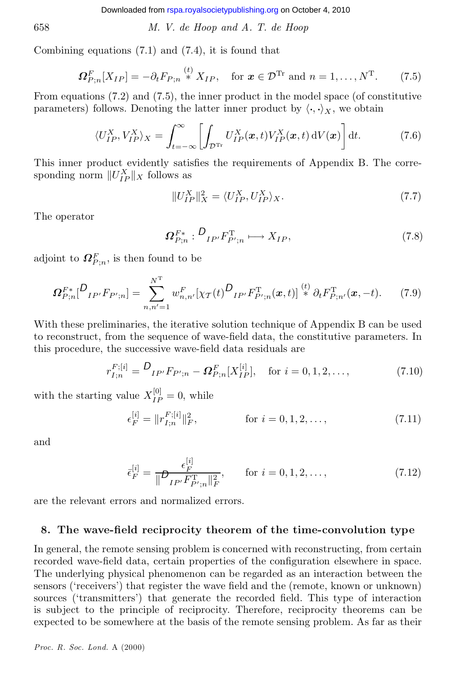658  $M.$  *V. de Hoop and A. T. de H*<br>Combining equations (7.1) and (7.4), it is found that

g equations (7.1) and (7.4), it is found that  
\n
$$
\Omega_{P;n}^F[X_{IP}] = -\partial_t F_{P;n} \stackrel{(t)}{*} {X_{IP}}, \text{ for } \mathbf{x} \in \mathcal{D}^{\text{Tr}} \text{ and } n = 1, ..., N^{\text{T}}.
$$
\n(7.5)

From equations (7.2) and (7.5), the inner product in the model space (of constitutive From equations (7.2) and (7.5), the inner product in the model space (of constitutional parameters) follows. Denoting the latter inner product by  $\langle \cdot, \cdot \rangle_X$ , we obtain

$$
\langle U_{IP}^X, V_{IP}^X \rangle_X = \int_{t=-\infty}^{\infty} \left[ \int_{\mathcal{D}^{\mathrm{Tr}}} U_{IP}^X(\boldsymbol{x}, t) V_{IP}^X(\boldsymbol{x}, t) \, \mathrm{d}V(\boldsymbol{x}) \right] \mathrm{d}t. \tag{7.6}
$$

This inner product evidently satisfies the requirements of Appendix B. The corre-This inner product evi-<br>sponding norm  $||U_{IP}^X||_X$  $X \parallel \cdot$  $U_t = -\infty$  L.<br>t evidently satisfie<br> $\prod_{IP}^X \|X\|$  follows as

$$
\text{vs as} \quad \prod_{i=1}^{N} |U_{IP}^{X}|^2 = \langle U_{IP}^{X}, U_{IP}^{X} \rangle_X. \tag{7.7}
$$

The operator

$$
\Omega_{P;n}^{F*}: \mathcal{D}_{IP'} F_{P';n}^{\mathrm{T}} \longmapsto X_{IP},\tag{7.8}
$$

 $\Omega_{P;n}^{F*}: D_{IP}$ <br>adjoint to  $\Omega_{P;n}^{F}$ , is then found to be

$$
\Omega_{P;n}^{F*}[D_{IP'}F_{P';n}] = \sum_{n,n'=1}^{N^{\mathrm{T}}} w_{n,n'}^{F}[\chi_{\mathcal{T}}(t)D_{IP'}F_{P';n}^{\mathrm{T}}(\boldsymbol{x},t)] \stackrel{(t)}{\ast} \partial_{t}F_{P;n'}^{\mathrm{T}}(\boldsymbol{x},-t). \tag{7.9}
$$

With these preliminaries, the iterative solution technique of Appendix B can be used to reconstruct, from the sequence of wave-field data, the constitutive parameters. In this procedure, the successive wave-field data residuals are

the successive wave-field data residuals are  
\n
$$
r_{I;n}^{F;[i]} = D_{IP'} F_{P';n} - \Omega_{P;n}^{F}[X_{IP}^{[i]}], \text{ for } i = 0, 1, 2, ...,
$$
\n(7.10)  
\n
$$
q \text{ value } X_{IP}^{[0]} = 0, \text{ while}
$$

 $r_{I;n}^{F:[u]} = \nu_{IP'} F_P$ <br>with the starting value  $X_{IP}^{[0]} = 0$ [0]

$$
I_{IP}^{[0]} = 0, \text{ while}
$$
  
\n
$$
ε_F^{[i]} = ||r_{I;n}^{F;[i]}||_F^2,
$$
 for  $i = 0, 1, 2, ...$ , (7.11)

and

$$
\bar{\epsilon}_F^{[i]} = \frac{\epsilon_F^{[i]}}{\|\mathcal{D}_{IP'} F_{P';n}^{\mathrm{T}}\|_F^2}, \quad \text{for } i = 0, 1, 2, \dots,
$$
\n(7.12)

are the relevant errors and normalized errors.

# re the relevant errors and normalized errors.<br>8. The wave-field reciprocity theorem of the time-convolution type

8. The wave-field reciprocity theorem of the time-convolution type<br>In general, the remote sensing problem is concerned with reconstructing, from certain<br>recorded wave-field data, certain properties of the configuration els In general, the remote sensing problem is concerned with reconstructing, from certain recorded wave-field data, certain properties of the configuration elsewhere in space.<br>The underlying physical phenomenon can be regarde In general, the remote sensing problem is concerned with reconstructing, from certain<br>recorded wave-field data, certain properties of the configuration elsewhere in space.<br>The underlying physical phenomenon can be regarded recorded wave-field data, certain properties of the configuration elsewhere in space.<br>The underlying physical phenomenon can be regarded as an interaction between the<br>sensors ('receivers') that register the wave field and The underlying physical phenomenon can be regarded as an interaction between the<br>sensors ('receivers') that register the wave field and the (remote, known or unknown)<br>sources ('transmitters') that generate the recorded fie sensors ('receivers') that register the wave field and the (remote, known or unknown)<br>sources ('transmitters') that generate the recorded field. This type of interaction<br>is subject to the principle of reciprocity. Therefor sources ('transmitters') that generate the recorded field. This type of interaction is subject to the principle of reciprocity. Therefore, reciprocity theorems can be expected to be somewhere at the basis of the remote sen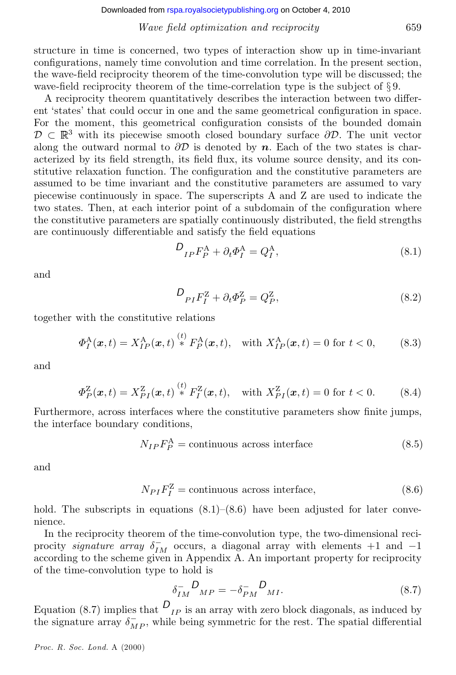Wave field optimization and reciprocity 659<br>structure in time is concerned, two types of interaction show up in time-invariant structure in time is concerned, two types of interaction show up in time-invariant configurations, namely time convolution and time correlation. In the present section, the wave-field reciprocity theorem of the time-convol structure in time is concerned, two types of interaction show up in time-invariant<br>configurations, namely time convolution and time correlation. In the present section,<br>the wave-field reciprocity theorem of the time-corre configurations, namely time convolution and time correlation. In the present section<br>the wave-field reciprocity theorem of the time-convolution type will be discussed; the<br>wave-field reciprocity theorem of the time-correl the wave-field reciprocity theorem of the time-convolution type will be discussed; the wave-field reciprocity theorem of the time-correlation between two differ-<br>A reciprocity theorem quantitatively describes the interact

wave-field reciprocity theorem of the time-correlation type is the subject of  $\S 9$ .<br>A reciprocity theorem quantitatively describes the interaction between two different 'states' that could occur in one and the same geome A reciprocity theorem quantitatively describes the interaction between two different 'states' that could occur in one and the same geometrical configuration in space.<br>For the moment, this geometrical configuration consist ent 'states' that could occur in one and the same geometrical configuration in space.<br>For the moment, this geometrical configuration consists of the bounded domain  $D \subset \mathbb{R}^3$  with its piecewise smooth closed boundary s For the moment, this geometrical configuration consists of the bounded domain  $D \subset \mathbb{R}^3$  with its piecewise smooth closed boundary surface  $\partial D$ . The unit vector along the outward normal to  $\partial D$  is denoted by *n*. Eac  $\mathcal{D} \subset \mathbb{R}^3$  with its piecewise smooth closed boundary surface  $\partial \mathcal{D}$ . The unit vector along the outward normal to  $\partial \mathcal{D}$  is denoted by **n**. Each of the two states is characterized by its field strength, its along the outward normal to  $\partial \mathcal{D}$  is denoted by  $n$ . Each of the two states is characterized by its field strength, its field flux, its volume source density, and its constitutive relaxation function. The configurati acterized by its field strength, its field flux, its volume source density, and its constitutive relaxation function. The configuration and the constitutive parameters are assumed to vary principle continuously in space. T stitutive relaxation function. The configuration and the constitutive parameters are assumed to vary<br>piecewise continuously in space. The superscripts A and Z are used to indicate the<br>two states. Then at each interior poin assumed to be time invariant and the constitutive parameters are assumed to vary<br>piecewise continuously in space. The superscripts  $A$  and  $Z$  are used to indicate the<br>two states. Then, at each interior point of a subdoma piecewise continuously in space. The superscripts A and Z are used to indicate the two states. Then, at each interior point of a subdomain of the configuration where the constitutive parameters are spatially continuously d two states. Then, at each interior point of a subdomain of the the constitutive parameters are spatially continuously distribute are continuously differentiable and satisfy the field equations

$$
D_{IP}F_P^{\mathcal{A}} + \partial_t \Phi_I^{\mathcal{A}} = Q_I^{\mathcal{A}},\tag{8.1}
$$

and

$$
D_{PI}F_I^Z + \partial_t \Phi_P^Z = Q_P^Z,\tag{8.2}
$$

 $D_{PI}F_I^{\bf Z}+\delta \label{eq:1}$  together with the constitutive relations

with the constitutive relations  
\n
$$
\Phi_I^{\mathcal{A}}(\boldsymbol{x},t) = X_{IP}^{\mathcal{A}}(\boldsymbol{x},t) \stackrel{(t)}{*} F_P^{\mathcal{A}}(\boldsymbol{x},t), \text{ with } X_{IP}^{\mathcal{A}}(\boldsymbol{x},t) = 0 \text{ for } t < 0,
$$
\n(8.3)

and

and  
\n
$$
\Phi_P^Z(\boldsymbol{x},t) = X_{PI}^Z(\boldsymbol{x},t) \stackrel{(t)}{*}{} F_I^Z(\boldsymbol{x},t), \text{ with } X_{PI}^Z(\boldsymbol{x},t) = 0 \text{ for } t < 0. \tag{8.4}
$$
\nFurthermore, across interfaces where the constitutive parameters show finite jumps, the interface boundary conditions

Furthermore, across interfaces where<br>the interface boundary conditions, tions,<br> $P_P^A$  = continuous across interface (8.5)

$$
N_{IP}F_P^{\text{A}} = \text{continuous across interface} \tag{8.5}
$$

and

$$
N_{PI}F_I^{\mathbf{Z}} = \text{continuous across interface},\tag{8.6}
$$

hold. The subscripts in equations  $(8.1)$ – $(8.6)$  have been adjusted for later convenience.

In the reciprocity theorem of the time-convolution type, the two-dimensional reciis in the reciprocity theorem of the time-convolution type, the two-dimensional reciprocity *signature array*  $\delta_{IM}^-$  occurs, a diagonal array with elements  $+1$  and  $-1$  according to the scheme given in Appendix A. An i In the reciprocity theorem of the time-convolution type, the two-dimensional reciprocity *signature array*  $\delta_{IM}^-$  occurs, a diagonal array with elements  $+1$  and  $-1$  according to the scheme given in Appendix A. An impo  $\alpha$  according to the scheme given in Appendix A. An important property for reciprocity of the time-convolution type to hold is

$$
\delta_{IM}^{-} D_{MP} = -\delta_{PM}^{-} D_{MI}.\tag{8.7}
$$

 $\delta_{IM}^{-}D_{MP} = -\delta_{PM}^{-}D_{MI}.$  (8.7)<br>Equation (8.7) implies that  $D_{IP}$  is an array with zero block diagonals, as induced by<br>the signature array  $\delta_{CP}^{-}$ , while being symmetric for the rest. The spatial differential Equation (8.7) implies that  $D_{IP}$  is an array with zero block diagonals, as induced by the signature array  $\delta_{MP}^-$ , while being symmetric for the rest. The spatial differential the signature array  $\delta_{MP}^-$ , while being symmetric for the rest. The spatial differential *Proc. R. Soc. Lond.* A (2000)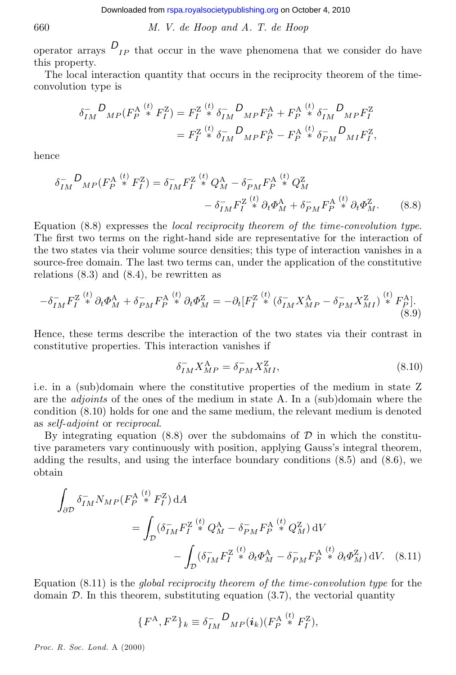660  $M. V.$  *de Hoop and A. T. de Hoop*<br>
operator arrays  $D_{IP}$  that occur in the wave phenomena that we consider do have<br>
this property operator arrays<br>this property.<br>The local intererator arrays  $U_{IP}$  that occur in the wave phenomena that we consider do have<br>is property.<br>The local interaction quantity that occurs in the reciprocity theorem of the time-<br>nvolution type is

this property.<br>The local interaction convolution type is

on type is  
\n
$$
\delta_{IM}^{-} D_{MP} (F_P^{A} \stackrel{(t)}{*} F_I^Z) = F_I^Z \stackrel{(t)}{*} {\delta_{IM}^{-}} D_{MP} F_P^A + F_P^{A} \stackrel{(t)}{*} {\delta_{IM}^{-}} D_{MP} F_I^Z
$$
\n
$$
= F_I^Z \stackrel{(t)}{*} {\delta_{IM}^{-}} D_{MP} F_P^A - F_P^{A} \stackrel{(t)}{*} {\delta_{PM}^{-}} D_{MP} F_I^Z,
$$

hence

e  
\n
$$
\delta_{IM}^{-} D_{MP} (F_P^{\mathcal{A}} \, ^{(t)} F_I^{\mathcal{Z}}) = \delta_{IM}^{-} F_I^{\mathcal{Z}} \, ^{(t)} \, Q_M^{\mathcal{A}} - \delta_{PM}^{-} F_P^{\mathcal{A}} \, ^{(t)} \, Q_M^{\mathcal{Z}} - \delta_{IM}^{-} F_I^{\mathcal{A}} \, ^{(t)} \partial_t \Phi_M^{\mathcal{A}} + \delta_{PM}^{-} F_P^{\mathcal{A}} \, ^{(t)} \partial_t \Phi_M^{\mathcal{Z}}.
$$
\n(8.8)

 $-\delta_{IM}^-F_I^{\mathcal{Z}}^{\langle t\rangle}\partial_t\Phi_M^{\mathcal{A}} + \delta_{PM}^-F_I^{\mathcal{A}}^{\langle t\rangle}\partial_t\Phi_M^{\mathcal{Z}}.$  (8.8)<br>Equation (8.8) expresses the *local reciprocity theorem of the time-convolution type*.<br>The first two terms on the right-hand side are represen Equation  $(8.8)$  expresses the *local reciprocity theorem of the time-convolution type*.<br>The first two terms on the right-hand side are representative for the interaction of the two states via their volume source densitie The first two terms on the right-hand side are representative for the interaction of the two states via their volume source densities; this type of interaction vanishes in a source-free domain. The last two terms can, und source-free domain. The last two terms can, under the application of the constitutive relations  $(8.3)$  and  $(8.4)$ , be rewritten as

$$
-\delta_{IM}^- F_I^{\mathbf{Z}}^{\ (t)} \partial_t \Phi_M^{\mathbf{A}} + \delta_{PM}^- F_P^{\mathbf{A}}^{\ (t)} \partial_t \Phi_M^{\mathbf{Z}} = -\partial_t [F_I^{\mathbf{Z}}^{\ (t)} \left( \delta_{IM}^- X_{MP}^{\mathbf{A}} - \delta_{PM}^- X_{MI}^{\mathbf{Z}} \right)^{\ (t)} \mathbf{F}_P^{\mathbf{A}}]. \tag{8.9}
$$

Hence, these terms describe the interaction of the two states via their contrast in constitutive properties. This interaction vanishes if

$$
\delta_{IM}^- X_{MP}^\mathcal{A} = \delta_{PM}^- X_{MI}^Z,\tag{8.10}
$$

 $\delta_{IM}^{-} X_{MP}^{\text{A}} = \delta_{PM}^{-} X_{MI}^{\text{Z}}$ , (8.10)<br>i.e. in a (sub)domain where the constitutive properties of the medium in state Z<br>are the adjoints of the ones of the medium in state A. In a (sub)domain where the i.e. in a (sub)domain where the constitutive properties of the medium in state Z<br>are the *adjoints* of the ones of the medium in state A. In a (sub)domain where the<br>condition (8.10) holds for one and the same medium, the are the *adjoints* of the ones of the medium in state A. In a (sub)domain where the condition  $(8.10)$  holds for one and the same medium, the relevant medium is denoted as *self-adjoint* or *reciprocal*. condition (8.10) holds for one and the same medium, the relevant medium is denoted<br>as *self-adjoint* or *reciprocal*.<br>By integrating equation (8.8) over the subdomains of  $D$  in which the constitu-<br>tive parameters vary co

as self-adjoint or reciprocal.<br>By integrating equation (8.8) over the subdomains of  $D$  in which the constitu-<br>tive parameters vary continuously with position, applying Gauss's integral theorem,<br>adding the results and usi tive parameters vary continuously with position, applying Gauss's integral theorem, adding the results, and using the interface boundary conditions (8.5) and (8.6), we obtain

obtain  
\n
$$
\int_{\partial \mathcal{D}} \delta_{IM}^{-} N_{MP} (F_P^{\mathcal{A}} * F_I^{\mathcal{I}}) dA
$$
\n
$$
= \int_{\mathcal{D}} (\delta_{IM}^{-} F_I^{\mathcal{I}} * Q_M^{\mathcal{A}} - \delta_{PM}^{-} F_P^{\mathcal{A}} * Q_M^{\mathcal{I}}) dV
$$
\n
$$
- \int_{\mathcal{D}} (\delta_{IM}^{-} F_I^{\mathcal{I}} * \partial_t \Phi_M^{\mathcal{A}} - \delta_{PM}^{-} F_P^{\mathcal{A}} * \partial_t \Phi_M^{\mathcal{I}}) dV. \quad (8.11)
$$
\nEquation (8.11) is the *global reciprocity theorem of the time-convolution type* for the domain  $\mathcal{D}$ . In this theorem, substituting equation (3.7), the vectorial quantity

Equation (8.11) is the *global reciprocity theorem of the time-convolution type* for t domain  $D$ . In this theorem, substituting equation (3.7), the vectorial quantity domain  $\mathcal{D}$ . In this theorem, substituting equation (3.7), the vectorial quantity

$$
\{F^{\mathcal{A}}, F^{\mathcal{Z}}\}_k \equiv \delta_{IM}^{-} D_{MP}(\boldsymbol{i}_k) (F_P^{\mathcal{A}} \stackrel{(t)}{*} F_I^{\mathcal{Z}}),
$$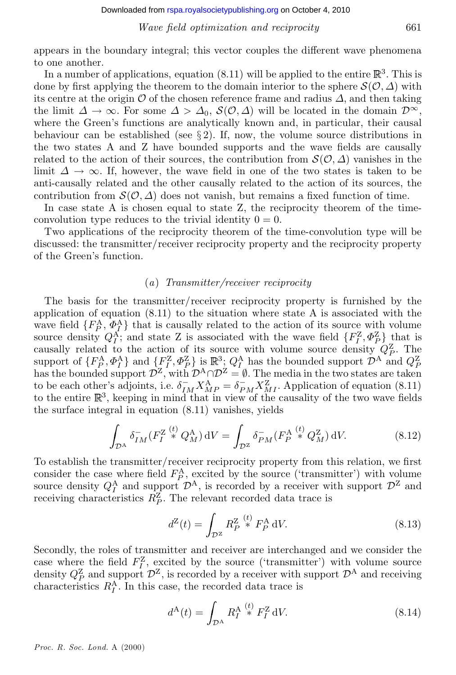*Wave field optimization and reciprocity* 661<br>appears in the boundary integral; this vector couples the different wave phenomena<br>to one another appears in the boto<br>to one another.<br>In a number of pears in the boundary integral; this vector couples the different wave phenomena<br>one another.<br>In a number of applications, equation (8.11) will be applied to the entire  $\mathbb{R}^3$ . This is<br>ne by first applying the theorem

to one another.<br>In a number of applications, equation (8.11) will be applied to the entire  $\mathbb{R}^3$ . This is<br>done by first applying the theorem to the domain interior to the sphere  $\mathcal{S}(\mathcal{O}, \Delta)$  with<br>its centre at t In a number of applications, equation (8.11) will be applied to the entire  $\mathbb{R}^3$ . This is<br>done by first applying the theorem to the domain interior to the sphere  $\mathcal{S}(\mathcal{O}, \Delta)$  with<br>its centre at the origin  $\mathcal{O$ done by first applying the theorem to the domain interior to the sphere  $S(\mathcal{O}, \Delta)$  with<br>its centre at the origin  $\mathcal{O}$  of the chosen reference frame and radius  $\Delta$ , and then taking<br>the limit  $\Delta \to \infty$ . For some  $\Delta >$ the limit  $\Delta \to \infty$ . For some  $\Delta > \Delta_0$ ,  $S(\mathcal{O}, \Delta)$  will be located in the domain  $\mathcal{D}^{\infty}$ , where the Green's functions are analytically known and, in particular, their causal behaviour can be established (see § 2) where the Green's functions are analytically known and, in particular, their causal<br>behaviour can be established (see § 2). If, now, the volume source distributions in<br>the two states A and Z have bounded supports and the behaviour can be established (see § 2). If, now, the volume source distributions in<br>the two states A and Z have bounded supports and the wave fields are causally<br>related to the action of their sources, the contribution fr the two states A and Z have bounded supports and the wave fields are causally related to the action of their sources, the contribution from  $\mathcal{S}(\mathcal{O}, \Delta)$  vanishes in the limit  $\Delta \to \infty$ . If, however, the wave field in related to the action of their sources, the contribution from  $S(\mathcal{O}, \Delta)$  vanishes in the limit  $\Delta \to \infty$ . If, however, the wave field in one of the two states is taken to be anti-causally related and the other causally limit  $\Delta \to \infty$ . If, however, the wave field in one of the two states is taken to be anti-causally related and the other causally related to the action of its sources, the contribution from  $\mathcal{S}(\mathcal{O}, \Delta)$  does not vani ti-causally related and the other causally related to the action of its sources, the ntribution from  $\mathcal{S}(\mathcal{O}, \Delta)$  does not vanish, but remains a fixed function of time-<br>In case state A is chosen equal to state Z, the

contribution from  $S(\mathcal{O}, \Delta)$  does not vanish, but remain<br>In case state A is chosen equal to state Z, the recip<br>convolution type reduces to the trivial identity  $0 = 0$ .<br>Two applications of the reciprocity theorem of the In case state A is chosen equal to state Z, the reciprocity theorem of the time-convolution type reduces to the trivial identity  $0 = 0$ .<br>Two applications of the reciprocity theorem of the time-convolution type will be

convolution type reduces to the trivial identity  $0 = 0$ .<br>Two applications of the reciprocity theorem of the time-convolution type will be discussed: the transmitter/receiver reciprocity property and the reciprocity proper Two applications of the<br>discussed: the transmitter<br>of the Green's function.

### (*a*) *Transmitter/receiver reciprocity*

The basis for the transmitter/receiver reciprocity property is furnished by the application of equation (8.11) to the situation where state A is associated with the The basis for t<br>application of equ<br>wave field  $\{F_P^{\text{A}}, \Phi$ <br>source density  $O_2^{\text{A}}$ for the transmitter/receiver reciprocity property is furnished by the<br>f equation (8.11) to the situation where state A is associated with the<br> ${}_{P}^{\text{A}}, \Phi_{I}^{\text{A}}$  that is causally related to the action of its source wi application of equation (8.11) to the situation where state A is associated<br>wave field  $\{F_P^A, \Phi_I^A\}$  that is causally related to the action of its source wis<br>source density  $Q_I^A$ ; and state Z is associated with the wa iated with the<br>
ightarrow is that is<br>  $\frac{Z}{I^2}, \Phi_P^Z$  that is<br>  $\frac{Z}{I^2}$  The wave field  $\{F_P^{\mathcal{A}}, \Phi_I^{\mathcal{A}}\}$  that is causally related to the action of its source with volume source density  $Q_I^{\mathcal{A}}$ ; and state Z is associated with the wave field  $\{F_I^{\mathcal{Z}}, \Phi_P^{\mathcal{Z}}\}$  that is causally re source density  $Q_I^A$ <br>causally related to<br>support of  $\{F_P^A, \Phi$ <br>has the bounded su  $Q_I^{\Lambda}$ ; and state Z is associated with<br>ed to the action of its source with<br> $P_I^{\Lambda}, \Phi_I^{\Lambda}$  and  $\{F_I^{\Lambda}, \Phi_P^{\Lambda}\}$  is  $\mathbb{R}^3$ ;  $Q_I^{\Lambda}$  has<br>ed support  $\mathcal{D}^{\Lambda}$  with  $\mathcal{D}^{\Lambda} \cap \mathcal{D}^{\Lambda} = \emptyset$ . The In the wave field  $\{F_I^Z, \Phi_P^Z\}$  that is<br>
i with volume source density  $Q_P^Z$ . The<br>  $\Lambda$  has the bounded support  $D^A$  and  $Q_P^Z$ <br>  $\emptyset$ . The media in the two states are taken causally related to the action of its source with volume source density  $Q_P^2$ . The<br>support of  $\{F_P^A, \Phi_I^A\}$  and  $\{F_I^Z, \Phi_P^Z\}$  is  $\mathbb{R}^3$ ;  $Q_I^A$  has the bounded support  $\mathcal{D}^A$  and  $Q_P^Z$ <br>has the bounded supp support of  $\{F_P^A, \Phi_I^A\}$  and  $\{F_I^Z, \Phi_P^Z\}$  is  $\mathbb{R}^3$ ;  $Q_I^A$  has the bounded support  $\mathcal{D}^A$  and  $Q_P^Z$  has the bounded support  $\mathcal{D}^Z$ , with  $\mathcal{D}^A \cap \mathcal{D}^Z = \emptyset$ . The media in the two states are taken  $I_M^X X^A_{MP} = \delta_{PM}^- X^Z_{MI}$ . has the bounded support  $\mathcal{D}^Z$ , with  $\mathcal{D}^A \cap \mathcal{D}^Z = \emptyset$ . The media in the two states are taken<br>to be each other's adjoints, i.e.  $\delta_{IM}^- X_{MP}^A = \delta_{PM}^- X_{MI}^Z$ . Application of equation (8.11)<br>to the entire  $\mathbb{R}^$ to be each other's adjoints, i.e.  $\delta_{IM}^- X^A_{MP} = \delta_{PM}^- X^Z_{MI}$ . Ap<br>to the entire  $\mathbb{R}^3$ , keeping in mind that in view of the caus<br>the surface integral in equation (8.11) vanishes, yields the surface integral in equation  $(8.11)$  vanishes, yields

$$
\int_{\mathcal{D}^{\mathcal{A}}} \delta_{IM}^-(F_I^{\mathcal{Z}} \stackrel{(t)}{*} Q_M^{\mathcal{A}}) \, \mathrm{d}V = \int_{\mathcal{D}^{\mathcal{Z}}} \delta_{PM}^-(F_P^{\mathcal{A}} \stackrel{(t)}{*} Q_M^{\mathcal{Z}}) \, \mathrm{d}V. \tag{8.12}
$$

To establish the transmitter/receiver reciprocity property from this relation, we first To establish the transmitter/receive<br>consider the case where field  $F_P^{\text{A}}$ , es<br>source density  $O^{\text{A}}$  and support  $\mathcal{D}^{\text{A}}$ ceiver reciprocity property from this relation, we first<br>  $A^A$ , excited by the source ('transmitter') with volume<br>  $A^A$  is recorded by a receiver with support  $D^Z$  and To establish the transmitter/receiver reciprocity property from this relation, we first consider the case where field  $F_P^{\text{A}}$ , excited by the source ('transmitter') with volume source density  $Q_I^{\text{A}}$  and support  $\math$ consider the case where field  $F_P^{\text{A}}$ , excited by the source ('transmitt source density  $Q_I^{\text{A}}$  and support  $\mathcal{D}^{\text{A}}$ , is recorded by a receiver with receiving characteristics  $R_P^{\text{Z}}$ . The relevant recorded

$$
{}_{P}^{2}
$$
. The relevant recorded data trace is
$$
d^{Z}(t) = \int_{\mathcal{D}^{Z}} R_{P}^{Z} \, {}_{*}^{(t)} F_{P}^{A} \, dV.
$$
 (8.13)

 $d^2(t) = \int_{\mathcal{D}^Z} R_P^2 \times F_P^A dV.$  (8.13)<br>Secondly, the roles of transmitter and receiver are interchanged and we consider the<br>case where the field  $F^Z$  excited by the source ('transmitter') with volume source Secondly, the roles of transition<br>case where the field  $F_I^Z$ , explaining  $O^Z$  and support  $D^Z$ Secondly, the roles of transmitter and receiver are interchanged and we consider the case where the field  $F_I^Z$ , excited by the source ('transmitter') with volume source density  $Q_P^Z$  and support  $\mathcal{D}^Z$ , is recorded characteristics  $R_I^{\text{A}}$ . In this case, the record<br> $d^{\text{A}}(t) = \int_{\mathcal{D}^{\text{A}}}$ . ld  $F_I^Z$ , excited by the source ('transmitter<br>pport  $\mathcal{D}^Z$ , is recorded by a receiver with sur<br>. In this case, the recorded data trace is

$$
d^{A}(t) = \int_{\mathcal{D}^{A}} R_{I}^{A} \stackrel{(t)}{*} F_{I}^{Z} dV.
$$
 (8.14)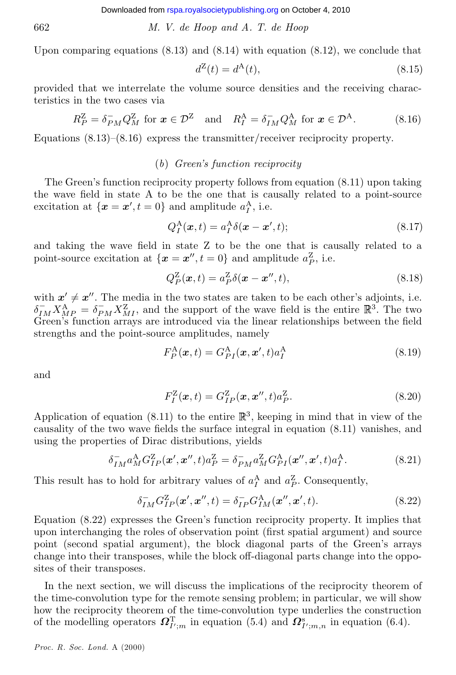$M. V. de Hoop and A. T. de Hoop$ <br>Upon comparing equations (8.13) and (8.14) with equation (8.12), we conclude that

and (8.14) with equation (8.12), we conclude that  

$$
d^Z(t) = d^A(t),
$$
(8.15)

 $d^Z(t) = d^A(t)$ , (8.15)<br>provided that we interrelate the volume source densities and the receiving charac-<br>teristics in the two cases via provided that we interrelate the teristics in the two cases via

In that we differentiate the volume source densities and the receiving character-  
in the two cases via  

$$
R_P^Z = \delta_{PM}^- Q_M^Z
$$
 for  $\mathbf{x} \in \mathcal{D}^Z$  and  $R_I^A = \delta_{IM}^- Q_M^A$  for  $\mathbf{x} \in \mathcal{D}^A$ . (8.16)

Equations  $(8.13)-(8.16)$  express the transmitter/receiver reciprocity property.

### (*b*) *Green's function reciprocity*

(b) Green's function reciprocity<br>The Green's function reciprocity property follows from equation (8.11) upon taking<br>the wave field in state A to be the one that is causally related to a point-source The Green's function reciprocity property follows from equation (8.11) upon taking<br>the wave field in state A to be the one that is causally related to a point-source<br>excitation at  $\{x = x' | t = 0\}$  and amplitude  $a^A$  i.e The Green's function reciprocity property follows<br>the wave field in state A to be the one that is ca<br>excitation at  $\{x = x', t = 0\}$  and amplitude  $a_I^A$ , i.e. ows from<br>is caus<br>, i.e. In amplitude  $a_I^{\text{A}}$ <br> $a_I^{\text{A}}(x,t) = a_I^{\text{A}} \delta(x)$  $\langle t, t \rangle$ ; (8.17)

$$
Q_I^{\mathbf{A}}(\boldsymbol{x},t) = a_I^{\mathbf{A}} \delta(\boldsymbol{x} - \boldsymbol{x}',t); \tag{8.17}
$$

 $Q_I^{\text{A}}(\boldsymbol{x},t) = a_I^{\text{A}} \delta(\boldsymbol{x} - \boldsymbol{x}',t);$  (8.17)<br>and taking the wave field in state Z to be the one that is causally related to a<br>point-source excitation at  $\{ \boldsymbol{x} = \boldsymbol{x}'' | t = 0 \}$  and amplitude  $a_2^{\text{Z}}$  i.e and taking the wave field in state Z to be the one that is a point-source excitation at  $\{x = x'', t = 0\}$  and amplitude  $a_P^Z$ , i  $\frac{\mathrm{Z}}{P}$ , i.e s causes, i.e.  $x''$ ,  $t = 0$ } and amplitude  $a_P^Z$ , i.e.<br>  $(\mathbf{x}, t) = a_P^Z \delta(\mathbf{x} - \mathbf{x}'', t),$ (8.18)

$$
Q_P^Z(\boldsymbol{x},t) = a_P^Z \delta(\boldsymbol{x} - \boldsymbol{x}'',t),\tag{8.18}
$$

with  $x' \neq x''$ . Th  $Q_P^Z(\mathbf{x}, t) = a_P^Z \delta(\mathbf{x} - \mathbf{x}'', t),$  (8.18)<br>
". The media in the two states are taken to be each other's adjoints, i.e.<br>  $\delta_{\text{max}}^Z$ , and the support of the wave field is the entire  $\mathbb{R}^3$ . The two with  $\mathbf{x}' \neq \mathbf{x}''$ . The media in the two states are taken to be each other's adjoints, i.e.<br>  $\delta_{IM}^{-} X_{MP}^{\mathbf{A}} = \delta_{PM}^{-} X_{MI}^{\mathbf{Z}}$ , and the support of the wave field is the entire  $\mathbb{R}^3$ . The two<br>
Green's functio with  $\mathbf{x}' \neq \mathbf{x}''$ . The media in the two states are taken to be each other's adjoints, i.e.<br>  $\delta_{IM}^- X_{MP}^A = \delta_{PM}^- X_{MI}^Z$ , and the support of the wave field is the entire  $\mathbb{R}^3$ . The two<br>
Green's function arrays are  $s_{\text{tree}}$  is function arrays are introduced via the linear relationships between the field strengths and the point-source amplitudes, namely ely<br>', t) $a_I^{\text{A}}$ 

$$
F_P^{\mathcal{A}}(\boldsymbol{x}, t) = G_{PI}^{\mathcal{A}}(\boldsymbol{x}, \boldsymbol{x}', t) a_I^{\mathcal{A}}
$$
\n(8.19)

and

$$
F_I^{\mathbf{Z}}(\mathbf{x},t) = G_{IP}^{\mathbf{Z}}(\mathbf{x},\mathbf{x}'',t)a_P^{\mathbf{Z}}.
$$
 (8.20)

 $F_I^{\mathbf{Z}}(\mathbf{x},t) = G_{IP}^{\mathbf{Z}}(\mathbf{x},\mathbf{x}'',t)a_P^{\mathbf{Z}}.$  (8.20)<br>Application of equation (8.11) to the entire  $\mathbb{R}^3$ , keeping in mind that in view of the<br>causality of the two wave fields the surface integral in equation (8 Application of equation (8.11) to the entire  $\mathbb{R}^3$ , keeping in mind that in view of the causality of the two wave fields the surface integral in equation (8.11) vanishes, and using the properties of Dirac distributio Application of equation  $(8.11)$  to the entire  $\mathbb{R}^3$ , keep causality of the two wave fields the surface integral using the properties of Dirac distributions, yields causality of the two wave fields the surface integral in equation  $(8.11)$  vanishes, and using the properties of Dirac distributions, yields

using the properties of Dirac distributions, yields  
\n
$$
\delta_{IM}^{-} a_M^A G_{IP}^Z(\boldsymbol{x}', \boldsymbol{x}'', t) a_P^Z = \delta_{PM}^{-} a_M^Z G_{PI}^A(\boldsymbol{x}'', \boldsymbol{x}', t) a_I^A.
$$
\n(8.21)  
\nThis result has to hold for arbitrary values of  $a_I^A$  and  $a_P^Z$ . Consequently,

If for arbitrary values of 
$$
a_I^A
$$
 and  $a_P^Z$ . Consequently,

\n
$$
\delta_{IM}^- G_{IP}^Z(\mathbf{x}', \mathbf{x}'', t) = \delta_{IP}^- G_{IM}^A(\mathbf{x}'', \mathbf{x}', t).
$$
\n(8.22)

 $\delta_{IM}^- G_{IP}^Z(\mathbf{x}', \mathbf{x}'', t) = \delta_{IP}^- G_{IM}^A(\mathbf{x}'', \mathbf{x}', t).$  (8.22)<br>Equation (8.22) expresses the Green's function reciprocity property. It implies that<br>upon interchanging the roles of observation point (first spatial argument) Equation (8.22) expresses the Green's function reciprocity property. It implies that<br>upon interchanging the roles of observation point (first spatial argument) and source<br>point (second spatial argument) the block diagonal Equation  $(8.22)$  expresses the Green's function reciprocity property. It implies that<br>upon interchanging the roles of observation point (first spatial argument) and source<br>point (second spatial argument), the block diago upon interchanging the roles of observation point (first spatial argument) and source<br>point (second spatial argument), the block diagonal parts of the Green's arrays<br>change into their transposes, while the block off-diagon point (second spatial arg<br>change into their transpose<br>sites of their transposes. In the next section, we will discuss the implications of the reciprocity theorem of<br>In the next section, we will discuss the implications of the reciprocity theorem of

the time-convolution type for the remote sensing problem; in particular, we will show how the reciprocity theorem of the time-convolution type underlies the construction the time-convolution type for the remote sensing problem; in particular, we will show<br>how the reciprocity theorem of the time-convolution type underlies the construction<br>of the modelling operators  $\mathbf{\Omega}_{I';m}^{\mathrm{T}}$  in equ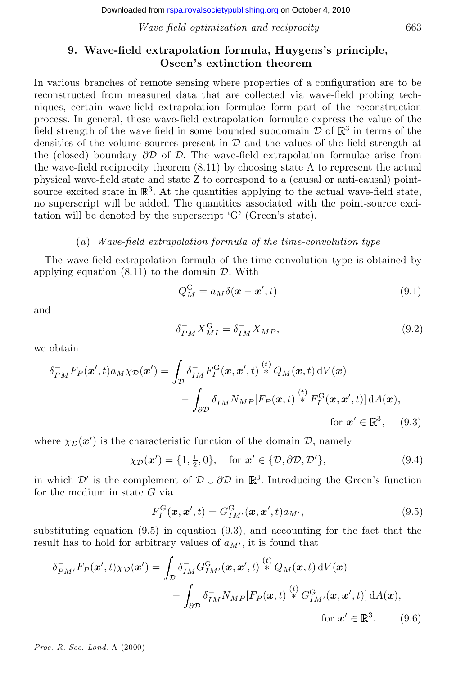# Wave field optimization and reciprocity<br>
9. Wave-field extrapolation formula, Huygens's principle,<br>
Oseen's extinction theorem trapolation formula, Huygens's p<br>Oseen's extinction theorem

In various branches of remote sensing where properties of a configuration are to be<br>reconstructed from measured data that are collected via wave-field probing tech-In various branches of remote sensing where properties of a configuration are to be<br>reconstructed from measured data that are collected via wave-field probing tech-<br>niques certain wave-field extrapolation formulae form par reconstructed from measured data that are collected via wave-field probing techniques, certain wave-field extrapolation formulae form part of the reconstruction process. In general, these wave-field extrapolation formulae express the value of the niques, certain wave-field extrapolation formulae form part of the reconstruction<br>process. In general, these wave-field extrapolation formulae express the value of the<br>field strength of the wave field in some bounded subd process. In general, these wave-field extrapolation formulae express the value of the field strength of the wave field in some bounded subdomain  $D$  of  $\mathbb{R}^3$  in terms of the densities of the volume sources present in densities of the volume sources present in  $D$  and the values of the field strength at the (closed) boundary  $\partial D$  of  $D$ . The wave-field extrapolation formulae arise from densities of the volume sources present in  $D$  and the values of the field strength at<br>the (closed) boundary  $\partial D$  of  $D$ . The wave-field extrapolation formulae arise from<br>the wave-field reciprocity theorem (8.11) by choo the (closed) boundary  $\partial \mathcal{D}$  of  $\mathcal{D}$ . The wave-field extrapolation formulae arise from<br>the wave-field reciprocity theorem (8.11) by choosing state A to represent the actual<br>physical wave-field state and state Z to the wave-field reciprocity theorem  $(8.11)$  by choosing state A to represent the actual<br>physical wave-field state and state Z to correspond to a (causal or anti-causal) point-<br>source excited state in  $\mathbb{R}^3$ . At the qu physical wave-field state and state Z to correspond to a (causal or anti-causal) point-<br>source excited state in  $\mathbb{R}^3$ . At the quantities applying to the actual wave-field state,<br>no superscript will be added. The quan no superscript will be added. The quantities associated with the point-source excitation will be denoted by the superscript  $'G'$  (Green's state).

### $(a)$  *Wave-field extrapolation formula of the time-convolution type*

The wave-field extrapolation formula of the time-convolution type is obtained by applying equation  $(8.11)$  to the domain  $\mathcal{D}$ . With  $(t, t)$  (9.1)

$$
Q_M^{\rm G} = a_M \delta(\mathbf{x} - \mathbf{x}', t) \tag{9.1}
$$

and

$$
\delta_{PM}^- X_{MI}^\text{G} = \delta_{IM}^- X_{MP},\tag{9.2}
$$

we obtain

we obtain  
\n
$$
\delta_{PM}^{-}F_P(\mathbf{x}',t)a_M\chi_{D}(\mathbf{x}') = \int_{\mathcal{D}} \delta_{IM}^{-}F_I^{\mathcal{G}}(\mathbf{x},\mathbf{x}',t) \stackrel{(t)}{\ast} Q_M(\mathbf{x},t) dV(\mathbf{x})
$$
\n
$$
- \int_{\partial \mathcal{D}} \delta_{IM}^{-}N_{MP}[F_P(\mathbf{x},t) \stackrel{(t)}{\ast} F_I^{\mathcal{G}}(\mathbf{x},\mathbf{x}',t)] dA(\mathbf{x}),
$$
\nfor  $\mathbf{x}' \in \mathbb{R}^3$ , (9.3)  
\nwhere  $\chi_{D}(\mathbf{x}')$  is the characteristic function of the domain  $\mathcal{D}$ , namely

characteristic function of the domain 
$$
\mathcal{D}
$$
, namely  
\n
$$
\chi_{\mathcal{D}}(\boldsymbol{x}') = \{1, \frac{1}{2}, 0\}, \text{ for } \boldsymbol{x}' \in \{\mathcal{D}, \partial \mathcal{D}, \mathcal{D}'\},
$$
\n(9.4)

 $\chi_{\mathcal{D}}(\boldsymbol{x}') = \{1, \frac{1}{2}, 0\}, \text{ for } \boldsymbol{x}' \in \{\mathcal{D}, \partial \mathcal{D}, \mathcal{D}'\},$  (9.4)<br>in which  $\mathcal{D}'$  is the complement of  $\mathcal{D} \cup \partial \mathcal{D}$  in  $\mathbb{R}^3$ . Introducing the Green's function<br>for the medium in state G via in which  $\mathcal{D}'$  is the complement of the medium in state G via  $($ ', t) = G\_{IM'}^{\rm G}(\bm{x})  $(t)$ ,  $t$ ) $a_{M'}$ , (9.5)

$$
F_I^{\mathcal{G}}(\boldsymbol{x}, \boldsymbol{x}', t) = G_{IM'}^{\mathcal{G}}(\boldsymbol{x}, \boldsymbol{x}', t) a_{M'},
$$
\n(9.5)

 $F_I^{\text{G}}(\mathbf{x}, \mathbf{x}', t) = G_{IM'}^{\text{G}}(\mathbf{x}, \mathbf{x}', t) a_{M'},$  (9.5)<br>substituting equation (9.5) in equation (9.3), and accounting for the fact that the<br>result has to hold for arbitrary values of  $a_{M}$ , it is found that substituting equation (9.5) in equation (9.3), and accounting for result has to hold for arbitrary values of  $a_{M'}$ , it is found that

ult has to hold for arbitrary values of 
$$
a_{M'}
$$
, it is found that  
\n
$$
\delta_{PM'}^-F_P(\mathbf{x}',t)\chi_D(\mathbf{x}') = \int_{\mathcal{D}} \delta_{IM}^- G_{IM'}^G(\mathbf{x}, \mathbf{x}',t) \stackrel{(t)}{*}{} Q_M(\mathbf{x},t) dV(\mathbf{x})
$$
\n
$$
- \int_{\partial \mathcal{D}} \delta_{IM}^- N_{MP} [F_P(\mathbf{x},t) \stackrel{(t)}{*}{} G_{IM'}^G(\mathbf{x}, \mathbf{x}',t)] dA(\mathbf{x}),
$$
\nfor  $\mathbf{x}' \in \mathbb{R}^3$ . (9.6)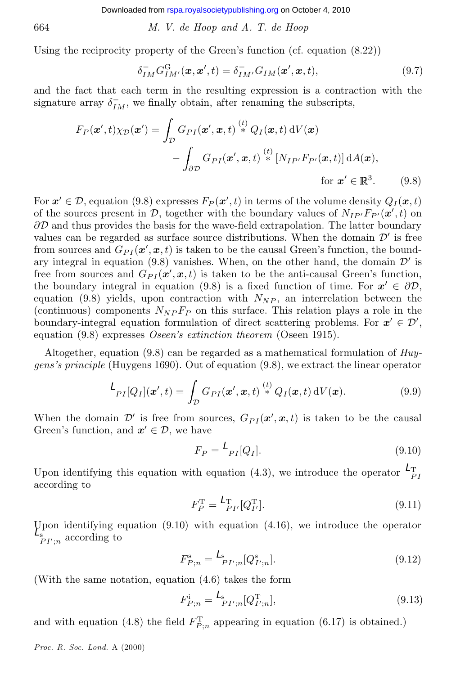664  $M.$  *V. de Hoop and A. T. de Hoop*<br>Using the reciprocity property of the Green's function (cf. equation (8.22))

property of the Green's function (cf. equation (8.22))  
\n
$$
\delta_{IM}^{-} G_{IM'}^{G}(\boldsymbol{x}, \boldsymbol{x}', t) = \delta_{IM'}^{-} G_{IM}(\boldsymbol{x}', \boldsymbol{x}, t), \qquad (9.7)
$$

and the fact that each term in the resulting expression is a contraction with the and the fact that each term in the resulting expression is a contraction signature array  $\delta_{IM}^-$ , we finally obtain, after renaming the subscripts,

array 
$$
\delta_{IM}
$$
, we finally obtain, after renaming the subscripts,  
\n
$$
F_P(\mathbf{x}',t)\chi_D(\mathbf{x}') = \int_{\mathcal{D}} G_{PI}(\mathbf{x}',\mathbf{x},t) \stackrel{(t)}{*} Q_I(\mathbf{x},t) dV(\mathbf{x}) - \int_{\partial \mathcal{D}} G_{PI}(\mathbf{x}',\mathbf{x},t) \stackrel{(t)}{*} [N_{IP'}F_{P'}(\mathbf{x},t)] dA(\mathbf{x}),
$$
\nfor  $\mathbf{x}' \in \mathbb{R}^3$ . (9.8)

For  $x' \in \mathcal{I}$  $\mathbf{C} \in \mathcal{D}$ , equation (9.8) expresses  $F_P(\mathbf{x}', t)$  in terms of the volume density  $Q_I(\mathbf{x}, t)$ <br>express present in  $\mathcal{D}$  together with the boundary values of  $N_{ID} F_{D}(\mathbf{x}', t)$  on For  $\mathbf{x}' \in \mathcal{D}$ , equation (9.8) expresses  $F_P(\mathbf{x}', t)$  in terms of the volume density  $Q_I(\mathbf{x}, t)$ <br>of the sources present in  $\mathcal{D}$ , together with the boundary values of  $N_{IP'}F_{P'}(\mathbf{x}', t)$  on<br> $\partial \mathcal{D}$  and thus provid For  $\mathbf{x}' \in \mathcal{D}$ , equation (9.8) expresses  $F_P(\mathbf{x}', t)$  in terms of the volume density  $Q_I(\mathbf{x}, t)$  of the sources present in  $\mathcal{D}$ , together with the boundary values of  $N_{IP'}F_{P'}(\mathbf{x}', t)$  on  $\partial \mathcal{D}$  and thus provid of the sources present in  $D$ , together with the boundary values of  $N_{IP'}F_{P'}(\mathbf{x}',t)$  on  $\partial D$  and thus provides the basis for the wave-field extrapolation. The latter boundary values can be regarded as surface source dis  $\partial \mathcal{D}$  and thus provides the basis for the wave-field extrapolation. The latter boundary<br>values can be regarded as surface source distributions. When the domain  $\mathcal{D}'$  is free<br>from sources and  $G_{PI}(\mathbf{x}', \mathbf{x}, t)$  is values can be regarded as surface source distributions. When the domain  $\mathcal{D}'$  is free<br>from sources and  $G_{PI}(\mathbf{x}', \mathbf{x}, t)$  is taken to be the causal Green's function, the bound-<br>ary integral in equation (9.8) vanishes. from sources and  $G_{PI}(\mathbf{x}', \mathbf{x}, t)$  is taken to be the causal Green's function, the bound-<br>ary integral in equation (9.8) vanishes. When, on the other hand, the domain  $\mathcal{D}'$  is<br>free from sources and  $G_{PI}(\mathbf{x}', \mathbf{x}, t)$  free from sources and  $G_{PI}(x', x, t)$  is taken to be the anti-causal Green's function, the boundary integral in equation (9.8) is a fixed function of time. For  $x' \in \partial \mathcal{D}$ , the boundary integral in equation (9.8) is a fixed function of time. For  $x' \in \partial \mathcal{D}$ ,<br>equation (9.8) yields, upon contraction with  $N_{NP}$ , an interrelation between the<br>(continuous) components  $N_{NP}F_P$  on this surface. (continuous) components  $N_{NP}F_P$  on this surface. This relation plays a role in the boundary-integral equation formulation of direct scattering problems. For  $x' \in \mathcal{D}'$ , equation (9.8) expresses *Oseen's extinction theo* equation (9.8) yields, upon contraction with  $N_{NP}$ , an interrelation between the (continuous) components  $N_{NP}F_P$  on this surface. This relation plays a role in the boundary-integral equation formulation of direct scatte

altogether, equation (9.8) can be regarded as a mathematical formulation of *Huy-*<br>Altogether, equation (9.8) can be regarded as a mathematical formulation of *Huy-*<br>*ns's principle* (Huygens 1690) Out of equation (9.8) w *gens's principle* (Huygens 1690). Out of equation (9.8), we extract the linear operator *gens's principle* (Huygens 1690). Out of equation (9.8), we extract the linear operator

(Huygens 1690). Out of equation (9.8), we extract the linear operator\n
$$
L_{PI}[Q_I](\boldsymbol{x}',t) = \int_{\mathcal{D}} G_{PI}(\boldsymbol{x}',\boldsymbol{x},t) \stackrel{(t)}{*} Q_I(\boldsymbol{x},t) \mathrm{d}V(\boldsymbol{x}). \tag{9.9}
$$

 $\mathcal{L}_{PI}[Q_I](\boldsymbol{x}',t) = \int_{\mathcal{D}} G_{PI}(\boldsymbol{x}', \boldsymbol{x}, t) * Q_I(\boldsymbol{x}, t) dV(\boldsymbol{x}).$  (9.9)<br>When the domain  $\mathcal{D}'$  is free from sources,  $G_{PI}(\boldsymbol{x}', \boldsymbol{x}, t)$  is taken to be the causal<br>Green's function and  $\boldsymbol{x}' \in \mathcal{D}$  we have When the domain  $\mathcal{D}'$  is free from source<br>Green's function, and  $\mathbf{x}' \in \mathcal{D}$ , we have

$$
F_P = L_{PI}[Q_I]. \tag{9.10}
$$

Upon identifying this equation with equation (4.3), we introduce the operator  $L_{PI}^T$  according to

$$
F_P^{\rm T} = \frac{L_{\rm T}}{P I'} [Q_{I'}^{\rm T}]. \tag{9.11}
$$

Upon identifying equation (9.10) with equation (4.16), we introduce the operator  $\int_{P I':n}^S$  according to

$$
F_{P;n}^{\rm s} = \frac{L_{\rm s}}{P_{I';n}}[Q_{I';n}^{\rm s}].\tag{9.12}
$$

(With the same notation, equation (4.6) takes the form

$$
F_{P;n}^{i} = \frac{L_{s}}{PI';n}[Q_{I';n}^{T}],
$$
\n
$$
d F_{P;n}^{T}
$$
 appearing in equation (6.17) is obtained.)\n
$$
(9.13)
$$

 $F_{P;n}^{\rm i} =$  and with equation (4.8) the field<br>  $F_{P;n}^{\rm T}$   $\epsilon$  $T_{\text{par}}$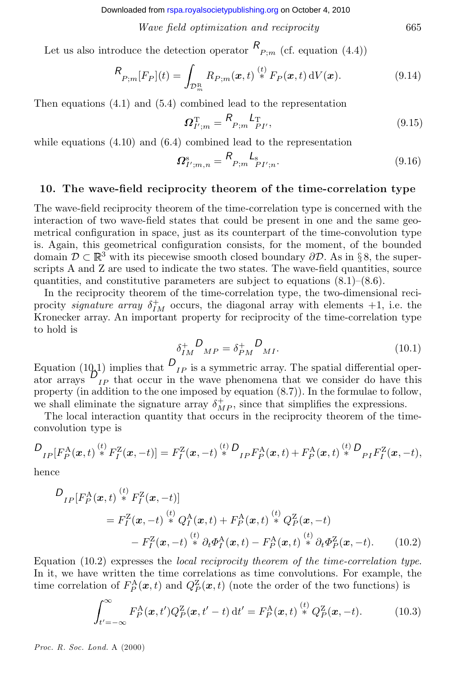*Wave*field optimization and reciprocity 665 Downloaded from rspa.royalsocietypublishing.org on October 4, 2010

Wave field optimization and reciprocity<br>Let us also introduce the detection operator  $R_{P;m}$  (cf. equation (4.4))

value the detection operator 
$$
{}^{'}P_{;m}
$$
 (cf. equation (4.4))

\n
$$
R_{P;m}[F_P](t) = \int_{\mathcal{D}_m^R} R_{P;m}(\boldsymbol{x}, t) \stackrel{(t)}{*} F_P(\boldsymbol{x}, t) \, dV(\boldsymbol{x}). \tag{9.14}
$$

Then equations (4.1) and (5.4) combined lead to the representation

$$
\Omega_{I',m}^{\mathrm{T}} = \frac{R}{P_{;m}} \frac{L_{\mathrm{T}}}{P_{I'},}
$$
\n(9.15)

while equations  $(4.10)$  and  $(6.4)$  combined lead to the representation

$$
\Omega_{I',m,n}^{s} = \bigg| P_{P;m} \bigg|_{P_{I',n}}^{s}.
$$
\n(9.16)

# 10. The wave-field reciprocity theorem of the time-correlation type<br>10. The wave-field reciprocity theorem of the time-correlation type

10. The wave-field reciprocity theorem of the time-correlation type<br>The wave-field reciprocity theorem of the time-correlation type is concerned with the<br>interaction of two wave-field states that could be present in one a The wave-field reciprocity theorem of the time-correlation type is concerned with the interaction of two wave-field states that could be present in one and the same geo-<br>metrical configuration in space, just as its counte The wave-field reciprocity theorem of the time-correlation type is concerned with the interaction of two wave-field states that could be present in one and the same geometrical configuration in space, just as its counterpa interaction of two wave-field states that could be present in one and the same geo-<br>metrical configuration in space, just as its counterpart of the time-convolution type<br>is. Again, this geometrical configuration consists, metrical configuration in space, just as its counterpart of the time-convolution type<br>is. Again, this geometrical configuration consists, for the moment, of the bounded<br>domain  $\mathcal{D} \subset \mathbb{R}^3$  with its piecewise smooth is. Again, this geometrical configuration consists, for the moment, of the bounded<br>domain  $\mathcal{D} \subset \mathbb{R}^3$  with its piecewise smooth closed boundary  $\partial \mathcal{D}$ . As in §8, the super-<br>scripts A and Z are used to indicate scripts A and Z are used to indicate the two states. The wave-field quantities, source quantities, and constitutive parameters are subject to equations  $(8.1)$ – $(8.6)$ .

In the reciprocity theorem of the time-correlation type, the two-dimensional reciquantities, and constitutive parameters are subject to equations  $(8.1)$ – $(8.6)$ .<br>In the reciprocity theorem of the time-correlation type, the two-dimensional reciprocity *signature array*  $\delta_{IM}^+$  occurs, the diagonal a In the reciprocity theorem of the time-correlation type, the two-dimensional reciprocity *signature array*  $\delta_{IM}^+$  occurs, the diagonal array with elements  $+1$ , i.e. the Kronecker array. An important property for recip procity *sign*<br>Kronecker a<br>to hold is

$$
\delta_{IM}^{+}{}^{D}{}_{MP} = \delta_{PM}^{+}{}^{D}{}_{MI}.
$$
\n(10.1)

 $\delta_{IM}^{+} D_{MP} = \delta_{PM}^{+} D_{MI}.$ <br>Equation (10.1) implies that  $D_{IP}$  is a symmetric array. The spatial differential oper-<br>ator arrays  $D_{IP}$  that occur in the wave phenomena that we consider do have this Equation (10.1) implies that  $D_{IP}$  is a symmetric array. The spatial differential oper-<br>ator arrays  $D_{IP}$  that occur in the wave phenomena that we consider do have this<br>property (in addition to the one imposed by equati ator arrays  $D_{IP}$  that occur in the wave phenomena that we consider do have this property (in addition to the one imposed by equation (8.7)). In the formulae to follow, ator arrays  $\mathcal{L}_{IP}$  that occur in the wave phenomena that we consider do have the property (in addition to the one imposed by equation (8.7)). In the formulae to follow we shall eliminate the signature array  $\delta_{MP}^+$ , operty (in addition to the one imposed by equation  $(8.7)$ ). In the formulae to follow,<br>
i shall eliminate the signature array  $\delta_{MP}^+$ , since that simplifies the expressions.<br>
The local interaction quantity that occurs

we shall eliminate the<br>The local interaction<br>convolution type is convolution type is

convolution type is  
\n
$$
D_{IP}[F_P^{\mathcal{A}}(\mathbf{x},t) * F_I^{\mathcal{I}}(\mathbf{x},-t)] = F_I^{\mathcal{I}}(\mathbf{x},-t) * D_{IP}F_P^{\mathcal{A}}(\mathbf{x},t) + F_P^{\mathcal{A}}(\mathbf{x},t) * D_{PI}F_I^{\mathcal{I}}(\mathbf{x},-t),
$$

hence

e  
\n
$$
D_{IP}[F_P^{\mathcal{A}}(\boldsymbol{x},t) \stackrel{(t)}{\ast} F_I^{\mathcal{Z}}(\boldsymbol{x},-t)]
$$
\n
$$
= F_I^{\mathcal{Z}}(\boldsymbol{x},-t) \stackrel{(t)}{\ast} Q_I^{\mathcal{A}}(\boldsymbol{x},t) + F_P^{\mathcal{A}}(\boldsymbol{x},t) \stackrel{(t)}{\ast} Q_P^{\mathcal{Z}}(\boldsymbol{x},-t)
$$
\n
$$
- F_I^{\mathcal{Z}}(\boldsymbol{x},-t) \stackrel{(t)}{\ast} \partial_t \Phi_I^{\mathcal{A}}(\boldsymbol{x},t) - F_P^{\mathcal{A}}(\boldsymbol{x},t) \stackrel{(t)}{\ast} \partial_t \Phi_P^{\mathcal{Z}}(\boldsymbol{x},-t).
$$
\n(10.2)

Equation (10.2) expresses the *local reciprocity theorem of the time-correlation type*. In it, we have written the time correlations as time convolutions. For example, the Equation (10.2) expresses<br>In it, we have written the<br>time correlation of  $F_P^{\text{A}}(\boldsymbol{x})$ , resses the *local reci*<br>n the time correlat<br> $P_P^A(\mathbf{x}, t)$  and  $Q_P^Z(\mathbf{x}, t)$ ) expresses the *local reciprocity theorem of the time-correlation type*.<br>written the time correlations as time convolutions. For example, the<br>1 of  $F_P^{\text{A}}(\boldsymbol{x}, t)$  and  $Q_P^{\text{Z}}(\boldsymbol{x}, t)$  (note the order of the two functi

ion of 
$$
F_P^{\mathcal{A}}(\boldsymbol{x}, t)
$$
 and  $Q_P^{\mathcal{A}}(\boldsymbol{x}, t)$  (note the order of the two functions) is  
\n
$$
\int_{t'=-\infty}^{\infty} F_P^{\mathcal{A}}(\boldsymbol{x}, t') Q_P^{\mathcal{Z}}(\boldsymbol{x}, t'-t) dt' = F_P^{\mathcal{A}}(\boldsymbol{x}, t) \stackrel{(t)}{*} Q_P^{\mathcal{Z}}(\boldsymbol{x}, -t).
$$
\n(10.3)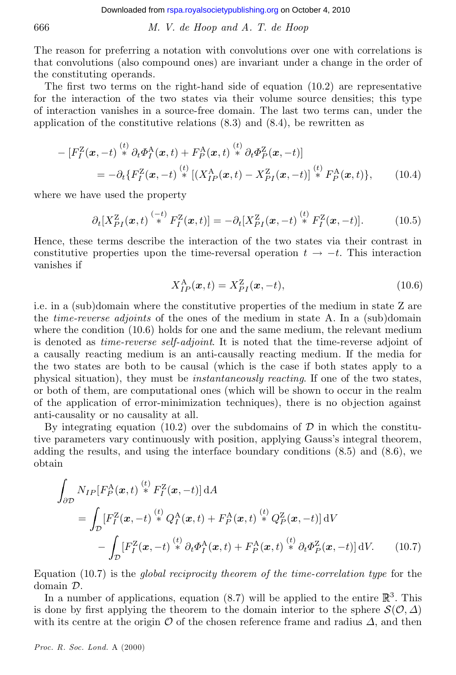$M.$  *V. de Hoop and A. T. de Hoop*<br>The reason for preferring a notation with convolutions over one with correlations is The reason for preferring a notation with convolutions over one with correlations is that convolutions (also compound ones) are invariant under a change in the order of the constituting operands. The reason for preferring a i<br>that convolutions (also comp<br>the constituting operands.<br>The first two terms on the at convolutions (also compound ones) are invariant under a change in the order of<br>e constituting operands.<br>The first two terms on the right-hand side of equation (10.2) are representative<br>the interaction of the two states

the constituting operands.<br>The first two terms on the right-hand side of equation  $(10.2)$  are representative<br>for the interaction of the two states via their volume source densities; this type<br>of interaction vanishes in a The first two terms on the right-hand side of equation  $(10.2)$  are representative<br>for the interaction of the two states via their volume source densities; this type<br>of interaction vanishes in a source-free domain. The la of interaction vanishes in a source-free domain. The last two terms can, under the application of the constitutive relations  $(8.3)$  and  $(8.4)$ , be rewritten as

approximation of the constructive features (8.3) and (8.4), be rewritten as

\n
$$
- [F_I^Z(\boldsymbol{x}, -t)^{(t)}_* \partial_t \Phi_I^A(\boldsymbol{x}, t) + F_P^A(\boldsymbol{x}, t)^{(t)}_* \partial_t \Phi_P^Z(\boldsymbol{x}, -t)]
$$
\n
$$
= -\partial_t \{F_I^Z(\boldsymbol{x}, -t)^{(t)}_* \left[ (X_{IP}^A(\boldsymbol{x}, t) - X_{PI}^Z(\boldsymbol{x}, -t) \right]^{(t)}_* F_P^A(\boldsymbol{x}, t) \}, \qquad (10.4)
$$
\nwhere we have used the property

ve used the property  
\n
$$
\partial_t[X_{PI}^Z(\bm{x},t) \stackrel{(-t)}{*}{} F_I^Z(\bm{x},t)] = -\partial_t[X_{PI}^Z(\bm{x},-t) \stackrel{(t)}{*}{} F_I^Z(\bm{x},-t)].
$$
\n(10.5)

Hence, these terms describe the interaction of the two states via their contrast in Example  $\sigma_t$  ( $\alpha$ ,  $\sigma$ )  $\pi$   $\tau$ <sub>I</sub> ( $\alpha$ ,  $\sigma$ ) =  $\sigma_t$  ( $\alpha$ ,  $\sigma$ )  $\pi$   $\tau$ <sub>I</sub> ( $\alpha$ ,  $\sigma$ )<sub>1</sub>. (10.9)<br>Hence, these terms describe the interaction of the two states via their contrast in constitutive properties up Hence, these<br>constitutive<br>vanishes if

$$
X_{IP}^{\mathbf{A}}(\mathbf{x},t) = X_{PI}^{\mathbf{Z}}(\mathbf{x},-t),
$$
 (10.6)

i.e. in a (sub)domain where the constitutive properties of the medium in state Z are the *time-reverse adjoints* of the constitutive properties of the medium in state Z are<br>the *time-reverse adjoints* of the ones of the medium in state A. In a (sub)domain<br>where the condition (10.6) holds for one and the s i.e. in a (sub)domain where the constitutive properties of the medium in state Z are<br>the *time-reverse adjoints* of the ones of the medium in state A. In a (sub)domain<br>where the condition (10.6) holds for one and the same the *time-reverse adjoints* of the ones of the medium in state A. In a (sub)domain<br>where the condition (10.6) holds for one and the same medium, the relevant medium<br>is denoted as *time-reverse self-adjoint*. It is noted th where the condition  $(10.6)$  holds for one and the same medium, the relevant medium<br>is denoted as *time-reverse self-adjoint*. It is noted that the time-reverse adjoint of<br>a causally reacting medium is an anti-causally re is denoted as *time-reverse self-adjoint*. It is noted that the time-reverse adjoint of a causally reacting medium is an anti-causally reacting medium. If the media for the two states are both to be causal (which is the c a causally reacting medium is an anti-causally reacting medium. If the media for<br>the two states are both to be causal (which is the case if both states apply to a<br>physical situation), they must be *instantaneously reacting* the two states are both to be causal (which is the case if both states apply to a<br>physical situation), they must be *instantaneously reacting*. If one of the two states,<br>or both of them, are computational ones (which will physical situation), they must be *instantaneously reacting*. If one of the two states, or both of them, are computational ones (which will be shown to occur in the realm of the application of error-minimization techniques of the application of error-minimization techniques), there is no objection against anti-causality or no causality at all.

By integrating equation (10.2) over the subdomains of  $\mathcal D$  in which the constituanti-causality or no causality at all.<br>By integrating equation (10.2) over the subdomains of  $D$  in which the constitu-<br>tive parameters vary continuously with position, applying Gauss's integral theorem,<br>adding the result By integrating equation (10.2) over the subdomains of  $D$  in which the constitu-<br>tive parameters vary continuously with position, applying Gauss's integral theorem,<br>adding the results, and using the interface boundary con obtain

n  
\n
$$
\int_{\partial \mathcal{D}} N_{IP} [F_P^{\mathcal{A}}(\boldsymbol{x}, t) \stackrel{(t)}{\ast} F_I^{\mathcal{Z}}(\boldsymbol{x}, -t)] \, dA
$$
\n
$$
= \int_{\mathcal{D}} [F_I^{\mathcal{Z}}(\boldsymbol{x}, -t) \stackrel{(t)}{\ast} Q_I^{\mathcal{A}}(\boldsymbol{x}, t) + F_P^{\mathcal{A}}(\boldsymbol{x}, t) \stackrel{(t)}{\ast} Q_P^{\mathcal{Z}}(\boldsymbol{x}, -t)] \, dV
$$
\n
$$
- \int_{\mathcal{D}} [F_I^{\mathcal{Z}}(\boldsymbol{x}, -t) \stackrel{(t)}{\ast} \partial_t \Phi_I^{\mathcal{A}}(\boldsymbol{x}, t) + F_P^{\mathcal{A}}(\boldsymbol{x}, t) \stackrel{(t)}{\ast} \partial_t \Phi_P^{\mathcal{Z}}(\boldsymbol{x}, -t)] \, dV.
$$
\n(10.7)

Equation (10.7) is the *global reciprocity theorem of the time-correlation type* for the domain D. quation (10.7) is the *global reciprocity theorem of the time-correlation type* for the main  $\mathcal{D}$ .<br>In a number of applications, equation (8.7) will be applied to the entire  $\mathbb{R}^3$ . This done by first applying the

domain  $\mathcal{D}$ .<br>In a number of applications, equation (8.7) will be applied to the entire  $\mathbb{R}^3$ . This<br>is done by first applying the theorem to the domain interior to the sphere  $\mathcal{S}(\mathcal{O}, \Delta)$ <br>with its centre at t is done by first applying the theorem to the domain interior to the sphere  $\mathcal{S}(\mathcal{O}, \Delta)$  with its centre at the origin  $\mathcal O$  of the chosen reference frame and radius  $\Delta$ , and then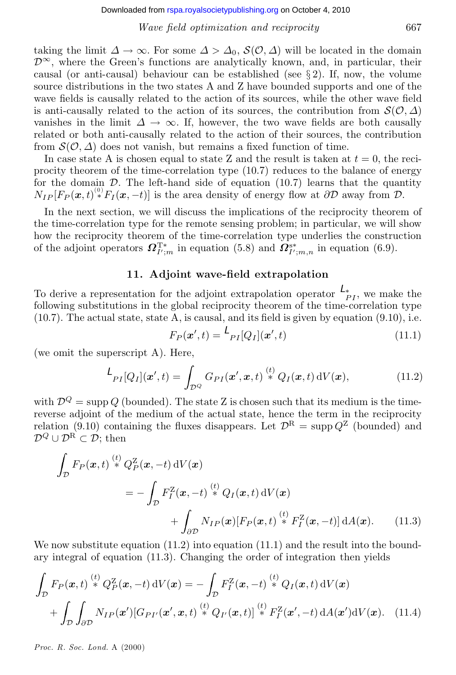Wave field optimization and reciprocity 667<br>taking the limit  $\Delta \to \infty$ . For some  $\Delta > \Delta_0$ ,  $\mathcal{S}(\mathcal{O}, \Delta)$  will be located in the domain<br> $\mathcal{D}^{\infty}$ , where the Green's functions are analytically known, and, in partic taking the limit  $\Delta \to \infty$ . For some  $\Delta > \Delta_0$ ,  $\mathcal{S}(\mathcal{O}, \Delta)$  will be located in the domain  $\mathcal{D}^{\infty}$ , where the Green's functions are analytically known, and, in particular, their causal (or anti-causal) behaviou taking the limit  $\Delta \to \infty$ . For some  $\Delta > \Delta_0$ ,  $\mathcal{S}(\mathcal{O}, \Delta)$  will be located in the domain  $\mathcal{D}^{\infty}$ , where the Green's functions are analytically known, and, in particular, their causal (or anti-causal) behaviou  $\mathcal{D}^{\infty}$ , where the Green's functions are analytically known, and, in particular, their causal (or anti-causal) behaviour can be established (see § 2). If, now, the volume source distributions in the two states A and causal (or anti-causal) behaviour can be established (see §2). If, now, the volume<br>source distributions in the two states A and Z have bounded supports and one of the<br>wave fields is causally related to the action of its s source distributions in the two states A and Z have bounded supports and one of the wave fields is causally related to the action of its sources, while the other wave field is anti-causally related to the action of its so wave fields is causally related to the action of its sources, while the other wave field<br>is anti-causally related to the action of its sources, the contribution from  $\mathcal{S}(\mathcal{O}, \Delta)$ <br>vanishes in the limit  $\Delta \to \infty$ . If, is anti-causally related to the action of its sources, the contribution from  $S(\mathcal{O}, \Delta)$  vanishes in the limit  $\Delta \to \infty$ . If, however, the two wave fields are both causally related or both anti-causally related to the ac from  $\mathcal{S}(\mathcal{O}, \Delta)$  does not vanish, but remains a fixed function of time. lated or both anti-causally related to the action of their sources, the contribution<br>om  $\mathcal{S}(\mathcal{O}, \Delta)$  does not vanish, but remains a fixed function of time.<br>In case state A is chosen equal to state Z and the result is

from  $\mathcal{S}(\mathcal{O}, \Delta)$  does not vanish, but remains a fixed function of time.<br>In case state A is chosen equal to state Z and the result is taken at  $t = 0$ , the reci-<br>procity theorem of the time-correlation type (10.7) red procity theorem of the time-correlation type  $(10.7)$  reduces to the balance of energy for the domain  $D$ . The left-hand side of equation  $(10.7)$  learns that the quantity procity theorem of the time-correlation type (10.7) reduces to the balance of energ<br>for the domain  $D$ . The left-hand side of equation (10.7) learns that the quantit<br> $N_{IP}[F_P(\mathbf{x}, t)^{(\psi)}_{\;*}F_I(\mathbf{x}, -t)]$  is the area density

In the next section, we will discuss the implications of the reciprocity theorem of<br>the next section, we will discuss the implications of the reciprocity theorem of<br>the recorrelation type for the remote sensing problem: i  $t_{IP}[F_{P}(x, t) * F_{I}(x, -t)]$  is the area density of energy now at  $\partial D$  away from  $D$ .<br>In the next section, we will discuss the implications of the reciprocity theorem of<br>the time-correlation type for the remote sensing probl In the next section, we will discuss the implications of the reciprocity theorem of the time-correlation type or the remote sensing problem; in particular, we will show how the reciprocity theorem of the time-correlation the time-correlation type for the remote sensing problem; in particular, we will show the reciprocity theorem of the time-correlation type underlies the construct of the adjoint operators  $\Omega_{I',m}^{T*}$  in equation (5.8) a tors  $\Omega^{1*}_{I';m}$  in equation (5.8) and  $\Omega^{s*}_{I';m,n}$  in equation<br>11. Adjoint wave-field extrapolation

11. Adjoint wave-field extrapolation<br>To derive a representation for the adjoint extrapolation operator  $L_{p_I}^*$ , we make the<br>following substitutions in the global reciprocity theorem of the time-correlation type To derive a representation for the adjoint extrapolation operator  $L_{p_I}^*$ , we make the following substitutions in the global reciprocity theorem of the time-correlation type (10.7). The actual state state A is causal, a following substitutions in the global reciprocity theorem of the time-correlation type causal, and its field is given by equation (9.10), i.e.<br>  $\ell$ ,  $t$ ) =  $\frac{L_{PI}[Q_I](x', t)}{q}$  (11.1)

$$
F_P(\boldsymbol{x}',t) = \frac{L_{PI}[Q_I](\boldsymbol{x}',t)}{P_I[\boldsymbol{x}':t]} \tag{11.1}
$$

 $F_P(\boldsymbol{x}^\prime, \boldsymbol{\theta})$  (we omit the superscript A). Here,

$$
\text{L}_{PI}[Q_I](\boldsymbol{x}',t) = \int_{\mathcal{D}^Q} G_{PI}(\boldsymbol{x}',\boldsymbol{x},t) \stackrel{(t)}{\ast} Q_I(\boldsymbol{x},t) \, \mathrm{d}V(\boldsymbol{x}), \tag{11.2}
$$

 $\mathcal{L}_{PI}[Q_I](\boldsymbol{x}',t) = \int_{\mathcal{D}^Q} G_{PI}(\boldsymbol{x}',\boldsymbol{x},t) \times Q_I(\boldsymbol{x},t) dV(\boldsymbol{x}),$  (11.2)<br>with  $\mathcal{D}^Q = \text{supp } Q$  (bounded). The state Z is chosen such that its medium is the time-<br>reverse adjoint of the medium of the actual state, henc with  $\mathcal{D}^Q$  = supp Q (bounded). The state Z is chosen such that its medium is the time-<br>reverse adjoint of the medium of the actual state, hence the term in the reciprocity<br>relation (9.10) containing the fluxes disapp with  $\mathcal{D}^Q = \text{supp } Q$  (bounded). The state Z is chosen such that its medium is the time-<br>reverse adjoint of the medium of the actual state, hence the term in the reciprocity<br>relation (9.10) containing the fluxes disappe reverse adjoint of the m<br>relation (9.10) containir<br> $\mathcal{D}^Q \cup \mathcal{D}^R \subset \mathcal{D}$ ; then  $\mathcal{D}^{\mathcal{Q}} \cup \mathcal{D}^{\mathcal{R}} \subset \mathcal{D}$ ; then

$$
\int_{\mathcal{D}} F_P(\boldsymbol{x}, t) \stackrel{(t)}{\ast} Q_P^Z(\boldsymbol{x}, -t) \, dV(\boldsymbol{x})
$$
\n
$$
= -\int_{\mathcal{D}} F_I^Z(\boldsymbol{x}, -t) \stackrel{(t)}{\ast} Q_I(\boldsymbol{x}, t) \, dV(\boldsymbol{x})
$$
\n
$$
+ \int_{\partial \mathcal{D}} N_{IP}(\boldsymbol{x}) [F_P(\boldsymbol{x}, t) \stackrel{(t)}{\ast} F_I^Z(\boldsymbol{x}, -t)] \, dA(\boldsymbol{x}). \tag{11.3}
$$

We now substitute equation  $(11.2)$  into equation  $(11.1)$  and the result into the bound- $J_{\partial D}$ <br>We now substitute equation (11.2) into equation (11.1) and the result into the bousty integral of equation (11.3). Changing the order of integration then yields

\n (11.3). Changing the order of integration then yields\n 
$$
\int_{\mathcal{D}} F_P(\mathbf{x},t) \stackrel{(t)}{*}{} Q_P^Z(\mathbf{x},-t) \, \mathrm{d}V(\mathbf{x}) = -\int_{\mathcal{D}} F_I^Z(\mathbf{x},-t) \stackrel{(t)}{*}{} Q_I(\mathbf{x},t) \, \mathrm{d}V(\mathbf{x})
$$
\n
$$
+ \int_{\mathcal{D}} \int_{\partial \mathcal{D}} N_{IP}(\mathbf{x}') \big[ G_{PI'}(\mathbf{x}',\mathbf{x},t) \stackrel{(t)}{*}{} Q_{I'}(\mathbf{x},t) \big] \stackrel{(t)}{*}{} F_I^Z(\mathbf{x}',-t) \, \mathrm{d}A(\mathbf{x}') \mathrm{d}V(\mathbf{x}). \tag{11.4}\n
$$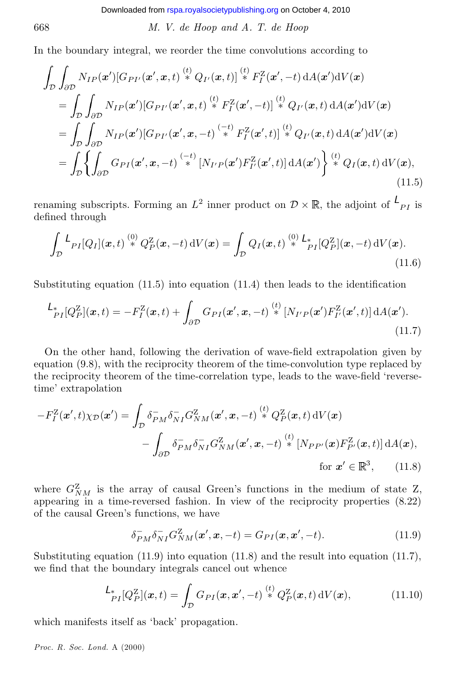$M.$  V. de Hoop and A. T. de Hoop<br>In the boundary integral, we reorder the time convolutions according to

the boundary integral, we reorder the time convolutions according to  
\n
$$
\int_{\mathcal{D}} \int_{\partial \mathcal{D}} N_{IP}(\mathbf{x}') [G_{PI'}(\mathbf{x}', \mathbf{x}, t) * Q_{I'}(\mathbf{x}, t)] * F_I^Z(\mathbf{x}', -t) dA(\mathbf{x}') dV(\mathbf{x})
$$
\n
$$
= \int_{\mathcal{D}} \int_{\partial \mathcal{D}} N_{IP}(\mathbf{x}') [G_{PI'}(\mathbf{x}', \mathbf{x}, t) * F_I^Z(\mathbf{x}', -t)] * Q_{I'}(\mathbf{x}, t) dA(\mathbf{x}') dV(\mathbf{x})
$$
\n
$$
= \int_{\mathcal{D}} \int_{\partial \mathcal{D}} N_{IP}(\mathbf{x}') [G_{PI'}(\mathbf{x}', \mathbf{x}, -t) * F_I^Z(\mathbf{x}', t)] * Q_{I'}(\mathbf{x}, t) dA(\mathbf{x}') dV(\mathbf{x})
$$
\n
$$
= \int_{\mathcal{D}} \left\{ \int_{\partial \mathcal{D}} G_{PI}(\mathbf{x}', \mathbf{x}, -t) * [N_{II'}P(\mathbf{x}')F_{I'}^Z(\mathbf{x}', t)] dA(\mathbf{x}') \right\} * Q_{I}(\mathbf{x}, t) dV(\mathbf{x}), \tag{11.5}
$$

renaming subscripts. Forming an  $L^2$  inn<br>defined through  $^{2}$  in %%%% (11.5)<br>renaming subscripts. Forming an  $L^2$  inner product on  $\mathcal{D} \times \mathbb{R}$ , the adjoint of  $L_{PI}$  is<br>defined through

defined through  
\n
$$
\int_{\mathcal{D}} L_{PI}[Q_I](x, t) \stackrel{(0)}{*}{}_{\mathcal{D}} Z(x, -t) dV(x) = \int_{\mathcal{D}} Q_I(x, t) \stackrel{(0)}{*}{}_{PI}[Q_P^Z](x, -t) dV(x).
$$
\n(11.6)  
\nSubstituting equation (11.5) into equation (11.4) then leads to the identification

bstituting equation (11.5) into equation (11.4) then leads to the identification\n
$$
L_{PI}^*[Q_P^Z](\boldsymbol{x},t) = -F_I^Z(\boldsymbol{x},t) + \int_{\partial \mathcal{D}} G_{PI}(\boldsymbol{x}',\boldsymbol{x},-t) \stackrel{(t)}{*}[N_{I'P}(\boldsymbol{x}')F_{I'}^Z(\boldsymbol{x}',t)] \, dA(\boldsymbol{x}').
$$
\n(11.7)

On the other hand, following the derivation of wave-field extrapolation given by equation (9.8), with the reciprocity theorem of the time-convolution type replaced by On the other hand, following the derivation of wave-field extrapolation given by equation (9.8), with the reciprocity theorem of the time-convolution type replaced by the reciprocity theorem of the time-correlation type, l equation (9.8), with the<br>the reciprocity theorem<br>time' extrapolation time' extrapolation

time' extrapolation  
\n
$$
-F_I^Z(\boldsymbol{x}',t)\chi_{\mathcal{D}}(\boldsymbol{x}') = \int_{\mathcal{D}} \delta_{PM}^- \delta_{NI}^- G_{NM}^Z(\boldsymbol{x}',\boldsymbol{x},-t) \stackrel{(t)}{*}{} Q_P^Z(\boldsymbol{x},t) dV(\boldsymbol{x})
$$
\n
$$
- \int_{\partial \mathcal{D}} \delta_{PM}^- \delta_{NI}^- G_{NM}^Z(\boldsymbol{x}',\boldsymbol{x},-t) \stackrel{(t)}{*} [N_{PP'}(\boldsymbol{x}) F_{P'}^Z(\boldsymbol{x},t)] dA(\boldsymbol{x}),
$$
\nfor  $\boldsymbol{x}' \in \mathbb{R}^3$ , (11.8)

where  $G_{NM}^{\rm Z}$  $X_{NM}$  is the array of causal Green's functions in the medium of state Z,<br> $X_{NM}$  is time-reversed fashion. In view of the reciprocity properties (8.22) where  $G_{NM}^Z$  is the array of causal Green's functions in the medium of state Z, appearing in a time-reversed fashion. In view of the reciprocity properties (8.22) of the causal Green's functions, we have appearing in a time-reversed fashion. In view of the reciprocity properties  $(8.22)$  of the causal Green's functions, we have

$$
\delta_{PM}^-\delta_{NI}^-G_{NM}^Z(\mathbf{x}', \mathbf{x}, -t) = G_{PI}(\mathbf{x}, \mathbf{x}', -t). \tag{11.9}
$$

 $\delta_{PM}^- \delta_{NI}^- G_{NM}^Z(\mathbf{x}', \mathbf{x}, -t) = G_{PI}(\mathbf{x}, \mathbf{x}', -t).$  (11.9)<br>Substituting equation (11.9) into equation (11.8) and the result into equation (11.7),<br>we find that the boundary integrals cancel out whence Substituting equation (11.9) into equation (11.8) and the r we find that the boundary integrals cancel out whence we find that the boundary integrals cancel out whence

e boundary integrals cancel out whence  
\n
$$
L_{PI}^{*}[Q_{P}^{Z}](x,t) = \int_{\mathcal{D}} G_{PI}(x,x',-t) \stackrel{(t)}{*} Q_{P}^{Z}(x,t) dV(x), \qquad (11.10)
$$

which manifests itself as 'back' propagation.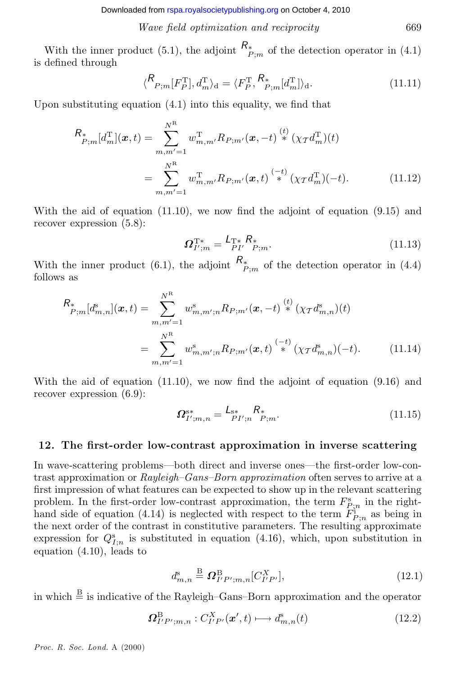Downloaded from rspa.royalsocietypublishing.org on October 4, 2010

*Wave*field optimization and reciprocity 669

Wave field optimization and reciprocity 669<br>With the inner product (5.1), the adjoint  $R^*_{p,m}$  of the detection operator in (4.1)<br>defined through  $\label{eq:1}$  <br> With the inner production  $\frac{1}{2}$ 

$$
\langle R_{P;m}[F_P^{\rm T}], d_m^{\rm T} \rangle_{\rm d} = \langle F_P^{\rm T}, \frac{R_{*}}{P,m}[d_m^{\rm T}] \rangle_{\rm d}.
$$
 (11.11)

Upon substituting equation  $(4.1)$  into this equality, we find that

$$
R_{P;m}[d_m^{\mathrm{T}}](\boldsymbol{x},t) = \sum_{m,m'=1}^{N^{\mathrm{R}}} w_{m,m'}^{\mathrm{T}} R_{P;m'}(\boldsymbol{x},-t) \stackrel{(t)}{\ast} (\chi_{\mathcal{T}} d_m^{\mathrm{T}})(t)
$$

$$
= \sum_{m,m'=1}^{N^{\mathrm{R}}} w_{m,m'}^{\mathrm{T}} R_{P;m'}(\boldsymbol{x},t) \stackrel{(-t)}{\ast} (\chi_{\mathcal{T}} d_m^{\mathrm{T}})(-t). \tag{11.12}
$$

With the aid of equation (11.10), we now find the adjoint of equation (9.15) and recover expression (5.8). With the aid of equation recover expression  $(5.8)$ :

$$
\Omega_{I';m}^{\mathcal{T}*} = \frac{L_{\mathcal{T}*} R_*}{P I' P; m}.
$$
\n(11.13)

 $\Omega_{I';m}^{\mathcal{T}*} = \frac{L_{I''} R^*_{I''}}{P_{I''}} P_{;m}.$  (11.13)<br>With the inner product (6.1), the adjoint  $R^*_{P;m}$  of the detection operator in (4.4)<br>follows as With the instructional state of the state of the state of the state of the state of the state of the state of the state of the state of the state of the state of the state of the state of the state of the state of the stat

$$
R_{\stackrel{\circ}{P};m}[d_{m,n}^{\rm s}](x,t) = \sum_{m,m'=1}^{N^{\rm R}} w_{m,m';n}^{\rm s} R_{P;m'}(x,-t) \stackrel{(t)}{\ast} (\chi_{\mathcal{T}} d_{m,n}^{\rm s})(t)
$$

$$
= \sum_{m,m'=1}^{N^{\rm R}} w_{m,m';n}^{\rm s} R_{P;m'}(x,t) \stackrel{(-t)}{\ast} (\chi_{\mathcal{T}} d_{m,n}^{\rm s})(-t). \tag{11.14}
$$

 $m, m'=1$ <br>With the aid of equation (11.10), we now find the adjoint of equation (9.16) and<br>recover expression (6.9). With the aid of equation recover expression  $(6.9)$ :

$$
\Omega_{I',m,n}^{\mathbf{s}*} = \frac{L_{\mathbf{s}*}}{PI',n} R_{\mathbf{s}^*}
$$
\n(11.15)

### 12. The first-order low-contrast approximation in inverse scattering

12. The first-order low-contrast approximation in inverse scattering<br>In wave-scattering problems—both direct and inverse ones—the first-order low-con-<br>trast approximation or *Rayleigh–Gans–Born approximation* often serves the mst-order low-contrast approximation in inverse scattering<br>In wave-scattering problems—both direct and inverse ones—the first-order low-con-<br>trast approximation or *Rayleigh-Gans-Born approximation* often serves to arr trast approximation or  $Rayleigh-Gans-Born approximation$  often serves to arrive at a first impression of what features can be expected to show up in the relevant scattering trast approximation or *Rayleigh–Gans–Born approximation* often serves to arrive at a<br>first impression of what features can be expected to show up in the relevant scattering<br>problem. In the first-order low-contrast approx first impression of what features can be expected to show up in the relevant scattering<br>problem. In the first-order low-contrast approximation, the term  $F_{P;n}^s$  in the right-<br>hand side of equation (4.14) is neglected wi hand side of equation (4.14) is neglected with respect to the term  $\tilde{F}_{P,n}^i$  as being in the next order of the contrast in constitutive parameters. The resulting approximate expression for  $Q_{1,n}^s$  is substituted in problem. In the first-order low-contrast approximation, the term  $F_{P,n}^s$  in the right-<br>hand side of equation (4.14) is neglected with respect to the term  $F_{P,n}^i$  as being in<br>the next order of the contrast in constitut the next order of the contrast in constitutive parameters. The resulting approximate<br>expression for  $Q_{I,n}^s$  is substituted in equation (4.16), which, upon substitution in<br>equation (4.10), leads to

$$
d_{m,n}^{\rm s} \stackrel{\rm B}{=} \Omega_{I'P';m,n}^{\rm B}[C_{I'P'}^X],\tag{12.1}
$$

 $d_{m,n}^{\text{s}} \stackrel{\text{B}}{=} \Omega_{I'P';m,n}^{\text{B}}[C_{I'P'}^X],$  (12.1)<br>in which  $\stackrel{\text{B}}{=}$  is indicative of the Rayleigh–Gans–Born approximation and the operator

of the Rayleigh-Gans–Born approximation and the operator  
\n
$$
\Omega_{I'P';m,n}^{\text{B}}: C_{I'P'}^X(\boldsymbol{x}',t) \longmapsto d_{m,n}^{\text{s}}(t)
$$
\n(12.2)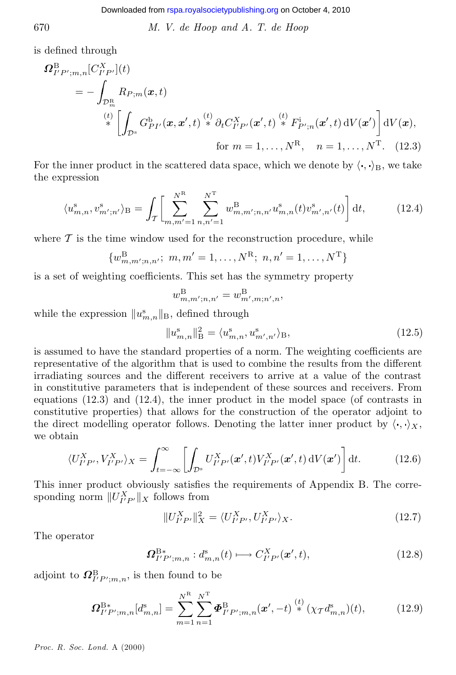$670$  is defined through

$$
\mathbf{\Omega}_{I'P';m,n}^{\text{B}}[C_{I'P'}^X](t)
$$
\n
$$
= -\int_{\mathcal{D}_m^{\text{R}}} R_{P;m}(\boldsymbol{x},t)
$$
\n
$$
*\left[\int_{\mathcal{D}^{\text{s}}} G_{PI'}^{\text{b}}(\boldsymbol{x},\boldsymbol{x}',t) \stackrel{(t)}{*} \partial_t C_{I'P'}^X(\boldsymbol{x}',t) \stackrel{(t)}{*} F_{P';n}^{\text{i}}(\boldsymbol{x}',t) \, \mathrm{d}V(\boldsymbol{x}')\right] \mathrm{d}V(\boldsymbol{x}),
$$
\n
$$
\text{for } m = 1, \dots, N^{\text{R}}, \quad n = 1, \dots, N^{\text{T}}. \tag{12.3}
$$

For the inner product in the scattered data space, which we denote by  $\langle \cdot, \cdot \rangle_B$ , we take the expression For the inner prod<br>the expression

$$
\langle u_{m,n}^{\rm s}, v_{m';n'}^{\rm s}\rangle_{\rm B} = \int_{\mathcal{T}} \left[ \sum_{m,m'=1}^{N^{\rm R}} \sum_{n,n'=1}^{N^{\rm T}} w_{m,m';n,n'}^{\rm B} u_{m,n'}^{\rm s}(t) v_{m',n'}^{\rm s}(t) \right] dt, \tag{12.4}
$$
\nwhere  $\mathcal{T}$  is the time window used for the reconstruction procedure, while

time window used for the reconstruction procedure, whi  
\n
$$
\{w_{m,m';n,n'}^{\text{B}}; m, m' = 1, ..., N^{\text{R}}; n, n' = 1, ..., N^{\text{T}}\}
$$

is a set of weighting coefficients. This set has the symmetry property

$$
w^{\rm B}_{m,m';n,n'} = w^{\rm B}_{m',m;n',n'}
$$

 $w_{m,m';n,n'}^{\rm B}=w_{m',m;n',n}^{\rm B},$  while the expression  $\|u_{m,n}^{\rm s}\|_{\rm B},$  defined through

$$
\mathbf{B}, \text{ defined through}
$$
  

$$
\|u_{m,n}^{\mathrm{s}}\|_{\mathrm{B}}^2 = \langle u_{m,n}^{\mathrm{s}}, u_{m',n'}^{\mathrm{s}} \rangle_{\mathrm{B}},
$$
  
(12.5)

is assumed to have the standard properties of a norm. The weighting coefficients are is assumed to have the standard properties of a norm. The weighting coefficients are<br>representative of the algorithm that is used to combine the results from the different<br>irradiating sources and the different receivers t is assumed to have the standard properties of a norm. The weighting coefficients are<br>representative of the algorithm that is used to combine the results from the different<br>irradiating sources and the different receivers to representative of the algorithm that is used to combine the results from the different<br>irradiating sources and the different receivers to arrive at a value of the contrast<br>in constitutive parameters that is independent of irradiating sources and the different receivers to arrive at a value of the contrast<br>in constitutive parameters that is independent of these sources and receivers. From<br>equations (12.3) and (12.4), the inner product in th in constitutive parameters that is independent of these sources and receivers. From<br>equations (12.3) and (12.4), the inner product in the model space (of contrasts in<br>constitutive properties) that allows for the construct constitutive properties) that allows for the construction of the operator adjoint to the direct modelling operator follows. Denoting the latter inner product by  $\langle \cdot, \cdot \rangle_X$ , we obtain

we obtain  
\n
$$
\langle U_{I'P'}^X, V_{I'P'}^X \rangle_X = \int_{t=-\infty}^{\infty} \left[ \int_{\mathcal{D}^s} U_{I'P'}^X(x',t) V_{I'P'}^X(x',t) dV(x') \right] dt.
$$
\n(12.6)

\nThis inner product obviously satisfies the requirements of Appendix B. The corresponding norm  $||U_{t-1}^X||_X$  follows from

This inner product obv<br>sponding norm  $||U_{I'P'}^X||$  $\frac{X}{I'P'}$   $\|$   $X$  $Jt=-\infty$  LJP<sup>s</sup><br>obviously satisfies the r<br> $\frac{X}{P'}\|X$  follows from

llows from  
\n
$$
||U_{I'P'}^X||_X^2 = \langle U_{I'P'}^X, U_{I'P'}^X \rangle_X.
$$
\n(12.7)

The operator

$$
\Omega_{I'P';m,n}^{B*}: d_{m,n}^s(t) \longmapsto C_{I'P'}^X(\boldsymbol{x}',t),
$$
\n(12.8)

 $\boldsymbol{\Omega}_{I'P';m,n}^{\textrm{B}*}\colon d_{m,n}^{\textrm{s}}(t)$  adjoint to  $\boldsymbol{\Omega}_{I'P';m,n}^{\textrm{B}}$  , is then found to be

$$
\Omega_{I'P';m,n}^{\mathcal{B}*}[d_{m,n}^{\mathcal{S}}] = \sum_{m=1}^{N^{\mathcal{R}}} \sum_{n=1}^{N^{\mathcal{S}}} \boldsymbol{\Phi}_{I'P';m,n}^{\mathcal{B}}(\boldsymbol{x}', -t) \stackrel{(t)}{\ast} (\chi_{\mathcal{T}} d_{m,n}^{\mathcal{S}})(t), \tag{12.9}
$$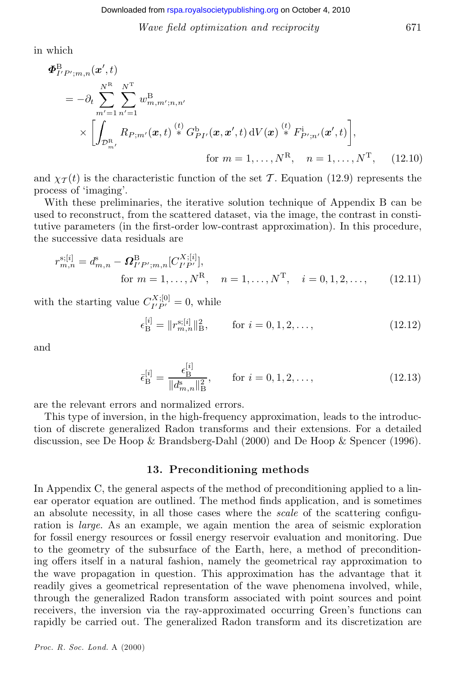in which

which  
\n
$$
\Phi_{I'P';m,n}^{\text{B}}(\boldsymbol{x}',t)
$$
\n
$$
= -\partial_t \sum_{m'=1}^{N^{\text{R}}} \sum_{n'=1}^{N^{\text{T}}} w_{m,m';n,n'}^{\text{B}} \times \left[ \int_{\mathcal{D}_{m'}^{\text{B}}} R_{P;m'}(\boldsymbol{x},t) \stackrel{(t)}{*} G_{PI'}^{\text{b}}(\boldsymbol{x},\boldsymbol{x}',t) \, dV(\boldsymbol{x}) \stackrel{(t)}{*} F_{P';n'}^{\text{i}}(\boldsymbol{x}',t) \right],
$$
\nfor  $m = 1, ..., N^{\text{R}}, n = 1, ..., N^{\text{T}}, (12.10)$ 

for  $m = 1, ..., N^R$ ,  $n = 1, ..., N^T$ , (12.10)<br>and  $\chi_{\mathcal{T}}(t)$  is the characteristic function of the set T. Equation (12.9) represents the<br>process of 'imaging' and  $\chi_T(t)$  is the chara<br>process of 'imaging'.<br>With these preliming d  $\chi_T(t)$  is the characteristic function of the set T. Equation (12.9) represents the ocess of 'imaging'.<br>With these preliminaries, the iterative solution technique of Appendix B can be ed to reconstruct from the scattere

process of 'imaging'.<br>With these preliminaries, the iterative solution technique of Appendix B can be<br>used to reconstruct, from the scattered dataset, via the image, the contrast in consti-<br>tutive parameters (in the first-With these preliminaries, the iterative solution technique of Appendix B can be used to reconstruct, from the scattered dataset, via the image, the contrast in constitutive parameters (in the first-order low-contrast appro used to reconstruct, from the scatte<br>tutive parameters (in the first-order<br>the successive data residuals are the successive data residuals are

$$
r_{m,n}^{\text{s:[}i\text{]}} = d_{m,n}^{\text{s}} - \Omega_{I'P';m,n}^{\text{B}}[C_{I'P'}^{\text{X:[}i\text{]}}],
$$
  
for  $m = 1, ..., N^{\text{R}}, n = 1, ..., N^{\text{T}}, i = 0, 1, 2, ...,$  (12.11)

 $\label{eq:1} \text{for } m=1, .$  with the starting value<br>  $C_{I^{\prime}P^{\prime}}^{X;[0]}$  $X;[0]$   $\Box$  $= 1, ..., N^{\text{R}}, \quad n =$ <br>  $\sum_{I'P'}^{[X;[0]} = 0$ , while

$$
C_{I'P'}^{X;[0]} = 0, \text{ while}
$$
  
\n
$$
\epsilon_{\rm B}^{[i]} = \|r_{m,n}^{\rm s;[i]}\|_{\rm B}^2, \qquad \text{for } i = 0, 1, 2, \dots,
$$
\n(12.12)

and

$$
\bar{\epsilon}_{\rm B}^{[i]} = \frac{\epsilon_{\rm B}^{[i]}}{\|d_{m,n}^{\rm s}\|_{\rm B}^2}, \qquad \text{for } i = 0, 1, 2, \dots,
$$
\n(12.13)

are the relevant errors and normalized errors.

 $T^{m,n+B}$ <br>This type of inversion, in the high-frequency approximation, leads to the introduc-<br>an of discrete generalized Badon transforms and their extensions. For a detailed are the relevant errors and normalized errors.<br>This type of inversion, in the high-frequency approximation, leads to the introduction of discrete generalized Radon transforms and their extensions. For a detailed discussio tion of discrete generalized Radon transforms and their extensions. For a detailed discussion, see De Hoop  $\&$  Brandsberg-Dahl (2000) and De Hoop  $\&$  Spencer (1996).

### 13. Preconditioning methods

13. Preconditioning methods<br>In Appendix C, the general aspects of the method of preconditioning applied to a lin-<br>ear operator equation are outlined. The method finds application, and is sometimes In Appendix C, the general aspects of the method of preconditioning applied to a linear operator equation are outlined. The method finds application, and is sometimes<br>an absolute necessity in all those cases where the *sca* In Appendix C, the general aspects of the method of preconditioning applied to a linear operator equation are outlined. The method finds application, and is sometimes an absolute necessity, in all those cases where the *sc* ear operator equation are outlined. The method finds application, and is sometimes<br>an absolute necessity, in all those cases where the *scale* of the scattering configu-<br>ration is *large*. As an example, we again mention t ration is *large*. As an example, we again mention the area of seismic exploration<br>for fossil energy resources or fossil energy reservoir evaluation and monitoring. Due<br>to the geometry of the subsurface of the Earth, here, for fossil energy resources or fossil energy reservoir evaluation and monitoring. Due for fossil energy resources or fossil energy reservoir evaluation and monitoring. Due<br>to the geometry of the subsurface of the Earth, here, a method of precondition-<br>ing offers itself in a natural fashion, namely the geome to the geometry of the subsurface of the Earth, here, a method of precondition-<br>ing offers itself in a natural fashion, namely the geometrical ray approximation to<br>the wave propagation in question. This approximation has t the wave propagation in question. This approximation has the advantage that it readily gives a geometrical representation of the wave phenomena involved, while, through the generalized Radon transform associated with point the wave propagation in question. This approximation has the advantage that it readily gives a geometrical representation of the wave phenomena involved, while, through the generalized Radon transform associated with point readily gives a geometrical representation of the wave phenomena involved, while, through the generalized Radon transform associated with point sources and point receivers, the inversion via the ray-approximated occurring receivers, the inversion via the ray-approximated occurring Green's functions can rapidly be carried out. The generalized Radon transform and its discretization are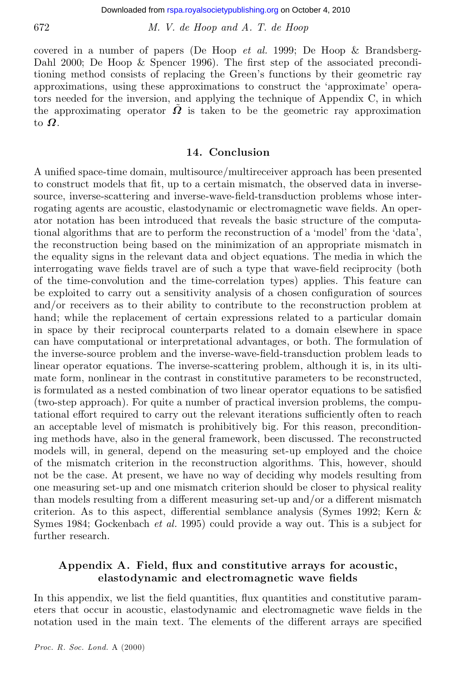*Covered in a number of papers (De Hoop <i>et al. 1999; De Hoop & Brandsberg-*<br>
Covered in a number of papers (De Hoop *et al. 1999; De Hoop & Brandsberg-*<br>
Dahl 2000: De Hoop & Spencer 1996) The first step of the associated covered in a number of papers (De Hoop *et al.* 1999; De Hoop & Brandsberg-<br>Dahl 2000; De Hoop & Spencer 1996). The first step of the associated precondi-<br>tioning method consists of replacing the Green's functions by thei covered in a number of papers (De Hoop *et al.* 1999; De Hoop & Brandsberg-<br>Dahl 2000; De Hoop & Spencer 1996). The first step of the associated precondi-<br>tioning method consists of replacing the Green's functions by thei Dahl 2000; De Hoop & Spencer 1996). The first step of the associated preconditioning method consists of replacing the Green's functions by their geometric ray approximations, using these approximations to construct the 'a tioning method consists of replacing the Green's functions by their geometric ray<br>approximations, using these approximations to construct the 'approximate' opera-<br>tors needed for the inversion, and applying the technique approximations, using these approximations to construct the 'approximate' operators needed for the inversion, and applying the technique of Appendix C, in which the approximating operator  $\tilde{\Omega}$  is taken to be the geome to  $\Omega$ 

### 14. Conclusion

14. Conclusion<br>A unified space-time domain, multisource/multireceiver approach has been presented<br>to construct models that fit, up to a certain mismatch, the observed data in inverse-A unified space-time domain, multisource/multireceiver approach has been presented<br>to construct models that fit, up to a certain mismatch, the observed data in inverse-<br>source inverse-scattering and inverse-wave-field-tran A unified space-time domain, multisource/multireceiver approach has been presented<br>to construct models that fit, up to a certain mismatch, the observed data in inverse-<br>source, inverse-scattering and inverse-wave-field-tra to construct models that fit, up to a certain mismatch, the observed data in inverse-<br>source, inverse-scattering and inverse-wave-field-transduction problems whose inter-<br>rogating agents are acoustic, elastodynamic or elec source, inverse-scattering and inverse-wave-field-transduction problems whose inter-<br>rogating agents are acoustic, elastodynamic or electromagnetic wave fields. An oper-<br>ator notation has been introduced that reveals the b rogating agents are acoustic, elastodynamic or electromagnetic wave fields. An operator notation has been introduced that reveals the basic structure of the computational algorithms that are to perform the reconstruction o ator notation has been introduced that reveals the basic structure of the computational algorithms that are to perform the reconstruction of a 'model' from the 'data', the reconstruction being based on the minimization of tional algorithms that are to perform the reconstruction of a 'model' from the 'data',<br>the reconstruction being based on the minimization of an appropriate mismatch in<br>the equality signs in the relevant data and object equ the equality signs in the relevant data and object equations. The media in which the interrogating wave fields travel are of such a type that wave-field reciprocity (both of the time-convolution and the time-correlation ty interrogating wave fields travel are of such a type that wave-field reciprocity (both be exploited to carry out a sensitivity analysis of a chosen configuration of sources of the time-convolution and the time-correlation types) applies. This feature can<br>be exploited to carry out a sensitivity analysis of a chosen configuration of sources<br>and/or receivers as to their ability to contribute to be exploited to carry out a sensitivity analysis of a chosen configuration of sources and/or receivers as to their ability to contribute to the reconstruction problem at hand; while the replacement of certain expressions r and/or receivers as to their ability to contribute to the reconstruction problem at hand; while the replacement of certain expressions related to a particular domain in space by their reciprocal counterparts related to a hand; while the replacement of certain expressions related to a particular domain<br>in space by their reciprocal counterparts related to a domain elsewhere in space<br>can have computational or interpretational advantages, or b in space by their reciprocal counterparts related to a domain elsewhere in space<br>can have computational or interpretational advantages, or both. The formulation of<br>the inverse-source problem and the inverse-wave-field-tran can have computational or interpretational advantages, or both. The formulation of<br>the inverse-source problem and the inverse-wave-field-transduction problem leads to<br>linear operator equations. The inverse-scattering probl the inverse-source problem and the inverse-wave-field-transduction problem leads to linear operator equations. The inverse-scattering problem, although it is, in its ultimate form, nonlinear in the contrast in constitutive mate form, nonlinear in the contrast in constitutive parameters to be reconstructed, is formulated as a nested combination of two linear operator equations to be satisfied mate form, nonlinear in the contrast in constitutive parameters to be reconstructed, is formulated as a nested combination of two linear operator equations to be satisfied (two-step approach). For quite a number of practic is formulated as a nested combination of two linear operator equations to be satisfied<br>(two-step approach). For quite a number of practical inversion problems, the compu-<br>tational effort required to carry out the relevant (two-step approach). For quite a number of practical inversion problems, the computational effort required to carry out the relevant iterations sufficiently often to reach an acceptable level of mismatch is prohibitively b tational effort required to carry out the relevant iterations sufficiently often to reach<br>an acceptable level of mismatch is prohibitively big. For this reason, precondition-<br>ing methods have, also in the general framework an acceptable level of mismatch is prohibitively big. For this reason, precondition-<br>ing methods have, also in the general framework, been discussed. The reconstructed<br>models will, in general, depend on the measuring set-u ing methods have, also in the general framework, been discussed. The reconstructed<br>models will, in general, depend on the measuring set-up employed and the choice<br>of the mismatch criterion in the reconstruction algorithms. models will, in general, depend on the measuring set-up employed and the choice<br>of the mismatch criterion in the reconstruction algorithms. This, however, should<br>not be the case. At present, we have no way of deciding why of the mismatch criterion in the reconstruction algorithms. This, however, should<br>not be the case. At present, we have no way of deciding why models resulting from<br>one measuring set-up and one mismatch criterion should be not be the case. At present, we have no way of deciding why models resulting from<br>one measuring set-up and one mismatch criterion should be closer to physical reality<br>than models resulting from a different measuring set-u one measuring set-up and one mismatch criterion should be closer to physical reality<br>than models resulting from a different measuring set-up and/or a different mismatch<br>criterion. As to this aspect, differential semblance than models resulting from a different measuring set-up and/or a different mismatch criterion. As to this aspect, differential semblance analysis (Symes 1992; Kern  $\&$  Symes 1984; Gockenbach *et al.* 1995) could provide criterion. As to this aspect, differential semblance analysis (Symes 1992; Kern  $\&$  Symes 1984; Gockenbach *et al.* 1995) could provide a way out. This is a subject for further research

### er researcn.<br>Appendix A. Field, flux and constitutive arrays for acoustic,<br>elastodynamic and electromagnetic wave fields lix A. Field, flux and constitutive arrays for acou<br>elastodynamic and electromagnetic wave fields elastodynamic and electromagnetic wave fields<br>In this appendix, we list the field quantities, flux quantities and constitutive param-

In this appendix, we list the field quantities, flux quantities and constitutive parameters that occur in acoustic, elastodynamic and electromagnetic wave fields in the notation used in the main text. The elements of the d In this appendix, we list the field quantities, flux quantities and constitutive parameters that occur in acoustic, elastodynamic and electromagnetic wave fields in the notation used in the main text. The elements of the d notation used in the main text. The elements of the different arrays are specified *Proc. R. Soc. Lond.* A (2000)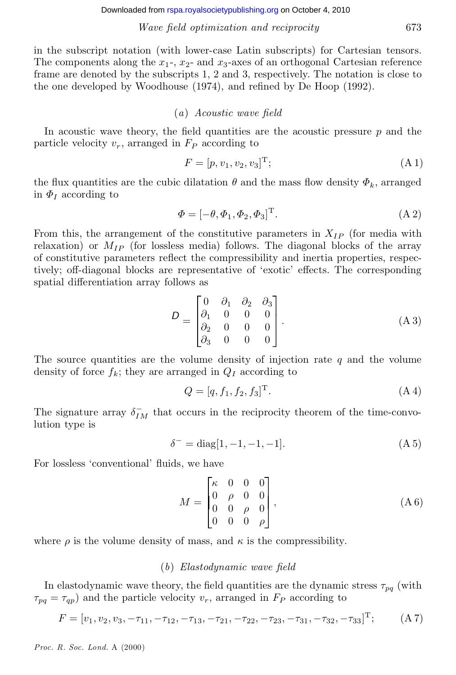*Wave field optimization and reciprocity* 673<br>in the subscript notation (with lower-case Latin subscripts) for Cartesian tensors. in the subscript notation (with lower-case Latin subscripts) for Cartesian tensors.<br>The components along the  $x_1$ -,  $x_2$ - and  $x_3$ -axes of an orthogonal Cartesian reference frame are denoted by the subscripts 1–2 and 3 in the subscript notation (with lower-case Latin subscripts) for Cartesian tensors.<br>The components along the  $x_1$ -,  $x_2$ - and  $x_3$ -axes of an orthogonal Cartesian reference<br>frame are denoted by the subscripts 1, 2 and The components along the  $x_1$ -,  $x_2$ - and  $x_3$ -axes of an orthogonal Cartesian if frame are denoted by the subscripts 1, 2 and 3, respectively. The notation is the one developed by Woodhouse (1974), and refined by De H the one developed by Woodhouse (1974), and refined by De Hoop (1992).<br>(a)  $A\text{coustic wave field}$ 

(a) Acoustic wave field<br>In acoustic wave theory, the field quantities are the acoustic pressure p and the<br>tricle velocity  $v_{\text{eq}}$ , arranged in  $F_{\text{eq}}$  according to particle velocity  $v_r$ , arranged in  $F_P$  according to theory, the field quantities are  $\frac{1}{2}$ , arranged in  $F_P$  according to  $F_P$  according to<br>  $F = [p, v_1, v_2, v_3]^T;$  (A 1)

$$
F = [p, v_1, v_2, v_3]^{\mathrm{T}};
$$
\n(A1)

 $F = [p, v_1, v_2, v_3]^{\text{T}};$ <br>
the flux quantities are the cubic dilatation  $\theta$  and the mass flow density  $\Phi_k$ , arranged<br>
in  $\Phi_k$  according to the flux quantities are<br>in  $\Phi_I$  according to  $\Phi = [-\theta, \Phi_1, \Phi_2, \Phi_3]^{\mathrm{T}}.$  (A 2)

$$
\Phi = [-\theta, \Phi_1, \Phi_2, \Phi_3]^{\mathrm{T}}.
$$
\n(A2)

From this, the arrangement of the constitutive parameters in  $X_{IP}$  (for media with From this, the arrangement of the constitutive parameters in  $X_{IP}$  (for media with relaxation) or  $M_{IP}$  (for lossless media) follows. The diagonal blocks of the array of constitutive parameters reflect the compressibili From this, the arrangement of the constitutive parameters in  $X_{IP}$  (for media with relaxation) or  $M_{IP}$  (for lossless media) follows. The diagonal blocks of the array of constitutive parameters reflect the compressibili relaxation) or  $M_{IP}$  (for lossless media) follows. The diagonal blocks of the array<br>of constitutive parameters reflect the compressibility and inertia properties, respec-<br>tively; off-diagonal blocks are representative of of constitutive parameters reflect the compressibility and inertia properties, respectively; off-diagonal blocks are representative of 'exotic' effects. The corresponding spatial differentiation array follows as

$$
D = \begin{bmatrix} 0 & \partial_1 & \partial_2 & \partial_3 \\ \partial_1 & 0 & 0 & 0 \\ \partial_2 & 0 & 0 & 0 \\ \partial_3 & 0 & 0 & 0 \end{bmatrix} .
$$
 (A 3)

The source quantities are the volume density of injection rate  $q$  and the volume The source quantities are the volume density of injection<br>density of force  $f_k$ ; they are arranged in  $Q_I$  according to anged in  $Q_I$  according to<br>  $Q = [q, f_1, f_2, f_3]^T$ . (A 4)

$$
Q = [q, f_1, f_2, f_3]^{\mathrm{T}}.
$$
\n(A4)

 $Q = [q, f_1, f_2, f_3]^{\mathrm{T}}.$  (A 4)<br>The signature array  $\delta_{IM}^-$  that occurs in the reciprocity theorem of the time-convo-<br>lution type is The signature a<br>lution type is  $\delta^- = \text{diag}[1, -1, -1, -1].$  (A 5)

$$
\delta^- = \text{diag}[1, -1, -1, -1].\tag{A 5}
$$

For lossless 'conventional' fluids, we have

s, we have  
\n
$$
M = \begin{bmatrix} \kappa & 0 & 0 & 0 \\ 0 & \rho & 0 & 0 \\ 0 & 0 & \rho & 0 \\ 0 & 0 & 0 & \rho \end{bmatrix},
$$
\n(A6)

where  $\rho$  is the volume density of mass, and  $\kappa$  is the compressibility. (*b*) *Elastodynamic wave field*<br>(*b*) *Elastodynamic wave field* 

(b) Elastodynamic wave field<br>In elastodynamic wave theory, the field quantities are the dynamic stress  $\tau_{pq}$  (with (b) *Elastodynamic wave* theory, the field quantities are the dynamic strong  $\tau_{pq} = \tau_{qp}$ ) and the particle velocity  $v_r$ , arranged in  $F_P$  according to

$$
\tau_{qp}) \text{ and the particle velocity } v_r, \text{ arranged in } F_P \text{ according to}
$$
\n
$$
F = [v_1, v_2, v_3, -\tau_{11}, -\tau_{12}, -\tau_{13}, -\tau_{21}, -\tau_{22}, -\tau_{23}, -\tau_{31}, -\tau_{32}, -\tau_{33}]^\text{T}; \qquad (A7)
$$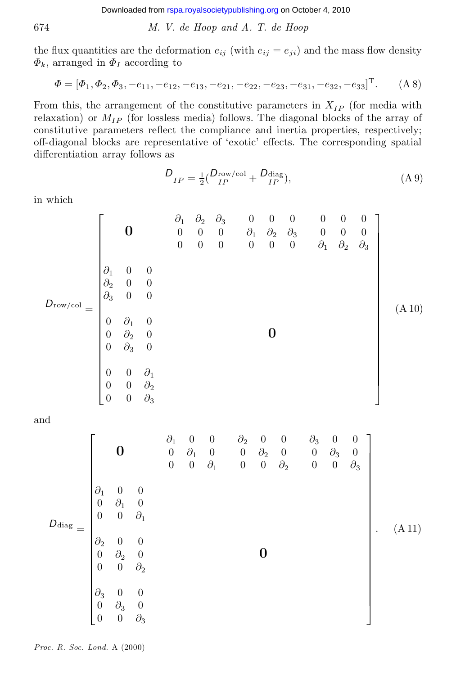Downloaded from rspa.royalsocietypublishing.org on October 4, 2010

<sup>674</sup> *M. V.deHoopandA.T.de Hoop*

674 M. V. de Hoop and A. T. de Hoop<br>the flux quantities are the deformation  $e_{ij}$  (with  $e_{ij} = e_{ji}$ ) and the mass flow density<br> $\Phi_k$  arranged in  $\Phi_k$  according to the flux quantities are the deformation  $\Phi_k$ , arranged in  $\Phi_I$  according to

$$
\Phi_k
$$
, arranged in  $\Phi_I$  according to  
\n $\Phi = [\Phi_1, \Phi_2, \Phi_3, -e_{11}, -e_{12}, -e_{13}, -e_{21}, -e_{22}, -e_{23}, -e_{31}, -e_{32}, -e_{33}]^T$ . (A 8)  
\nFrom this, the arrangement of the constitutive parameters in  $X_{IP}$  (for media with

From this, the arrangement of the constitutive parameters in  $X_{IP}$  (for media with relaxation) or  $M_{IP}$  (for lossless media) follows. The diagonal blocks of the array of constitutive parameters reflect the compliance an From this, the arrangement of the constitutive parameters in  $X_{IP}$  (for media with relaxation) or  $M_{IP}$  (for lossless media) follows. The diagonal blocks of the array of constitutive parameters reflect the compliance an constitutive parameters reflect the compliance and inertia properties, respectively; off-diagonal blocks are representative of 'exotic' effects. The corresponding spatial differentiation array follows as off-diagonal blocks are representative of 'exotic' effects. The corresponding spatial

as  
\n
$$
D_{IP} = \frac{1}{2} (D_{IP}^{\text{row}/\text{col}} + D_{IP}^{\text{diag}}),
$$
\n(A9)

| in which                                                                                                                                                                                                                                                    |                                                                                                                                                                                                                                                                                                                                                                                                                                                                                                                                                                                  |                                                                          |                                                                                                                                |                                                                                                                                                                                 |                                                                                                                                                                              |        |
|-------------------------------------------------------------------------------------------------------------------------------------------------------------------------------------------------------------------------------------------------------------|----------------------------------------------------------------------------------------------------------------------------------------------------------------------------------------------------------------------------------------------------------------------------------------------------------------------------------------------------------------------------------------------------------------------------------------------------------------------------------------------------------------------------------------------------------------------------------|--------------------------------------------------------------------------|--------------------------------------------------------------------------------------------------------------------------------|---------------------------------------------------------------------------------------------------------------------------------------------------------------------------------|------------------------------------------------------------------------------------------------------------------------------------------------------------------------------|--------|
|                                                                                                                                                                                                                                                             | $\boldsymbol{0}$                                                                                                                                                                                                                                                                                                                                                                                                                                                                                                                                                                 |                                                                          | $\partial_3$<br>$\partial_1$<br>$\partial_2$<br>$\begin{matrix} 0&0\\0&0 \end{matrix}$<br>$\boldsymbol{0}$<br>$\boldsymbol{0}$ | $\begin{matrix} 0 \end{matrix}$<br>$\boldsymbol{0}$<br>$\boldsymbol{0}$<br>$\partial_1$<br>$\partial_2$<br>$\partial_3$<br>$\overline{0}$<br>$\overline{0}$<br>$\boldsymbol{0}$ | $\boldsymbol{0}$<br>$\boldsymbol{0}$<br>$\boldsymbol{0}$<br>$\overline{\phantom{0}}$<br>$\boldsymbol{0}$<br>$\boldsymbol{0}$<br>$\partial_3$<br>$\partial_2$<br>$\partial_1$ |        |
| $D_{\rm row/col}$ $\equiv$                                                                                                                                                                                                                                  | $\begin{matrix} \partial_1\\ \partial_2\\ \partial_3 \end{matrix}$<br>$\boldsymbol{0}$<br>$\boldsymbol{0}$<br>$\overline{\phantom{0}}$<br>$\left[ \begin{matrix} \text{I} & \text{I} & \text{I} & \text{I} \\ \text{I} & \text{I} & \text{I} & \text{I} \\ \text{I} & \text{I} & \text{I} & \text{I} \\ \text{I} & \text{I} & \text{I} & \text{I} \\ \text{I} & \text{I} & \text{I} & \text{I} \\ \text{I} & \text{I} & \text{I} & \text{I} \\ \text{I} & \text{I} & \text{I} & \text{I} \\ \text{I} & \text{I} & \text{I} & \text{I} \\ \text{I} & \text{I} & \text{I} & \text$ | $\boldsymbol{0}$<br>$\overline{\phantom{0}}$<br>$\overline{\phantom{0}}$ |                                                                                                                                | $\boldsymbol{0}$                                                                                                                                                                |                                                                                                                                                                              | (A 10) |
| and                                                                                                                                                                                                                                                         |                                                                                                                                                                                                                                                                                                                                                                                                                                                                                                                                                                                  |                                                                          |                                                                                                                                |                                                                                                                                                                                 |                                                                                                                                                                              |        |
| $D_{\rm diag} = \begin{bmatrix} \bf{0} \ \partial_1 & 0 & 0 \ 0 & \partial_1 & 0 \ 0 & 0 & \partial_1 \ \partial_2 & 0 & 0 \ 0 & \partial_2 & 0 \ 0 & 0 & \partial_2 \ \partial_3 & 0 & 0 \ 0 & 0 & \partial_3 \ \partial_0 & 0 & \partial_3 \end{bmatrix}$ |                                                                                                                                                                                                                                                                                                                                                                                                                                                                                                                                                                                  | $\partial_1$<br>$\begin{matrix} 0 \\ 0 \end{matrix}$                     | $\overline{0}$<br>$\overline{0}$<br>$\partial_1=0$<br>$\partial_1$<br>$\boldsymbol{0}$                                         | $\partial_2=0$<br>$\boldsymbol{0}$<br>$\begin{matrix}0 & \frac{\partial}{\partial 2} & 0\\0 & 0 & \frac{\partial}{\partial 2}\end{matrix}$                                      | $\partial_3$<br>$\begin{bmatrix} \partial_3 & 0 & 0 \\ 0 & \partial_3 & 0 \\ 0 & 0 & \partial_3 \end{bmatrix}$                                                               | (A 11) |
|                                                                                                                                                                                                                                                             |                                                                                                                                                                                                                                                                                                                                                                                                                                                                                                                                                                                  |                                                                          |                                                                                                                                | $\boldsymbol{0}$                                                                                                                                                                |                                                                                                                                                                              |        |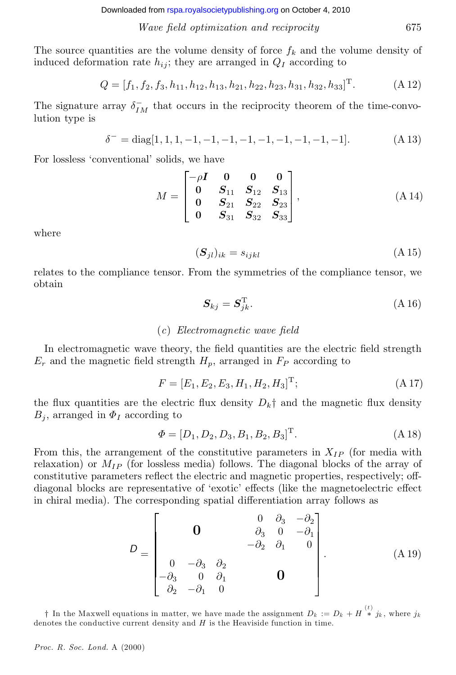*Wave*field optimization and reciprocity 675

Wave field optimization and reciprocity 675<br>The source quantities are the volume density of force  $f_k$  and the volume density of The source quantities are the volume density of force  $f_k$  and the volur induced deformation rate  $h_{ij}$ ; they are arranged in  $Q_I$  according to

notation rate 
$$
h_{ij}
$$
; they are arranged in  $Q_I$  according to

\n
$$
Q = [f_1, f_2, f_3, h_{11}, h_{12}, h_{13}, h_{21}, h_{22}, h_{23}, h_{31}, h_{32}, h_{33}]^T.
$$
\n(A 12)

 $Q = [f_1, f_2, f_3, h_{11}, h_{12}, h_{13}, h_{21}, h_{22}, h_{23}, h_{31}, h_{32}, h_{33}]^{\mathrm{T}}.$  (A 12)<br>The signature array  $\delta_{IM}^-$  that occurs in the reciprocity theorem of the time-convo-<br>lution type is The signature a<br>lution type is

$$
\delta^- = \text{diag}[1, 1, 1, -1, -1, -1, -1, -1, -1, -1, -1, -1]. \tag{A.13}
$$

For lossless `conventional' solids, we have

solids, we have  
\n
$$
M = \begin{bmatrix}\n-\rho I & 0 & 0 & 0 \\
0 & S_{11} & S_{12} & S_{13} \\
0 & S_{21} & S_{22} & S_{23} \\
0 & S_{31} & S_{32} & S_{33}\n\end{bmatrix},
$$
\n(A 14)

where

$$
(\mathbf{S}_{jl})_{ik} = s_{ijkl} \tag{A.15}
$$

relates to the compliance tensor. From the symmetries of the compliance tensor, we obtain  $\sum_{j,k}^{\text{T}}$  (A 16)

$$
\mathbf{S}_{kj} = \mathbf{S}_{jk}^{\mathrm{T}}.\tag{A.16}
$$

### $(c)$  *Electromagnetic wave field*

In electromagnetic wave theory, the field quantities are the electric field strength In electromagnetic wave theory, the field quantities are the electric field  $E_r$  and the magnetic field strength  $H_p$ , arranged in  $F_p$  according to strength  $H_p$ , arranged in  $F_P$  according to<br>  $F = [E_1, E_2, E_3, H_1, H_2, H_3]^{\mathrm{T}};$  (A 17)

$$
F = [E_1, E_2, E_3, H_1, H_2, H_3]^{\mathrm{T}};
$$
\n(A.17)

 $F = [E_1, E_2, E_3, H_1, H_2, H_3]^T;$  (A 17)<br>the flux quantities are the electric flux density  $D_k$ <sup>†</sup> and the magnetic flux density  $B_k$  arranged in  $\Phi_L$  according to  $B_i$ , arranged in  $\Phi_I$  according to  $\mathbb{R}^2$  flux quantities are the electric<br>, arranged in  $\Phi_I$  according to of the magnetic flux density  $D_k$ <sup>1</sup> and the magnetic flux density<br>  $\Phi = [D_1, D_2, D_3, B_1, B_2, B_3]^T.$  (A 18)

$$
\Phi = [D_1, D_2, D_3, B_1, B_2, B_3]^{\mathrm{T}}.\tag{A.18}
$$

 $\Phi = [D_1, D_2, D_3, B_1, B_2, B_3]^T$ . (A 18)<br>From this, the arrangement of the constitutive parameters in  $X_{IP}$  (for media with<br>relaxation) or  $M_{IP}$  (for lossless media) follows. The diagonal blocks of the array of From this, the arrangement of the constitutive parameters in  $X_{IP}$  (for media with relaxation) or  $M_{IP}$  (for lossless media) follows. The diagonal blocks of the array of constitutive parameters reflect the electric and From this, the arrangement of the constitutive parameters in  $X_{IP}$  (for media with relaxation) or  $M_{IP}$  (for lossless media) follows. The diagonal blocks of the array of constitutive parameters reflect the electric and relaxation) or  $M_{IP}$  (for lossless media) follows. The diagonal blocks of the array of constitutive parameters reflect the electric and magnetic properties, respectively; off-<br>diagonal blocks are representative of 'exoti constitutive parameters reflect the electric and magnetic properties, respective diagonal blocks are representative of 'exotic' effects (like the magnetoelectric in chiral media). The corresponding spatial differentiation

$$
D = \begin{bmatrix} 0 & 0 & \partial_3 & -\partial_2 \\ 0 & \partial_3 & 0 & -\partial_1 \\ -\partial_2 & \partial_1 & 0 \\ 0 & -\partial_3 & \partial_2 & 0 \\ -\partial_3 & 0 & \partial_1 & 0 \\ \partial_2 & -\partial_1 & 0 & 0 \end{bmatrix} .
$$
 (A19)

 $\begin{bmatrix} 0 & 2 & 0 & 0 \end{bmatrix}$  of the Maxwell equations in matter, we have made the assignment  $D_k := D_k + H^{(t)}_{*j_k}$ , where  $j_k$  denotes the conductive current density and H is the Heaviside function in time. denotes the conductive current density and *H* is the Heaviside function in time.<br>*Proc. R. Soc. Lond.* A (2000)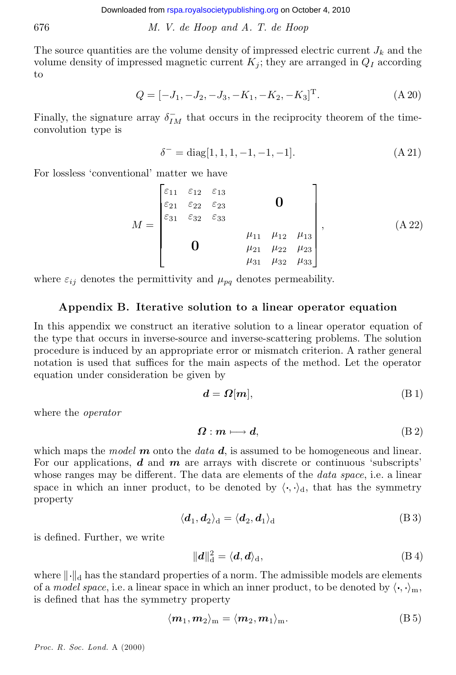Downloaded from rspa.royalsocietypublishing.org on October 4, 2010

<sup>676</sup> *M. V.deHoopandA.T.de Hoop*

676 M. V. de Hoop and A. T. de Hoop<br>The source quantities are the volume density of impressed electric current  $J_k$  and the The source quantities are the volume density of impressed electric current  $J_k$  and the volume density of impressed magnetic current  $K_j$ ; they are arranged in  $Q_I$  according to to

$$
Q = [-J_1, -J_2, -J_3, -K_1, -K_2, -K_3]^{\mathrm{T}}.
$$
 (A 20)

 $Q = [-J_1, -J_2, -J_3, -K_1, -K_2, -K_3]^{\mathrm{T}}.$  (A 20)<br>Finally, the signature array  $\delta_{IM}^-$  that occurs in the reciprocity theorem of the time-<br>convolution type is Finally, the signature<br>convolution type is  $\delta^-$  = diag[1, 1, 1, -1, -1, -1]. (A 21)

$$
\delta^- = \text{diag}[1, 1, 1, -1, -1, -1].\tag{A.21}
$$

For lossless `conventional' matter we have

$$
M = \begin{bmatrix} \varepsilon_{11} & \varepsilon_{12} & \varepsilon_{13} \\ \varepsilon_{21} & \varepsilon_{22} & \varepsilon_{23} \\ \varepsilon_{31} & \varepsilon_{32} & \varepsilon_{33} \\ 0 & \mu_{11} & \mu_{12} & \mu_{13} \\ 0 & \mu_{21} & \mu_{22} & \mu_{23} \\ \mu_{31} & \mu_{32} & \mu_{33} \end{bmatrix},
$$
 (A 22)

where  $\varepsilon_{ij}$  denotes the permittivity and  $\mu_{pq}$  denotes permeability.

### Appendix B. Iterative solution to a linear operator equation

Appendix B. Iterative solution to a linear operator equation<br>In this appendix we construct an iterative solution to a linear operator equation of<br>the type that occurs in inverse-source and inverse-scattering problems. The If this appendix we construct an iterative solution to a linear operator equation of<br>the type that occurs in inverse-source and inverse-scattering problems. The solution<br>procedure is induced by an appropriate error or mism In this appendix we construct an iterative solution to a linear operator equation of<br>the type that occurs in inverse-source and inverse-scattering problems. The solution<br>procedure is induced by an appropriate error or mism the type that occurs in inverse-source and inverse-scattering problems. The solution procedure is induced by an appropriate error or mismatch criterion. A rather general notation is used that suffices for the main aspects procedure is induced by an appropriate error or mismatch criterion. A rather general  $d = \Omega[m],$  (B 1)

$$
d = \Omega[m],\tag{B.1}
$$

where the *operator*

$$
\Omega : \mathbf{m} \longmapsto \mathbf{d},\tag{B.2}
$$

which maps the *model* **m** onto the *data* **d**, is assumed to be homogeneous and linear. For our applications,  $d$  and  $m$  are arrays with discrete or continuous 'subscripts' which maps the *model* **m** onto the *data* **d**, is assumed to be homogeneous and linear.<br>For our applications, **d** and **m** are arrays with discrete or continuous 'subscripts' whose ranges may be different. The data are el For our applications, **d** and **m** are arrays with discrete or continuous 'subscripts' whose ranges may be different. The data are elements of the *data space*, i.e. a linear space in which an inner product, to be denoted property  $\langle d_1, d_2 \rangle_d = \langle d_2, d_1 \rangle_d$  (B 3)

$$
\langle \mathbf{d}_1, \mathbf{d}_2 \rangle_{\mathbf{d}} = \langle \mathbf{d}_2, \mathbf{d}_1 \rangle_{\mathbf{d}} \tag{B.3}
$$

is defined. Further, we write

$$
||\boldsymbol{d}||_{\mathrm{d}}^2 = \langle \boldsymbol{d}, \boldsymbol{d} \rangle_{\mathrm{d}},\tag{B.4}
$$

 $||d||_d^2 = \langle d, d \rangle_d,$ <br>where  $|| \cdot ||_d$  has the standard properties of a norm. The admissible models are elements<br>of a *model space* i.e. a linear space in which an inner product, to be denoted by  $\langle \cdot, \cdot \rangle$ .  $\|\mathbf{a}\|_{\mathbf{d}} = \langle \mathbf{a}, \mathbf{a} \rangle_{\mathbf{d}},$  (b 4)<br>where  $\|\cdot\|_{\mathbf{d}}$  has the standard properties of a norm. The admissible models are elements<br>of a *model space*, i.e. a linear space in which an inner product, to be denot where  $\|\cdot\|_d$  has the standard properties of a noriof a *model space*, i.e. a linear space in which an is defined that has the symmetry property hetry property<br>  $\langle m_1, m_2 \rangle_m = \langle m_2, m_1 \rangle_m.$  (B 5)

$$
\langle m_1, m_2 \rangle_{\rm m} = \langle m_2, m_1 \rangle_{\rm m}.\tag{B.5}
$$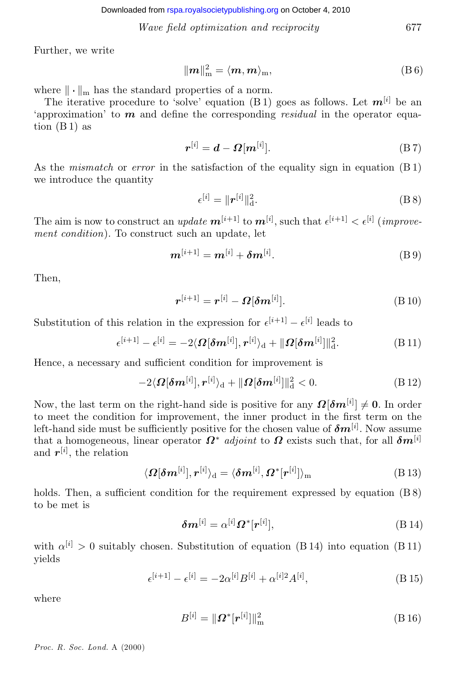Downloaded from rspa.royalsocietypublishing.org on October 4, 2010

*Wave*field optimization and reciprocity 677

Further, we write

$$
\|\boldsymbol{m}\|_{\mathbf{m}}^2 = \langle \boldsymbol{m}, \boldsymbol{m} \rangle_{\mathbf{m}},
$$
 (B 6)

 $||m||_{m}^{2} = \langle m, m \rangle_{m}$ ,<br>where  $|| \cdot ||_{m}$  has the standard properties of a norm.<br>The iterative procedure to 'solve' equation (B 1)  $\sigma$ 

The iterative procedure to 'solve' equation (B 1) goes as follows. Let  $m^{[i]}$  be an<br>proximation' to  $m$  and define the corresponding *residual* in the operator equawhere  $\|\cdot\|_{\text{m}}$  has the standard properties of a norm.<br>The iterative procedure to 'solve' equation (B 1) goes as follows. Let  $m^{[i]}$  be an 'approximation' to  $m$  and define the corresponding *residual* in the operato 'approximation' to  $m$  and define the corresponding *residual* in the operator equation (B 1) as  $^{[i]} = \boldsymbol{d} - \boldsymbol{\Omega}[\boldsymbol{m}^{[i]}]. \hspace{2cm} \textbf{(B 7)}$ 

$$
\boldsymbol{r}^{[i]} = \boldsymbol{d} - \boldsymbol{\Omega}[\boldsymbol{m}^{[i]}]. \tag{B 7}
$$

 $r^{[i]} = d - \Omega[m^{[i]}].$  (B7)<br>As the *mismatch* or *error* in the satisfaction of the equality sign in equation (B1)<br>we introduce the quantity As the *mismatch* or *error* in<br>we introduce the quantity  $d$ . (B 8)

$$
\epsilon^{[i]} = \|\boldsymbol{r}^{[i]}\|_{\mathbf{d}}^2. \tag{B.8}
$$

The aim is now to construct an *update*  $m^{[i+1]}$  to  $m^{[i]}$ , such that  $\epsilon^{[i+1]} < \epsilon^{[i]}$  (*improve-*<br> *ment condition*). To construct such an update let The aim is now to construct an *update*  $m^{[i+1]}$  to  $m^{[i]}$ , *ment condition*). To construct such an update, let *m*[i+1] =  $m^{[i]} + \delta m^{[i]}$ . (B9)

$$
\mathbf{m}^{[i+1]} = \mathbf{m}^{[i]} + \boldsymbol{\delta m}^{[i]}.\tag{B9}
$$

Then,

$$
\boldsymbol{r}^{[i+1]} = \boldsymbol{r}^{[i]} - \boldsymbol{\Omega}[\boldsymbol{\delta m}^{[i]}]. \tag{B.10}
$$

 $r^{[i+1]} = r^{[i]} - \Omega[\delta m^{[i]}].$ <br>Substitution of this relation in the expression for  $\epsilon^{[i+1]} - \epsilon^{[i]}$  leads to

is relation in the expression for 
$$
\epsilon^{[i+1]} - \epsilon^{[i]}
$$
 leads to  
\n
$$
\epsilon^{[i+1]} - \epsilon^{[i]} = -2\langle \Omega[\delta m^{[i]}], r^{[i]}\rangle_{\rm d} + ||\Omega[\delta m^{[i]}]||_{\rm d}^2.
$$
\n(B11)

Hence, a necessary and sufficient condition for improvement is

d sufficient condition for improvement is  
\n
$$
-2\langle \Omega[\delta m^{[i]}], r^{[i]}\rangle_{d} + \|\Omega[\delta m^{[i]}]\|_{d}^{2} < 0.
$$
\n(B12)

 $-2\langle \mathbf{\Omega}[\delta \mathbf{m}^{[i]}], \mathbf{r}^{[i]}\rangle_{\text{d}} + ||\mathbf{\Omega}[\delta \mathbf{m}^{[i]}]||_{\text{d}}^2 < 0.$  (B 12)<br>Now, the last term on the right-hand side is positive for any  $\mathbf{\Omega}[\delta \mathbf{m}^{[i]}] \neq 0$ . In order<br>to meet the condition for improvement Now, the last term on the right-hand side is positive for any  $\Omega[\delta m^{[i]}] \neq 0$ . In order<br>to meet the condition for improvement, the inner product in the first term on the<br>left-hand side must be sufficiently positive for to meet the condition for improvement, the inner product in the first term on the left-hand side must be sufficiently positive for the chosen value of  $\delta m^{[i]}$ . Now assume to meet the condition for improvement, the inner product in the first term on the left-hand side must be sufficiently positive for the chosen value of  $\delta m^{[i]}$ . Now assume that a homogeneous, linear operator  $\Omega^*$  *adjo* and  $r^{[i]}$ , the relation and side must be su<br>u homogeneous, line<br> $\begin{bmatrix} i^j, \end{bmatrix}$ , the relation

$$
\langle \Omega[\delta m^{[i]}], r^{[i]} \rangle_{\text{d}} = \langle \delta m^{[i]}, \Omega^* [r^{[i]}] \rangle_{\text{m}} \tag{B.13}
$$

 $\langle \Omega[\delta m^{[i]}], r^{[i]} \rangle_{\text{d}} = \langle \delta m^{[i]}, \Omega^* [r^{[i]}] \rangle_{\text{m}}$  (B 13)<br>holds. Then, a sufficient condition for the requirement expressed by equation (B 8) holds. Then, a<br>to be met is  $[i]$ , (B 14)

$$
\delta m^{[i]} = \alpha^{[i]} \Omega^* [r^{[i]}],\tag{B.14}
$$

with  $\alpha^{[i]}$  >  $\delta m^{[i]} = \alpha^{[i]} \Omega^* [r^{[i]}],$  (B 14)<br><sup>[i]</sup> > 0 suitably chosen. Substitution of equation (B 14) into equation (B 11) yields

$$
\epsilon^{[i+1]} - \epsilon^{[i]} = -2\alpha^{[i]}B^{[i]} + \alpha^{[i]2}A^{[i]},
$$
\n(B15)

where

$$
B^{[i]} = \|\mathbf{\Omega}^*[\mathbf{r}^{[i]}] \|_{\mathbf{m}}^2
$$
 (B 16)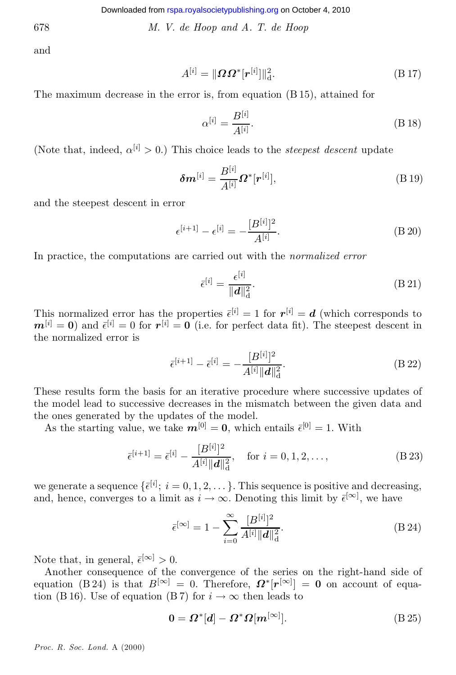and

$$
A^{[i]} = \|\boldsymbol{\Omega}\boldsymbol{\Omega}^*[r^{[i]}]\|_{d}^2.
$$
 (B 17)

The maximum decrease in the error is, from equation (B 15), attained for

is, from equation (B 13), attained for  
\n
$$
\alpha^{[i]} = \frac{B^{[i]}}{A^{[i]}}.
$$
\n(B 18)

(Note that, indeed,  $\alpha^{[i]} = \frac{1}{A[i]}$ . (B)<br>(Note that, indeed,  $\alpha^{[i]} > 0$ .) This choice leads to the *steepest descent* update

$$
\delta m^{[i]} = \frac{B^{[i]}}{A^{[i]}} \Omega^* [r^{[i]}], \tag{B.19}
$$

and the steepest descent in error

or  
\n
$$
\epsilon^{[i+1]} - \epsilon^{[i]} = -\frac{[B^{[i]}]^2}{A^{[i]}}.
$$
\n(B 20)

In practice, the computations are carried out with the *normalized error*

$$
\bar{\epsilon}^{[i]} = \frac{\epsilon^{[i]}}{\|\mathbf{d}\|_{\mathbf{d}}^2}.
$$
\n(B 21)

This normalized error has the properties  $\bar{\epsilon}^{[i]} = 1$  for  $r^{[i]} = d$  (which corresponds to  $m^{[i]} = 0$ ) and  $\bar{\epsilon}^{[i]} = 0$  for  $r^{[i]} = 0$  (i.e. for perfect data fit). The steepest descent in This normalized error has the properties  $\bar{\epsilon}^{[i]} = 1$  for  $r^{[i]} = d$  (which corresponds to  $m^{[i]} = 0$ ) and  $\bar{\epsilon}^{[i]} = 0$  for  $r^{[i]} = 0$  (i.e. for perfect data fit). The steepest descent in the normalized error is  $m^{[i]} = 0$  and  $\bar{\epsilon}^{[i]} = 0$  for  $r^{[i]} = 0$  (i.e. for perfect data fit). The steepest descent in the normalized error is

$$
\bar{\epsilon}^{[i+1]} - \bar{\epsilon}^{[i]} = -\frac{[B^{[i]}]^2}{A^{[i]} \| \mathbf{d} \|_{\mathbf{d}}^2}.
$$
 (B 22)

 $\epsilon^{[\mathfrak{e}^{\mathfrak{e}}]} = -\frac{1}{A^{[i]}||d||_d^2}$ . (B 22)<br>These results form the basis for an iterative procedure where successive updates of<br>the model lead to successive decreases in the mismatch between the given data and These results form the basis for an iterative procedure where successive updates of the model lead to successive decreases in the mismatch between the given data and the ones generated by the updates of the model the model lead to successive decreases in the mismatch between the given data and the ones generated by the updates of the model. e model lead to successive decreases in the mismatch between the given<br>e ones generated by the updates of the model.<br>As the starting value, we take  $m^{[0]} = 0$ , which entails  $\bar{\epsilon}^{[0]} = 1$ . With

$$
\bar{\epsilon}^{[i+1]} = \bar{\epsilon}^{[i]} - \frac{[B^{[i]}]^2}{A^{[i]} \|d\|^2_{\mathrm{d}}}, \quad \text{for } i = 0, 1, 2, \dots,
$$
\n(B23)

we generate a sequence  $\{\bar{\epsilon}^{[i]}; i = 0, 1, 2, \dots\}$ . This sequence is positive and decreasing,<br>and hence converges to a limit as  $i \to \infty$ . Denoting this limit by  $\bar{\epsilon}^{[\infty]}$  we have we generate a sequence  $\{\bar{\epsilon}^{[i]}; i = 0, 1, 2, \dots\}$ . This sequence is positive and decreasing and, hence, converges to a limit as  $i \to \infty$ . Denoting this limit by  $\bar{\epsilon}^{[\infty]}$ , we have and, hence, converges to a limit as  $i \to \infty$ . Denoting this limit by  $\bar{\epsilon}^{[\infty]}$ , we have

$$
\bar{\epsilon}^{[\infty]} = 1 - \sum_{i=0}^{\infty} \frac{[B^{[i]}]^2}{A^{[i]} \|d\|_d^2}.
$$
 (B.24)

Note that, in general,  $\bar{\epsilon}^{[\infty]}$ <br>Another consequence c  $[\infty] > 0.$ 

bte that, in general,  $\bar{\epsilon}^{[\infty]} > 0$ .<br>Another consequence of the convergence of the series on the right-hand side of uation (B 24) is that  $R^{[\infty]} = 0$ . Therefore  $Q^*[\mathbf{r}^{[\infty]}] = 0$  on account of equa-Note that, in general,  $\bar{\epsilon}^{[\infty]} > 0$ .<br>Another consequence of the convergence of the series on the right-hand side of<br>equation (B 24) is that  $B^{[\infty]} = 0$ . Therefore,  $\Omega^* [r^{[\infty]}] = 0$  on account of equa-<br>tion (B 16). Use  ${}^*[\bm{r}^{[\infty]}]$ Another consequence of the convergence of the series on equation (B 24) is that  $B^{[\infty]} = 0$ . Therefore,  $\Omega^* [r^{[\infty]}] = 0$  tion (B 16). Use of equation (B 7) for  $i \to \infty$  then leads to

(B 7) for 
$$
i \to \infty
$$
 then leads to  
\n
$$
0 = \Omega^*[d] - \Omega^* \Omega[m^{[\infty]}].
$$
\n(B 25)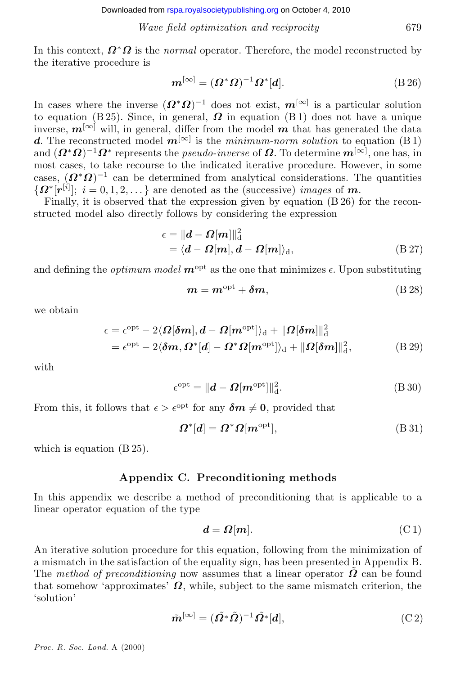Downloaded from rspa.royalsocietypublishing.org on October 4, 2010

*Wave*field optimization and reciprocity 679

Wave field optimization and reciprocity<br>In this context,  $\Omega^* \Omega$  is the *normal* operator. Therefore, the model reconstructed by<br>the iterative procedure is In this context,  $\Omega^* \Omega$  is the the iterative procedure is  $m^{[\infty]} = (\varOmega^*$ [*d*]: (B 26)

$$
\mathbf{m}^{[\infty]} = (\mathbf{\Omega}^*\mathbf{\Omega})^{-1}\mathbf{\Omega}^*[d]. \tag{B.26}
$$

 $m^{[\infty]} = (\Omega^* \Omega)^{-1} \Omega^* [d].$  (B26)<br>In cases where the inverse  $(\Omega^* \Omega)^{-1}$  does not exist,  $m^{[\infty]}$  is a particular solution<br>to equation (B25). Since in general  $\Omega$  in equation (B1) does not have a unique In cases where the inverse  $(\Omega^* \Omega)^{-1}$  does not exist,  $m^{[\infty]}$  is a particular solution<br>to equation (B 25). Since, in general,  $\Omega$  in equation (B 1) does not have a unique<br>inverse  $m^{[\infty]}$  will in general differ from t In cases where the inverse  $(\Omega^* \Omega)^{-1}$  does not exist,  $m^{|\infty|}$  is a particular solution<br>to equation (B 25). Since, in general,  $\Omega$  in equation (B 1) does not have a unique<br>inverse,  $m^{[\infty]}$  will, in general, differ fr to equation (B 25). Since, in general,  $\Omega$  in equation (B 1) does not have a unique<br>inverse,  $m^{[\infty]}$  will, in general, differ from the model  $m$  that has generated the data<br>*d*. The reconstructed model  $m^{[\infty]}$  is the inverse,  $m^{[\infty]}$  will, in general, differ from the model  $m$  that has generated the data  $d$ . The reconstructed model  $m^{[\infty]}$  is the *minimum-norm solution* to equation (B 1) and  $(\Omega^* \Omega)^{-1} \Omega^*$  represents the *pseudo-* $^{\ast}\varOmega)^{-1}\varOmega^{\ast}$ **d.** The reconstructed model  $m^{\infty}$  is the minimum-norm solution to equation (B1) and  $(\Omega^*\Omega)^{-1}\Omega^*$  represents the *pseudo-inverse* of  $\Omega$ . To determine  $m^{\infty}$ , one has, in most cases, to take recourse to the indica and  $(\Omega^* \Omega)^{-1} \Omega^*$  represents the *pseudo-inverse* of  $\Omega$ . To determine  $m^{\infty}$ , one has, in<br>most cases, to take recourse to the indicated iterative procedure. However, in some<br>cases,  $(\Omega^* \Omega)^{-1}$  can be determined fr cases,  $(\mathbf{\Omega}^*\mathbf{\Omega})^{-1}$  can be determined from analytical considerations. The quantities  $\{\mathbf{\Omega}^*\mathbf{[r}^{[i]}]; i = 0, 1, 2, \ldots\}$  are denoted as the (successive) *images* of  $\mathbf{m}$ . Finally, it is observed that the expr

 $\{\boldsymbol{\Omega}^{\ast}[r^{[i]}]; i = 0, 1, 2, \dots\}$  are denoted as the (successive) *images* of  $\boldsymbol{r}$  Finally, it is observed that the expression given by equation (B 26) structed model also directly follows by considering the expressi

$$
\epsilon = ||\mathbf{d} - \mathbf{\Omega}[\mathbf{m}]||_{\mathrm{d}}^{2}
$$
  
=  $\langle \mathbf{d} - \mathbf{\Omega}[\mathbf{m}], \mathbf{d} - \mathbf{\Omega}[\mathbf{m}]\rangle_{\mathrm{d}},$  (B 27)  
and defining the *optimum model*  $\mathbf{m}^{\mathrm{opt}}$  as the one that minimizes  $\epsilon$ . Upon substituting

$$
m^{\text{opt}} \text{ as the one that minimizes } \epsilon. \text{ Upon substituting}
$$
  

$$
m = m^{\text{opt}} + \delta m,
$$
 (B 28)

we obtain

$$
\epsilon = \epsilon^{\mathrm{opt}} - 2\langle \Omega[\delta m], d - \Omega[m^{\mathrm{opt}}]\rangle_{\mathrm{d}} + \|\Omega[\delta m]\|_{\mathrm{d}}^2
$$
  
=  $\epsilon^{\mathrm{opt}} - 2\langle \delta m, \Omega^*[d] - \Omega^* \Omega[m^{\mathrm{opt}}]\rangle_{\mathrm{d}} + \|\Omega[\delta m]\|_{\mathrm{d}}^2,$  (B.29)

with

$$
\epsilon^{\text{opt}} = ||\mathbf{d} - \mathbf{\Omega}[\mathbf{m}^{\text{opt}}]||_d^2.
$$
 (B 30)

 $\epsilon^{\text{opt}} = ||d - \Omega[m^{\text{opt}}]||_d^2.$ <br>From this, it follows that  $\epsilon > \epsilon^{\text{opt}}$  for any  $\delta m \neq 0$ , provided that

<sup>opt</sup> for any 
$$
\delta m \neq 0
$$
, provided that  

$$
\Omega^*[d] = \Omega^* \Omega[m^{\text{opt}}],
$$
 (B 31)

which is equation (B 25).

### Appendix C. Preconditioning methods

Appendix C. Preconditioning methods<br>In this appendix we describe a method of preconditioning that is applicable to a<br>linear operator equation of the type In this appendix we describe a methor<br>linear operator equation of the type  $d = \Omega[m]$ . (C 1)

$$
d = \Omega[m].\tag{C.1}
$$

 $d = \Omega[m]$ . (C 1)<br>An iterative solution procedure for this equation, following from the minimization of<br>a mismatch in the satisfaction of the equality sign, has been presented in Appendix B An iterative solution procedure for this equation, following from the minimization of<br>a mismatch in the satisfaction of the equality sign, has been presented in Appendix B.<br>The method of preconditioning now assumes that a An iterative solution procedure for this equation, following from the minimization of a mismatch in the satisfaction of the equality sign, has been presented in Appendix B.<br>The *method of preconditioning* now assumes that a mismatch in the satisfaction of the equality sign, has been presented in Appendix B.<br>The method of preconditioning now assumes that a linear operator  $\tilde{\Omega}$  can be found that somehow 'approximates'  $\Omega$ , while, subjec `solution'  $\tilde{N}^{[\infty]} = (\tilde{\boldsymbol{\Omega}^*})$ [*d*]; (C 2)

$$
\tilde{\boldsymbol{m}}^{[\infty]} = (\tilde{\boldsymbol{\Omega}}^* \tilde{\boldsymbol{\Omega}})^{-1} \tilde{\boldsymbol{\Omega}}^* [d],\tag{C.2}
$$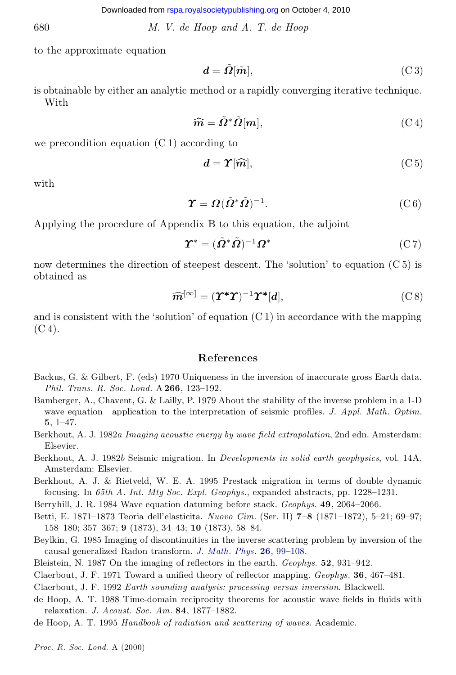680  $M.$  *V. de Hoop and A. T. de Hoop* to the approximate equation

$$
d = \tilde{\Omega}[\tilde{m}], \tag{C.3}
$$

is obtainable by either an analytic method or a rapidly converging iterative technique. With  $*\tilde{\Omega}[m],$ (C4)

$$
\widehat{\boldsymbol{m}} = \tilde{\boldsymbol{\Omega}}^* \tilde{\boldsymbol{\Omega}}[\boldsymbol{m}], \tag{C.4}
$$

we precondition equation  $(C 1)$  according to

rding to  

$$
\mathbf{d} = \mathbf{\Upsilon}[\widehat{\mathbf{m}}],\tag{C.5}
$$

with

$$
\Upsilon = \Omega(\tilde{\Omega}^*\tilde{\Omega})^{-1}.
$$
 (C6)

 $\Upsilon = \Omega(\tilde{\Omega}^*\tilde{\Omega})^{-1}.$ <br>Applying the procedure of Appendix B to this equation, the adjoint

andix B to this equation, the adjoint  

$$
\Upsilon^* = (\tilde{\Omega}^* \tilde{\Omega})^{-1} \Omega^*
$$
(C7)

 $\Upsilon^* = (\tilde{\Omega}^* \tilde{\Omega})^{-1} \Omega^*$  (C7)<br>now determines the direction of steepest descent. The 'solution' to equation (C5) is<br>obtained as now determine<br>obtained as

$$
\widehat{\mathbf{m}}^{[\infty]} = (\mathbf{\Upsilon}^* \mathbf{\Upsilon})^{-1} \mathbf{\Upsilon}^* [d],
$$
\n(C8)

 $\widehat{\mathbf{m}}^{[\infty]} = (\mathbf{\Upsilon}^* \mathbf{\Upsilon})^{-1} \mathbf{\Upsilon}^* [d],$  (C 8)<br>and is consistent with the 'solution' of equation (C 1) in accordance with the mapping<br>(C 4) and is c<br> $(C 4)$ .

### References

- **Backus, G. & Gilbert, F. (eds) 1970 Uniqueness in the inversion of inaccurate gross Earth data.**<br>Phil. Trans. B. Soc. Lond. A 266, 123–192. *Phil. Trans. R. Soc. Lond.* A 266, 123–192.<br>*Phil. Trans. R. Soc. Lond.* A 266, 123–192.<br>*Phillip B 1070 Ab* Backus, G. & Gilbert, F. (eds) 1970 Uniqueness in the inversion of inaccurate gross Earth data.<br> *Phil. Trans. R. Soc. Lond.* A 266, 123–192.<br>
Bamberger, A., Chavent, G. & Lailly, P. 1979 About the stability of the invers
- Phil. Trans. R. Soc. Lond. A 266, 123–192.<br>mberger, A., Chavent, G. & Lailly, P. 1979 About the stability of the inverse problem in a 1-D<br>wave equation—application to the interpretation of seismic profiles. *J. Appl. Math.* wave equation—application to the interpretation of seismic profiles. *J. Appl. Math. Optim.*  $5, 1-47.$
- Berkhout, A. J. 1982*a Imaging acoustic energy by wave field extrapolation*, 2nd edn. Amsterdam: Elsevier. Berkhout, A. J. 1982*a Imaging acoustic energy by wave field extrapolation*, 2nd edn. Amsterdam:<br>Elsevier.<br>Berkhout, A. J. 1982*b* Seismic migration. In *Developments in solid earth geophysics*, vol. 14A.<br>Amsterdam: Elsevi
- Elsevier.<br>rkhout, A. J. 1982b Sei<br>Amsterdam: Elsevier.<br>rkhout, A. J. & Bistys Amsterdam: Elsevier.<br>Berkhout, A. J. & Rietveld, W. E. A. 1995 Prestack migration in terms of double dynamic
- Amsterdam: Elsevier.<br>rkhout, A. J. & Rietveld, W. E. A. 1995 Prestack migration in terms of double dyna<br>focusing. In 65th A. Int. Mtg Soc. Expl. Geophys., expanded abstracts, pp. 1228–1231.<br>www.bill. J. B. 1984 Ways causti Berkhout, A. J. & Rietveld, W. E. A. 1995 Prestack migration in terms of double of focusing. In 65th A. Int. Mtg Soc. Expl. Geophys., expanded abstracts, pp. 1228–125 Berryhill, J. R. 1984 Wave equation datuming before sta
- 
- focusing. In 65th A. Int. Mtg Soc. Expl. Geophys., expanded abstracts, pp. 1228–1231.<br>Berryhill, J. R. 1984 Wave equation datuming before stack. Geophys. 49, 2064–2066.<br>Betti, E. 1871–1873 Teoria dell'elasticita. *Nuovo Ci* rryhill, J. R. 1984 Wave equation datuming before stac<br>tti, E. 1871–1873 Teoria dell'elasticita. Nuovo Cim. (S<br>158–180; 357–367; 9 (1873), 34–43; 10 (1873), 58–84.<br>vlkip. C. 1985 Imaging of discontinuities in the inverse Betti, E. 1871–1873 Teoria dell'elasticita. Nuovo Cim. (Ser. II) 7-8 (1871–1872), 5-21; 69–97;<br>158–180; 357–367; 9 (1873), 34–43; 10 (1873), 58–84.<br>Beylkin, G. 1985 Imaging of discontinui[ties in the inverse scattering](http://gessler.ingentaselect.com/nw=1/rpsv/cgi-bin/linker?ext=a&reqidx=/0022-2488^28^2926L.99[aid=530745]) pro
- 158–180; 357–367; 9 (1873), 34–43; 10 (1873), 58–84.<br>ylkin, G. 1985 Imaging of discontinuities in the inverse scattering p<br>causal generalized Radon transform. *J. Math. Phys.* 26, 99–108.<br>sistein N. 1987 On the imaging of causal generalized Radon transform. *J. Math. Phys.* **26**, 99–108.<br>Bleistein, N. 1987 On the imaging of reflectors in the earth. *Geophys.* **52**, 931–942.
- 
- Claerbout, J. F. 1971 Toward a unified theory of reflector mapping. *Geophys.* **36**, 467-481. Bleistein, N. 1987 On the imaging of reflectors in the earth. *Geophys.* **52**, 931–942.<br>Claerbout, J. F. 1971 Toward a unified theory of reflector mapping. *Geophys.* **36**, 467–4<br>Claerbout, J. F. 1992 *Earth sounding analy*
- 
- de Hoop, A. T. 1988 Time-domain reciprocity theorems for acoustic wave fields in fluids with relaxation. J. Acoust. Soc. Am.  $84$ , 1877–1882. relaxation. *J. F. 1992 Earth sounding analysis: proc*<br>Hoop, A. T. 1988 Time-domain reciprocity theorielaxation. *J. Acoust. Soc. Am.* **84**, 1877–1882.<br>Hoop, A. T. 1995 Handbook of mediation and soc.
- de Hoop, A. T. 1995 *Handbook of radiation and scattering of waves*. Academic.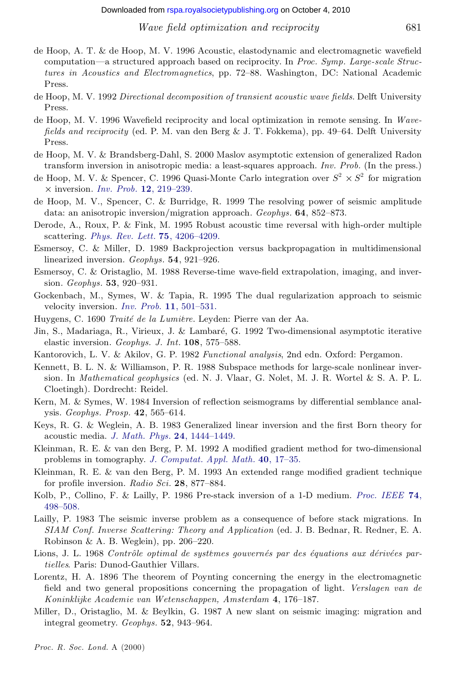- Wave field optimization and reciprocity<br>de Hoop, A. T. & de Hoop, M. V. 1996 Acoustic, elastodynamic and electromagnetic wavefield<br>computation—a structured approach based on reciprocity. In *Proc. Sump. Large-scale Struc-*Hoop, A. T. & de Hoop, M. V. 1996 Acoustic, elastodynamic and electromagnetic wavefield<br>computation—a structured approach based on reciprocity. In *Proc. Symp. Large-scale Struc-*<br>*tures in Acoustics and Electromagnetics*, *tures in Acoustics and Electromagnetics*, pp. 72–88. Washington, DC: National Academic Press.
- de Hoop, M. V. 1992 *Directional decomposition of transient acoustic wave fields*. Delft University Press. de Hoop, M. V. 1992 Directional decomposition of transient acoustic wave fields. Delit University<br>Press.<br>de Hoop, M. V. 1996 Wavefield reciprocity and local optimization in remote sensing. In *Wave-*<br>fields and reciprocity
- Press.<br>*Hoop, M. V. 1996 Wavefield reciprocity* and local optimization in remote sensing. In *Wave-<br>fields and reciprocity* (ed. P. M. van den Berg & J. T. Fokkema), pp. 49–64. Delft University<br>Press Press. fields and reciprocity (ed. P. M. van den Berg & J. T. Fokkema), pp. 49–64. Delft University<br>Press.<br>de Hoop, M. V. & Brandsberg-Dahl, S. 2000 Maslov asymptotic extension of generalized Radon
- transform inversion in anisotropic media: a least-squares approach. *Inv. Prob.* (In the press.) de Hoop, M. V. & Brandsberg-Dahl, S. 2000 Maslov asymptotic extension of generality transform inversion in anisotropic media: a least-squares approach. *Inv. Prob.* (In de Hoop, M. V. & Spencer, C. 1996 Quasi-Monte Carlo for migration<br>in the press.)<br>for migration
- transform inversion in anisotropic med<br>Hoop, M. V. & Spencer, C. 1996 Qua<br> $\times$  inversion. *Inv. Prob.* 12, 219–239.<br>Hoop, M. V. Spencer, C. & Burridge deHoop, M. V., & Spencer, C. 1996 Quasi-Monte Carlo integration over  $S^* \times S^*$  for migration  $\times$  inversion. *Inv. Prob.* 12, 219–239.<br>de Hoop, M. V., Spencer, C. & Burridge, R. 1999 The resolving power of seismic ampli
- deata: an anisotropic inversion. The Burridge, R. 1999 The resolving power of section, M. V., Spencer, C. & Burridge, R. 1999 The resolving power of section and the state in anisotropic inversion/migration approach. *Geoph* de Hoop, M. V., Spencer, C. & Burridge, R. 1999 The resolving power of seismic amplitude<br>data: an anisotropic inversion/migration approach. *Geophys.* **64**, 852–873.<br>Derode, A., Roux, P. & Fink, M. 1995 Robust acoustic ti
- data: an anisotropic inversion/migration app<br>rode, A., Roux, P. & Fink, M. 1995 Robust<br>scattering. *Phys. Rev. Lett.* **75**, 4206–4209.<br>morsov. C. & Miller, D. 1989 Bockprojection Derode,A., Koux, P. & Fink, M. 1995 Kobust acoustic time reversal with high-order multiple<br>scattering. *Phys. Rev. Lett.* 75, 4206–4209.<br>Esmersoy, C. & Miller, D. 1989 Backprojection versus backpropagation in multidimens
- scattering. *Phys. Rev. Lett.* 75, 4206–4209.<br>mersoy, C. & Miller, D. 1989 Backprojectio<br>linearized inversion. *Geophys.* 54, 921–926. Esmersoy, C. & Miller, D. 1989 Backprojection versus backpropagation in multidimensional<br>linearized inversion. *Geophys.* 54, 921–926.<br>Esmersoy, C. & Oristaglio, M. 1988 Reverse-time wave-field extrapolation, imaging, and
- nearized inversion. *Geophys.*<br>mersoy, C. & Oristaglio, M. 1<br>sion. *Geophys.* 53, 920–931.<br>releabed: M. Sumes. W. <sup>8</sup>t Esmersoy, C. & Oristaglio, M. 1988 Reverse-time wave-field extrapolation, imaging, and inversion. *Geophys.* 53, 920–931.<br>Gockenbach, M., Sy[mes, W. & Tapia, R. 1](http://gessler.ingentaselect.com/nw=1/rpsv/cgi-bin/linker?ext=a&reqidx=/0266-5611^28^2911L.501[aid=530754,doi=10.1088/0266-5611/11/3/003])995 The dual regularization approach to seismic velocity inv
- velocity inversion. *Inversion. Incernation. Inv. Prob.* 11, 501–531.<br>
Velocity inversion. *Inv. Prob.* 11, 501–531.<br>
Version. *I*<sub>1400</sub> *Troitá de la Lumière*. Lavis velocity inversion. Inv. Prob. 11, 501–531.<br>Huygens, C. 1690 *Traité de la Lumière*. Leyden: Pierre van der Aa.
- 
- Velocity Inversion. *Inv. Proo.* 11, 301–351.<br>Huygens, C. 1690 *Traité de la Lumière*. Leyden: Pierre van der Aa.<br>Jin, S., Madariaga, R., Virieux, J. & Lambaré, G. 1992 Two-dimensional asymptotic iterative<br>elastic inversio elastic inversion. *Geophys. J. & Lambaré*, *G. 1*<br>elastic inversion. *Geophys. J. Int.* **108**, 575–588.<br>entergyish J. V. & Akilov. *G. P. 1089 Expetienal* Kantorovich, L. V. & Akilov, G. P. 1982 *Functional analysis*, 2nd edn. Oxford: Pergamon.
- 
- elastic inversion. Geophys. J. Int. 108, 373–388.<br>Kantorovich, L. V. & Akilov, G. P. 1982 Functional analysis, 2nd edn. Oxford: Pergamon.<br>Kennett, B. L. N. & Williamson, P. R. 1988 Subspace methods for large-scale nonlinea ntorovich, L. V. & Akilov, G. P. 1982 *Functional analysis*, 2nd edn. Oxford: Pergamon.<br>nnett, B. L. N. & Williamson, P. R. 1988 Subspace methods for large-scale nonlinear inver-<br>sion. In *Mathematical geophysics* (ed. N. sion. In *Mathematical geophysics* (ed. N. J. Vlaar, G. Nolet, M. J. R. Wortel & S. A. P. L. Cloetingh). Dordrecht: Reidel. sion. In *Mathematical geophysics* (ed. N. J. Vlaar, G. Nolet, M. J. R. Wortel & S. A. P. L.<br>Cloetingh). Dordrecht: Reidel.<br>Kern, M. & Symes, W. 1984 Inversion of reflection seismograms by differential semblance anal-<br>vsi
- Cloetingh). Dordrecht: Reidel.<br>*ysis. Geophys. Prosp.* 42, 565–614.<br>*ws. B. C. & Worlein*, A. B. 1983.C. ysis. *Geophys. Prosp.* 42, 565–614.<br>Keys, R. G. & Weglein, A. B. 1983 Generalized linear inversion and the first Born theory for
- acoustic media. *J. Math. Phys.* **24**, 1444-1449. Keys,R. G. & Weglein, A. B. 1983 Generalized linear inversion and the first Born theory for<br>acoustic media. J. Math. Phys. 24, 1444–1449.<br>Kleinman, R. E. & van den Berg, P. M. 1992 A modified gradient method for two-dime
- acoustic media. *J. Math. Phys.* **24**, 1444–1449.<br>
einman, R. E. & van den Berg, P. M. 1992 A modified gradient problems in tomography. *J. Computat. Appl. Math.* 40, 17–35.<br>
problems B. E. & van den Berg, B. M. 1992 An au Kleinman,R. E. & van den Berg, P. M. 1992 A modified gradient method for two-dimensional<br>problems in tomography. J. Computat. Appl. Math. 40, 17–35.<br>Kleinman, R. E. & van den Berg, P. M. 1993 An extended range modified gr
- problems in tomography. *J. Computat. Appl. i*<br>einman, R. E. & van den Berg, P. M. 1993 Ai<br>for profile inversion. *Radio Sci.* 28, 877–884.<br><sup>1</sup> R. Colling F. <sup>6</sup>: Leilly, P. 1986 Prostacle Kleinman, R. E. & van den Berg, P. M. 1993 An extended range modified gradient technique<br>for profile inversion. *Radio Sci.* **28**, 877–884.<br>Kolb, P., Collino, F. & Lailly, P. 1986 Pre-stack inversion of a 1-D medium. *Proc*
- Kolb,P., Collino, F. & Lailly, P. 1986 Pre-stack inversion of a 1-D medium. *Proc. IEEE* 74, 498–508.<br>Lailly, P. 1983 The seismic inverse problem as a consequence of before stack migrations. In
- *AS*–508.<br>*SIAM Conf. Inverse Scattering: Theory and Application* (ed. J. B. Bednar, R. Redner, E. A.<br>*SIAM Conf. Inverse Scattering: Theory and Application* (ed. J. B. Bednar, R. Redner, E. A.<br>Robinson & A. B. Weglein), p illy, P. 1983 The seismic inverse problem<br>SIAM Conf. Inverse Scattering: Theory and<br>Robinson & A. B. Weglein), pp. 206–220. SIAM Conf. Inverse Scattering: Theory and Application (ed. J. B. Bednar, R. Redner, E. A.<br>
Robinson & A. B. Weglein), pp. 206–220.<br>
Lions, J. L. 1968 Contrôle optimal de systèmes gouvernés par des équations aux dérivées pa
- *Robinson & A. B. Weglein*), pp. 206–22<br> *tielles. Paris: Dunod-Gauthier Villars.*<br> *tielles. Paris: Dunod-Gauthier Villars.*<br> **parts.** H. A. 1806. The theorem of Dov Lions, J. L. 1968 Controle optimal de systemes gouvernés par des équations aux dérivées par-<br>tielles. Paris: Dunod-Gauthier Villars.<br>Lorentz, H. A. 1896 The theorem of Poynting concerning the energy in the electromagnetic<br>
- *tielles*. Paris: Dunod-Gauthier Villars.<br>rentz, H. A. 1896 The theorem of Poynting concerning the energy in the electromagnetic<br>field and two general propositions concerning the propagation of light. *Verslagen van de*<br>Ko *Koninklijke Academie van Wetenschappen, Amsterdam* 4, 176–187.<br>*Koninklijke Academie van Wetenschappen, Amsterdam* 4, 176–187.<br><sup>Ilon</sup> D. Oristaglia M. <sup>6</sup>: Paullin C. 1987. A paus clare a sciencia i held and two general propositions concerning the propagation of light. Verslagen van de<br>Koninklijke Academie van Wetenschappen, Amsterdam 4, 176–187.<br>Miller, D., Oristaglio, M. & Beylkin, G. 1987 A new slant on seismic ima
- Koninklijke Academie van Wetenschappen,<br>ller, D., Oristaglio, M. & Beylkin, G. 1987<br>integral geometry. *Geophys.* **52**, 943–964. *Proc. R. Soc. Lond.* A (2000)